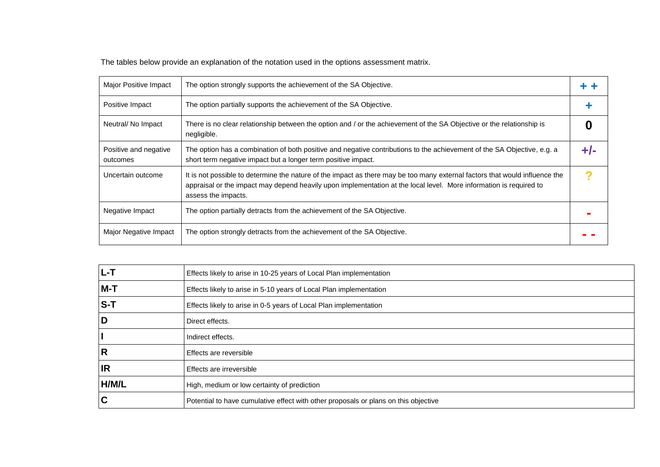The tables below provide an explanation of the notation used in the options assessment matrix.

| Major Positive Impact             | The option strongly supports the achievement of the SA Objective.                                                                                                                                                                                                        |  |
|-----------------------------------|--------------------------------------------------------------------------------------------------------------------------------------------------------------------------------------------------------------------------------------------------------------------------|--|
| Positive Impact                   | The option partially supports the achievement of the SA Objective.                                                                                                                                                                                                       |  |
| Neutral/No Impact                 | There is no clear relationship between the option and / or the achievement of the SA Objective or the relationship is<br>negligible.                                                                                                                                     |  |
| Positive and negative<br>outcomes | The option has a combination of both positive and negative contributions to the achievement of the SA Objective, e.g. a<br>short term negative impact but a longer term positive impact.                                                                                 |  |
| Uncertain outcome                 | It is not possible to determine the nature of the impact as there may be too many external factors that would influence the<br>appraisal or the impact may depend heavily upon implementation at the local level. More information is required to<br>assess the impacts. |  |
| Negative Impact                   | The option partially detracts from the achievement of the SA Objective.                                                                                                                                                                                                  |  |
| Major Negative Impact             | The option strongly detracts from the achievement of the SA Objective.                                                                                                                                                                                                   |  |

| $L-T$     | Effects likely to arise in 10-25 years of Local Plan implementation                 |
|-----------|-------------------------------------------------------------------------------------|
| $M-T$     | Effects likely to arise in 5-10 years of Local Plan implementation                  |
| $S-T$     | Effects likely to arise in 0-5 years of Local Plan implementation                   |
| D         | Direct effects.                                                                     |
|           | Indirect effects.                                                                   |
| R         | Effects are reversible                                                              |
| <b>IR</b> | Effects are irreversible                                                            |
| H/M/L     | High, medium or low certainty of prediction                                         |
| C         | Potential to have cumulative effect with other proposals or plans on this objective |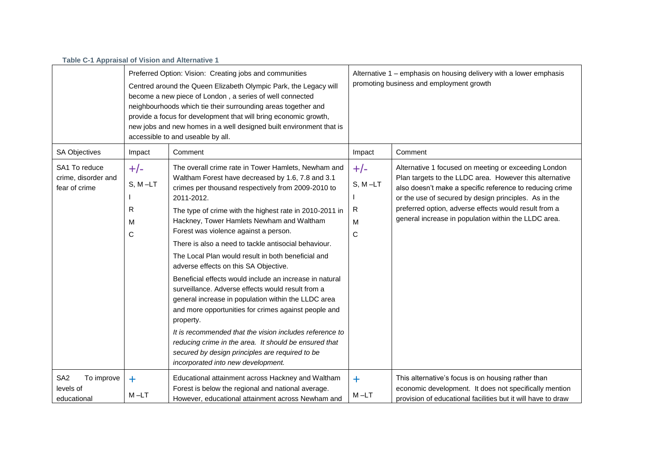| Table C-1 Appraisal of Vision and Alternative 1           |                                   |                                                                                                                                                                                                                                                                                                                                                                                                                                                                                                                                                                                                                                                                                                                                                                                                                                                                                                                                               |                                                                                                                |                                                                                                                                                                                                                                                                                                                                                       |
|-----------------------------------------------------------|-----------------------------------|-----------------------------------------------------------------------------------------------------------------------------------------------------------------------------------------------------------------------------------------------------------------------------------------------------------------------------------------------------------------------------------------------------------------------------------------------------------------------------------------------------------------------------------------------------------------------------------------------------------------------------------------------------------------------------------------------------------------------------------------------------------------------------------------------------------------------------------------------------------------------------------------------------------------------------------------------|----------------------------------------------------------------------------------------------------------------|-------------------------------------------------------------------------------------------------------------------------------------------------------------------------------------------------------------------------------------------------------------------------------------------------------------------------------------------------------|
|                                                           |                                   | Preferred Option: Vision: Creating jobs and communities<br>Centred around the Queen Elizabeth Olympic Park, the Legacy will<br>become a new piece of London, a series of well connected<br>neighbourhoods which tie their surrounding areas together and<br>provide a focus for development that will bring economic growth,<br>new jobs and new homes in a well designed built environment that is<br>accessible to and useable by all.                                                                                                                                                                                                                                                                                                                                                                                                                                                                                                      | Alternative 1 - emphasis on housing delivery with a lower emphasis<br>promoting business and employment growth |                                                                                                                                                                                                                                                                                                                                                       |
| <b>SA Objectives</b>                                      | Impact                            | Comment                                                                                                                                                                                                                                                                                                                                                                                                                                                                                                                                                                                                                                                                                                                                                                                                                                                                                                                                       | Impact                                                                                                         | Comment                                                                                                                                                                                                                                                                                                                                               |
| SA1 To reduce<br>crime, disorder and<br>fear of crime     | $+/-$<br>$S, M-LT$<br>R<br>м<br>С | The overall crime rate in Tower Hamlets, Newham and<br>Waltham Forest have decreased by 1.6, 7.8 and 3.1<br>crimes per thousand respectively from 2009-2010 to<br>2011-2012.<br>The type of crime with the highest rate in 2010-2011 in<br>Hackney, Tower Hamlets Newham and Waltham<br>Forest was violence against a person.<br>There is also a need to tackle antisocial behaviour.<br>The Local Plan would result in both beneficial and<br>adverse effects on this SA Objective.<br>Beneficial effects would include an increase in natural<br>surveillance. Adverse effects would result from a<br>general increase in population within the LLDC area<br>and more opportunities for crimes against people and<br>property.<br>It is recommended that the vision includes reference to<br>reducing crime in the area. It should be ensured that<br>secured by design principles are required to be<br>incorporated into new development. | $+/-$<br>$S, M-LT$<br>R<br>M<br>$\mathsf{C}$                                                                   | Alternative 1 focused on meeting or exceeding London<br>Plan targets to the LLDC area. However this alternative<br>also doesn't make a specific reference to reducing crime<br>or the use of secured by design principles. As in the<br>preferred option, adverse effects would result from a<br>general increase in population within the LLDC area. |
| SA <sub>2</sub><br>To improve<br>levels of<br>educational | $\ddot{\phantom{1}}$<br>$M - LT$  | Educational attainment across Hackney and Waltham<br>Forest is below the regional and national average.<br>However, educational attainment across Newham and                                                                                                                                                                                                                                                                                                                                                                                                                                                                                                                                                                                                                                                                                                                                                                                  | $\ddagger$<br>$M - LT$                                                                                         | This alternative's focus is on housing rather than<br>economic development. It does not specifically mention<br>provision of educational facilities but it will have to draw                                                                                                                                                                          |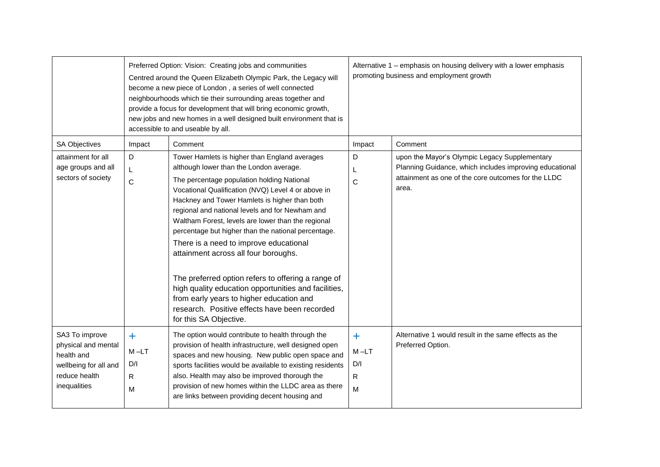|                                                                                                               |                                                              | Preferred Option: Vision: Creating jobs and communities<br>Centred around the Queen Elizabeth Olympic Park, the Legacy will<br>become a new piece of London, a series of well connected<br>neighbourhoods which tie their surrounding areas together and<br>provide a focus for development that will bring economic growth,<br>new jobs and new homes in a well designed built environment that is<br>accessible to and useable by all.                                                                                                                                                                                                                                                                                             | Alternative 1 - emphasis on housing delivery with a lower emphasis<br>promoting business and employment growth |                                                                                                                                                                          |  |
|---------------------------------------------------------------------------------------------------------------|--------------------------------------------------------------|--------------------------------------------------------------------------------------------------------------------------------------------------------------------------------------------------------------------------------------------------------------------------------------------------------------------------------------------------------------------------------------------------------------------------------------------------------------------------------------------------------------------------------------------------------------------------------------------------------------------------------------------------------------------------------------------------------------------------------------|----------------------------------------------------------------------------------------------------------------|--------------------------------------------------------------------------------------------------------------------------------------------------------------------------|--|
| <b>SA Objectives</b>                                                                                          | Impact                                                       | Comment                                                                                                                                                                                                                                                                                                                                                                                                                                                                                                                                                                                                                                                                                                                              | Impact                                                                                                         | Comment                                                                                                                                                                  |  |
| attainment for all<br>age groups and all<br>sectors of society                                                | D<br>L<br>$\mathsf{C}$                                       | Tower Hamlets is higher than England averages<br>although lower than the London average.<br>The percentage population holding National<br>Vocational Qualification (NVQ) Level 4 or above in<br>Hackney and Tower Hamlets is higher than both<br>regional and national levels and for Newham and<br>Waltham Forest, levels are lower than the regional<br>percentage but higher than the national percentage.<br>There is a need to improve educational<br>attainment across all four boroughs.<br>The preferred option refers to offering a range of<br>high quality education opportunities and facilities,<br>from early years to higher education and<br>research. Positive effects have been recorded<br>for this SA Objective. | D<br>L<br>C                                                                                                    | upon the Mayor's Olympic Legacy Supplementary<br>Planning Guidance, which includes improving educational<br>attainment as one of the core outcomes for the LLDC<br>area. |  |
| SA3 To improve<br>physical and mental<br>health and<br>wellbeing for all and<br>reduce health<br>inequalities | $\ddot{\phantom{1}}$<br>$M - LT$<br>D/I<br>$\mathsf{R}$<br>M | The option would contribute to health through the<br>provision of health infrastructure, well designed open<br>spaces and new housing. New public open space and<br>sports facilities would be available to existing residents<br>also. Health may also be improved thorough the<br>provision of new homes within the LLDC area as there<br>are links between providing decent housing and                                                                                                                                                                                                                                                                                                                                           | $+$<br>$M-LT$<br>D/I<br>$\mathsf{R}$<br>M                                                                      | Alternative 1 would result in the same effects as the<br>Preferred Option.                                                                                               |  |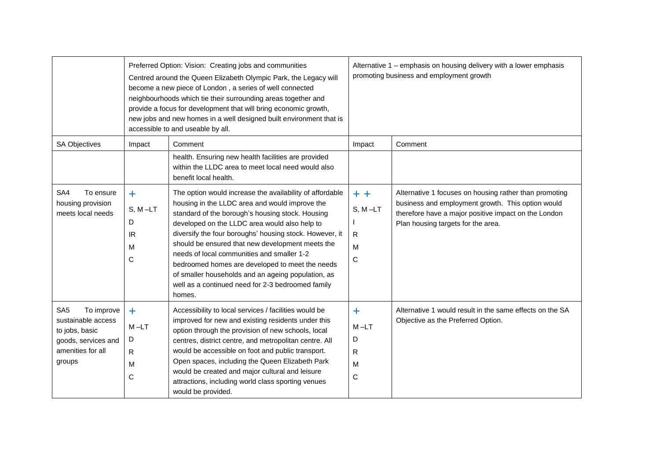|                                                                                                                             |                                                               | Preferred Option: Vision: Creating jobs and communities<br>Centred around the Queen Elizabeth Olympic Park, the Legacy will<br>become a new piece of London, a series of well connected<br>neighbourhoods which tie their surrounding areas together and<br>provide a focus for development that will bring economic growth,<br>new jobs and new homes in a well designed built environment that is<br>accessible to and useable by all.                                                                                                             | Alternative 1 – emphasis on housing delivery with a lower emphasis<br>promoting business and employment growth |                                                                                                                                                                                                           |  |
|-----------------------------------------------------------------------------------------------------------------------------|---------------------------------------------------------------|------------------------------------------------------------------------------------------------------------------------------------------------------------------------------------------------------------------------------------------------------------------------------------------------------------------------------------------------------------------------------------------------------------------------------------------------------------------------------------------------------------------------------------------------------|----------------------------------------------------------------------------------------------------------------|-----------------------------------------------------------------------------------------------------------------------------------------------------------------------------------------------------------|--|
| <b>SA Objectives</b>                                                                                                        | Impact                                                        | Comment                                                                                                                                                                                                                                                                                                                                                                                                                                                                                                                                              | Impact                                                                                                         | Comment                                                                                                                                                                                                   |  |
|                                                                                                                             |                                                               | health. Ensuring new health facilities are provided<br>within the LLDC area to meet local need would also<br>benefit local health.                                                                                                                                                                                                                                                                                                                                                                                                                   |                                                                                                                |                                                                                                                                                                                                           |  |
| To ensure<br>SA4<br>housing provision<br>meets local needs                                                                  | $\ddot{\phantom{1}}$<br>$S, M-LT$<br>D<br><b>IR</b><br>M<br>C | The option would increase the availability of affordable<br>housing in the LLDC area and would improve the<br>standard of the borough's housing stock. Housing<br>developed on the LLDC area would also help to<br>diversify the four boroughs' housing stock. However, it<br>should be ensured that new development meets the<br>needs of local communities and smaller 1-2<br>bedroomed homes are developed to meet the needs<br>of smaller households and an ageing population, as<br>well as a continued need for 2-3 bedroomed family<br>homes. | $+ +$<br>$S, M-LT$<br>$\mathsf{R}$<br>M<br>C                                                                   | Alternative 1 focuses on housing rather than promoting<br>business and employment growth. This option would<br>therefore have a major positive impact on the London<br>Plan housing targets for the area. |  |
| SA <sub>5</sub><br>To improve<br>sustainable access<br>to jobs, basic<br>goods, services and<br>amenities for all<br>groups | $\ddot{}$<br>$M - LT$<br>D<br>R.<br>M<br>C                    | Accessibility to local services / facilities would be<br>improved for new and existing residents under this<br>option through the provision of new schools, local<br>centres, district centre, and metropolitan centre. All<br>would be accessible on foot and public transport.<br>Open spaces, including the Queen Elizabeth Park<br>would be created and major cultural and leisure<br>attractions, including world class sporting venues<br>would be provided.                                                                                   | $\ddagger$<br>$M-LT$<br>D<br>R.<br>M<br>$\mathsf{C}$                                                           | Alternative 1 would result in the same effects on the SA<br>Objective as the Preferred Option.                                                                                                            |  |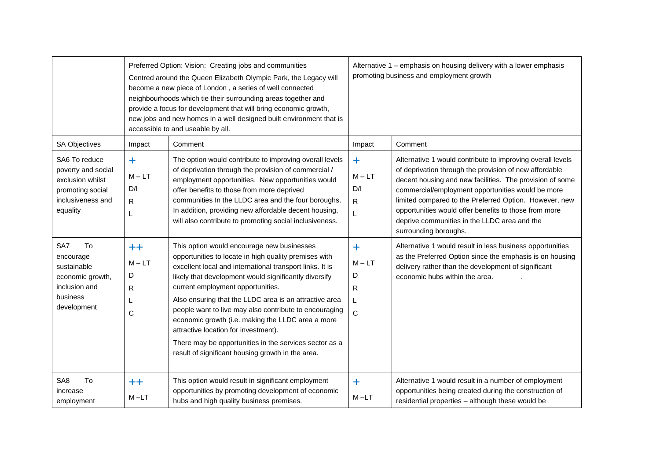|                                                                                                              | Preferred Option: Vision: Creating jobs and communities<br>Centred around the Queen Elizabeth Olympic Park, the Legacy will<br>become a new piece of London, a series of well connected<br>neighbourhoods which tie their surrounding areas together and<br>provide a focus for development that will bring economic growth,<br>new jobs and new homes in a well designed built environment that is<br>accessible to and useable by all. |                                                                                                                                                                                                                                                                                                                                                                                                                                                                                                                                                                                               |                                                      | Alternative 1 – emphasis on housing delivery with a lower emphasis<br>promoting business and employment growth                                                                                                                                                                                                                                                                                                                    |  |  |
|--------------------------------------------------------------------------------------------------------------|------------------------------------------------------------------------------------------------------------------------------------------------------------------------------------------------------------------------------------------------------------------------------------------------------------------------------------------------------------------------------------------------------------------------------------------|-----------------------------------------------------------------------------------------------------------------------------------------------------------------------------------------------------------------------------------------------------------------------------------------------------------------------------------------------------------------------------------------------------------------------------------------------------------------------------------------------------------------------------------------------------------------------------------------------|------------------------------------------------------|-----------------------------------------------------------------------------------------------------------------------------------------------------------------------------------------------------------------------------------------------------------------------------------------------------------------------------------------------------------------------------------------------------------------------------------|--|--|
| <b>SA Objectives</b>                                                                                         | Impact                                                                                                                                                                                                                                                                                                                                                                                                                                   | Comment                                                                                                                                                                                                                                                                                                                                                                                                                                                                                                                                                                                       | Impact                                               | Comment                                                                                                                                                                                                                                                                                                                                                                                                                           |  |  |
| SA6 To reduce<br>poverty and social<br>exclusion whilst<br>promoting social<br>inclusiveness and<br>equality | $\ddot{}$<br>$M - LT$<br>D/I<br>R<br>L                                                                                                                                                                                                                                                                                                                                                                                                   | The option would contribute to improving overall levels<br>of deprivation through the provision of commercial /<br>employment opportunities. New opportunities would<br>offer benefits to those from more deprived<br>communities In the LLDC area and the four boroughs.<br>In addition, providing new affordable decent housing,<br>will also contribute to promoting social inclusiveness.                                                                                                                                                                                                 | ÷.<br>$M - LT$<br>D/I<br>$\mathsf{R}$<br>L           | Alternative 1 would contribute to improving overall levels<br>of deprivation through the provision of new affordable<br>decent housing and new facilities. The provision of some<br>commercial/employment opportunities would be more<br>limited compared to the Preferred Option. However, new<br>opportunities would offer benefits to those from more<br>deprive communities in the LLDC area and the<br>surrounding boroughs. |  |  |
| SA7<br>To<br>encourage<br>sustainable<br>economic growth,<br>inclusion and<br>business<br>development        | $^{\mathrm{++}}$<br>$M - LT$<br>D<br>$\mathsf{R}$<br>L<br>C                                                                                                                                                                                                                                                                                                                                                                              | This option would encourage new businesses<br>opportunities to locate in high quality premises with<br>excellent local and international transport links. It is<br>likely that development would significantly diversify<br>current employment opportunities.<br>Also ensuring that the LLDC area is an attractive area<br>people want to live may also contribute to encouraging<br>economic growth (i.e. making the LLDC area a more<br>attractive location for investment).<br>There may be opportunities in the services sector as a<br>result of significant housing growth in the area. | $\ddot{}$<br>$M - LT$<br>D<br>R<br>L<br>$\mathsf{C}$ | Alternative 1 would result in less business opportunities<br>as the Preferred Option since the emphasis is on housing<br>delivery rather than the development of significant<br>economic hubs within the area.                                                                                                                                                                                                                    |  |  |
| To<br>SA <sub>8</sub><br>increase<br>employment                                                              | $++$<br>M-LT                                                                                                                                                                                                                                                                                                                                                                                                                             | This option would result in significant employment<br>opportunities by promoting development of economic<br>hubs and high quality business premises.                                                                                                                                                                                                                                                                                                                                                                                                                                          | ÷.<br>M-LT                                           | Alternative 1 would result in a number of employment<br>opportunities being created during the construction of<br>residential properties - although these would be                                                                                                                                                                                                                                                                |  |  |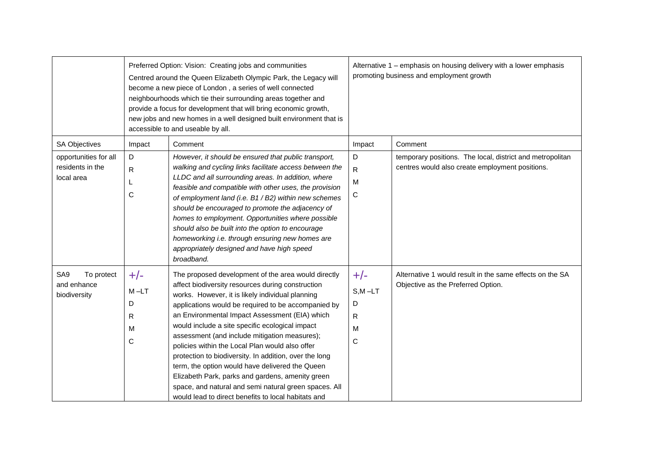|                                                              | Preferred Option: Vision: Creating jobs and communities<br>Centred around the Queen Elizabeth Olympic Park, the Legacy will<br>become a new piece of London, a series of well connected<br>neighbourhoods which tie their surrounding areas together and<br>provide a focus for development that will bring economic growth,<br>new jobs and new homes in a well designed built environment that is<br>accessible to and useable by all. |                                                                                                                                                                                                                                                                                                                                                                                                                                                                                                                                                                                                                                                                                                               |                                           | Alternative 1 - emphasis on housing delivery with a lower emphasis<br>promoting business and employment growth |  |  |
|--------------------------------------------------------------|------------------------------------------------------------------------------------------------------------------------------------------------------------------------------------------------------------------------------------------------------------------------------------------------------------------------------------------------------------------------------------------------------------------------------------------|---------------------------------------------------------------------------------------------------------------------------------------------------------------------------------------------------------------------------------------------------------------------------------------------------------------------------------------------------------------------------------------------------------------------------------------------------------------------------------------------------------------------------------------------------------------------------------------------------------------------------------------------------------------------------------------------------------------|-------------------------------------------|----------------------------------------------------------------------------------------------------------------|--|--|
| SA Objectives                                                | Impact                                                                                                                                                                                                                                                                                                                                                                                                                                   | Comment                                                                                                                                                                                                                                                                                                                                                                                                                                                                                                                                                                                                                                                                                                       | Impact                                    | Comment                                                                                                        |  |  |
| opportunities for all<br>residents in the<br>local area      | D<br>R<br>L<br>C                                                                                                                                                                                                                                                                                                                                                                                                                         | However, it should be ensured that public transport,<br>walking and cycling links facilitate access between the<br>LLDC and all surrounding areas. In addition, where<br>feasible and compatible with other uses, the provision<br>of employment land (i.e. B1 / B2) within new schemes<br>should be encouraged to promote the adjacency of<br>homes to employment. Opportunities where possible<br>should also be built into the option to encourage<br>homeworking i.e. through ensuring new homes are<br>appropriately designed and have high speed<br>broadband.                                                                                                                                          | D<br>R.<br>M<br>С                         | temporary positions. The local, district and metropolitan<br>centres would also create employment positions.   |  |  |
| SA <sub>9</sub><br>To protect<br>and enhance<br>biodiversity | $+/-$<br>$M-LT$<br>D<br>R<br>M<br>C                                                                                                                                                                                                                                                                                                                                                                                                      | The proposed development of the area would directly<br>affect biodiversity resources during construction<br>works. However, it is likely individual planning<br>applications would be required to be accompanied by<br>an Environmental Impact Assessment (EIA) which<br>would include a site specific ecological impact<br>assessment (and include mitigation measures);<br>policies within the Local Plan would also offer<br>protection to biodiversity. In addition, over the long<br>term, the option would have delivered the Queen<br>Elizabeth Park, parks and gardens, amenity green<br>space, and natural and semi natural green spaces. All<br>would lead to direct benefits to local habitats and | $+/-$<br>$S, M - LT$<br>D<br>R.<br>M<br>C | Alternative 1 would result in the same effects on the SA<br>Objective as the Preferred Option.                 |  |  |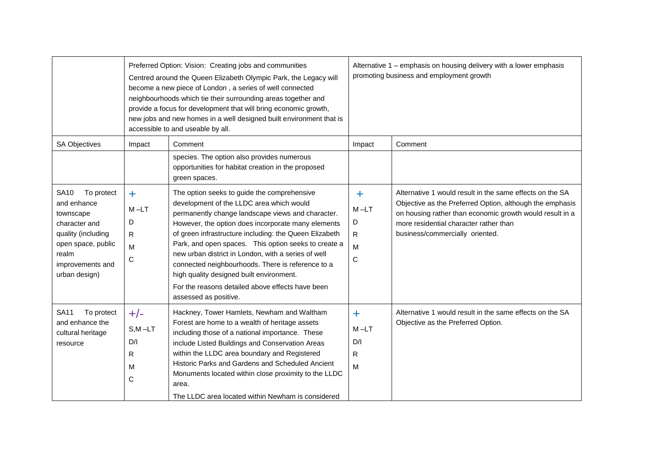|                                                                                                                                                                  |                                                                | Preferred Option: Vision: Creating jobs and communities<br>Centred around the Queen Elizabeth Olympic Park, the Legacy will<br>become a new piece of London, a series of well connected<br>neighbourhoods which tie their surrounding areas together and<br>provide a focus for development that will bring economic growth,<br>new jobs and new homes in a well designed built environment that is<br>accessible to and useable by all.                                                                                                                  | Alternative 1 - emphasis on housing delivery with a lower emphasis<br>promoting business and employment growth |                                                                                                                                                                                                                                                               |  |
|------------------------------------------------------------------------------------------------------------------------------------------------------------------|----------------------------------------------------------------|-----------------------------------------------------------------------------------------------------------------------------------------------------------------------------------------------------------------------------------------------------------------------------------------------------------------------------------------------------------------------------------------------------------------------------------------------------------------------------------------------------------------------------------------------------------|----------------------------------------------------------------------------------------------------------------|---------------------------------------------------------------------------------------------------------------------------------------------------------------------------------------------------------------------------------------------------------------|--|
| <b>SA Objectives</b>                                                                                                                                             | Impact                                                         | Comment                                                                                                                                                                                                                                                                                                                                                                                                                                                                                                                                                   | Impact                                                                                                         | Comment                                                                                                                                                                                                                                                       |  |
|                                                                                                                                                                  |                                                                | species. The option also provides numerous<br>opportunities for habitat creation in the proposed<br>green spaces.                                                                                                                                                                                                                                                                                                                                                                                                                                         |                                                                                                                |                                                                                                                                                                                                                                                               |  |
| <b>SA10</b><br>To protect<br>and enhance<br>townscape<br>character and<br>quality (including<br>open space, public<br>realm<br>improvements and<br>urban design) | $\ddot{\phantom{1}}$<br>$M-LT$<br>D<br>R.<br>M<br>$\mathsf{C}$ | The option seeks to guide the comprehensive<br>development of the LLDC area which would<br>permanently change landscape views and character.<br>However, the option does incorporate many elements<br>of green infrastructure including: the Queen Elizabeth<br>Park, and open spaces. This option seeks to create a<br>new urban district in London, with a series of well<br>connected neighbourhoods. There is reference to a<br>high quality designed built environment.<br>For the reasons detailed above effects have been<br>assessed as positive. | $\ddot{}$<br>$M - LT$<br>D<br>$\mathsf{R}$<br>M<br>$\mathsf C$                                                 | Alternative 1 would result in the same effects on the SA<br>Objective as the Preferred Option, although the emphasis<br>on housing rather than economic growth would result in a<br>more residential character rather than<br>business/commercially oriented. |  |
| To protect<br><b>SA11</b><br>and enhance the<br>cultural heritage<br>resource                                                                                    | $+/-$<br>$S, M - LT$<br>D/I<br>R<br>M<br>$\mathsf{C}$          | Hackney, Tower Hamlets, Newham and Waltham<br>Forest are home to a wealth of heritage assets<br>including those of a national importance. These<br>include Listed Buildings and Conservation Areas<br>within the LLDC area boundary and Registered<br>Historic Parks and Gardens and Scheduled Ancient<br>Monuments located within close proximity to the LLDC<br>area.<br>The LLDC area located within Newham is considered                                                                                                                              | $\ddagger$<br>$M-LT$<br>D/I<br>R.<br>M                                                                         | Alternative 1 would result in the same effects on the SA<br>Objective as the Preferred Option.                                                                                                                                                                |  |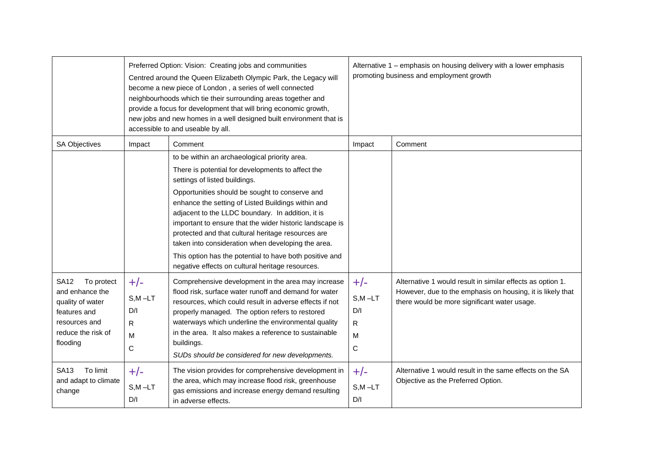|                                                                                                                                     |                                             | Preferred Option: Vision: Creating jobs and communities<br>Centred around the Queen Elizabeth Olympic Park, the Legacy will<br>become a new piece of London, a series of well connected<br>neighbourhoods which tie their surrounding areas together and<br>provide a focus for development that will bring economic growth,<br>new jobs and new homes in a well designed built environment that is<br>accessible to and useable by all. | Alternative 1 – emphasis on housing delivery with a lower emphasis<br>promoting business and employment growth |                                                                                                                                                                          |  |
|-------------------------------------------------------------------------------------------------------------------------------------|---------------------------------------------|------------------------------------------------------------------------------------------------------------------------------------------------------------------------------------------------------------------------------------------------------------------------------------------------------------------------------------------------------------------------------------------------------------------------------------------|----------------------------------------------------------------------------------------------------------------|--------------------------------------------------------------------------------------------------------------------------------------------------------------------------|--|
| SA Objectives                                                                                                                       | Impact                                      | Comment                                                                                                                                                                                                                                                                                                                                                                                                                                  | Impact                                                                                                         | Comment                                                                                                                                                                  |  |
|                                                                                                                                     |                                             | to be within an archaeological priority area.                                                                                                                                                                                                                                                                                                                                                                                            |                                                                                                                |                                                                                                                                                                          |  |
|                                                                                                                                     |                                             | There is potential for developments to affect the<br>settings of listed buildings.                                                                                                                                                                                                                                                                                                                                                       |                                                                                                                |                                                                                                                                                                          |  |
|                                                                                                                                     |                                             | Opportunities should be sought to conserve and<br>enhance the setting of Listed Buildings within and<br>adjacent to the LLDC boundary. In addition, it is<br>important to ensure that the wider historic landscape is<br>protected and that cultural heritage resources are<br>taken into consideration when developing the area.<br>This option has the potential to have both positive and                                             |                                                                                                                |                                                                                                                                                                          |  |
|                                                                                                                                     |                                             | negative effects on cultural heritage resources.                                                                                                                                                                                                                                                                                                                                                                                         |                                                                                                                |                                                                                                                                                                          |  |
| <b>SA12</b><br>To protect<br>and enhance the<br>quality of water<br>features and<br>resources and<br>reduce the risk of<br>flooding | $+/-$<br>$S, M - LT$<br>D/I<br>R.<br>M<br>C | Comprehensive development in the area may increase<br>flood risk, surface water runoff and demand for water<br>resources, which could result in adverse effects if not<br>properly managed. The option refers to restored<br>waterways which underline the environmental quality<br>in the area. It also makes a reference to sustainable<br>buildings.<br>SUDs should be considered for new developments.                               | $+/-$<br>$S, M - LT$<br>D/I<br>R<br>M<br>$\mathbf C$                                                           | Alternative 1 would result in similar effects as option 1.<br>However, due to the emphasis on housing, it is likely that<br>there would be more significant water usage. |  |
| <b>SA13</b><br>To limit<br>and adapt to climate<br>change                                                                           | $+/-$<br>$S,M-LT$<br>D/I                    | The vision provides for comprehensive development in<br>the area, which may increase flood risk, greenhouse<br>gas emissions and increase energy demand resulting<br>in adverse effects.                                                                                                                                                                                                                                                 | $+/-$<br>$S,M$ -LT<br>D/I                                                                                      | Alternative 1 would result in the same effects on the SA<br>Objective as the Preferred Option.                                                                           |  |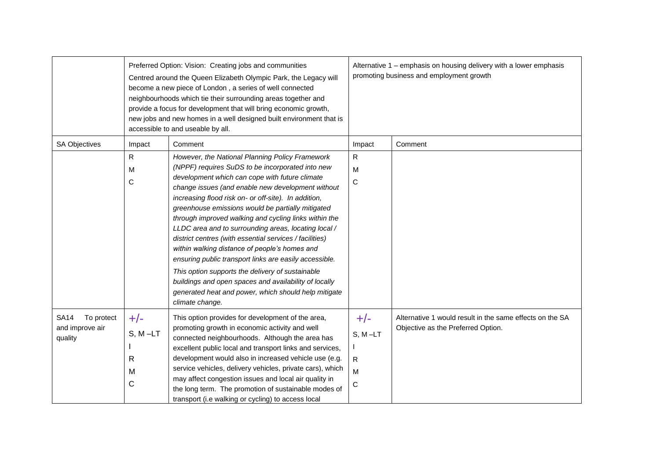|                                                         | Preferred Option: Vision: Creating jobs and communities<br>Centred around the Queen Elizabeth Olympic Park, the Legacy will<br>become a new piece of London, a series of well connected<br>neighbourhoods which tie their surrounding areas together and<br>provide a focus for development that will bring economic growth,<br>new jobs and new homes in a well designed built environment that is<br>accessible to and useable by all. |                                                                                                                                                                                                                                                                                                                                                                                                                                                                                                                                                                                                                                                                                                                                                                                                        |                                    | Alternative 1 - emphasis on housing delivery with a lower emphasis<br>promoting business and employment growth |  |  |
|---------------------------------------------------------|------------------------------------------------------------------------------------------------------------------------------------------------------------------------------------------------------------------------------------------------------------------------------------------------------------------------------------------------------------------------------------------------------------------------------------------|--------------------------------------------------------------------------------------------------------------------------------------------------------------------------------------------------------------------------------------------------------------------------------------------------------------------------------------------------------------------------------------------------------------------------------------------------------------------------------------------------------------------------------------------------------------------------------------------------------------------------------------------------------------------------------------------------------------------------------------------------------------------------------------------------------|------------------------------------|----------------------------------------------------------------------------------------------------------------|--|--|
| SA Objectives                                           | Impact                                                                                                                                                                                                                                                                                                                                                                                                                                   | Comment                                                                                                                                                                                                                                                                                                                                                                                                                                                                                                                                                                                                                                                                                                                                                                                                | Impact                             | Comment                                                                                                        |  |  |
|                                                         | $\mathsf{R}$<br>M<br>$\mathsf C$                                                                                                                                                                                                                                                                                                                                                                                                         | However, the National Planning Policy Framework<br>(NPPF) requires SuDS to be incorporated into new<br>development which can cope with future climate<br>change issues (and enable new development without<br>increasing flood risk on- or off-site). In addition,<br>greenhouse emissions would be partially mitigated<br>through improved walking and cycling links within the<br>LLDC area and to surrounding areas, locating local /<br>district centres (with essential services / facilities)<br>within walking distance of people's homes and<br>ensuring public transport links are easily accessible.<br>This option supports the delivery of sustainable<br>buildings and open spaces and availability of locally<br>generated heat and power, which should help mitigate<br>climate change. | R<br>M<br>C                        |                                                                                                                |  |  |
| <b>SA14</b><br>To protect<br>and improve air<br>quality | $+/-$<br>$S, M - LT$<br>R<br>M<br>$\mathsf{C}$                                                                                                                                                                                                                                                                                                                                                                                           | This option provides for development of the area,<br>promoting growth in economic activity and well<br>connected neighbourhoods. Although the area has<br>excellent public local and transport links and services,<br>development would also in increased vehicle use (e.g.<br>service vehicles, delivery vehicles, private cars), which<br>may affect congestion issues and local air quality in<br>the long term. The promotion of sustainable modes of<br>transport (i.e walking or cycling) to access local                                                                                                                                                                                                                                                                                        | $+/-$<br>$S, M-LT$<br>R.<br>M<br>C | Alternative 1 would result in the same effects on the SA<br>Objective as the Preferred Option.                 |  |  |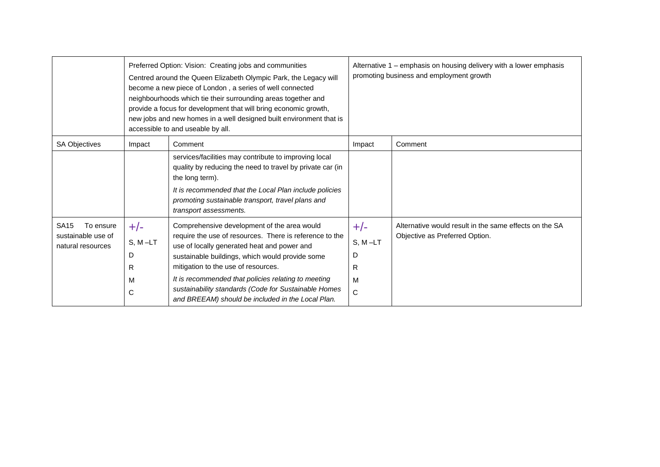|                                                                     | Preferred Option: Vision: Creating jobs and communities<br>Centred around the Queen Elizabeth Olympic Park, the Legacy will<br>become a new piece of London, a series of well connected<br>neighbourhoods which tie their surrounding areas together and<br>provide a focus for development that will bring economic growth,<br>new jobs and new homes in a well designed built environment that is<br>accessible to and useable by all. |                                                                                                                                                                                                                                                                                                                                                                                                                     |                                                   | Alternative 1 – emphasis on housing delivery with a lower emphasis<br>promoting business and employment growth |  |
|---------------------------------------------------------------------|------------------------------------------------------------------------------------------------------------------------------------------------------------------------------------------------------------------------------------------------------------------------------------------------------------------------------------------------------------------------------------------------------------------------------------------|---------------------------------------------------------------------------------------------------------------------------------------------------------------------------------------------------------------------------------------------------------------------------------------------------------------------------------------------------------------------------------------------------------------------|---------------------------------------------------|----------------------------------------------------------------------------------------------------------------|--|
| <b>SA Objectives</b>                                                | Impact                                                                                                                                                                                                                                                                                                                                                                                                                                   | Comment                                                                                                                                                                                                                                                                                                                                                                                                             | Impact                                            | Comment                                                                                                        |  |
|                                                                     |                                                                                                                                                                                                                                                                                                                                                                                                                                          | services/facilities may contribute to improving local<br>quality by reducing the need to travel by private car (in<br>the long term).<br>It is recommended that the Local Plan include policies<br>promoting sustainable transport, travel plans and<br>transport assessments.                                                                                                                                      |                                                   |                                                                                                                |  |
| <b>SA15</b><br>To ensure<br>sustainable use of<br>natural resources | $+/-$<br>$S, M-LT$<br>D<br>R<br>M<br>$\mathsf C$                                                                                                                                                                                                                                                                                                                                                                                         | Comprehensive development of the area would<br>require the use of resources. There is reference to the<br>use of locally generated heat and power and<br>sustainable buildings, which would provide some<br>mitigation to the use of resources.<br>It is recommended that policies relating to meeting<br>sustainability standards (Code for Sustainable Homes<br>and BREEAM) should be included in the Local Plan. | $+/-$<br>$S, M-LT$<br>D<br>R<br>м<br>$\mathsf{C}$ | Alternative would result in the same effects on the SA<br>Objective as Preferred Option.                       |  |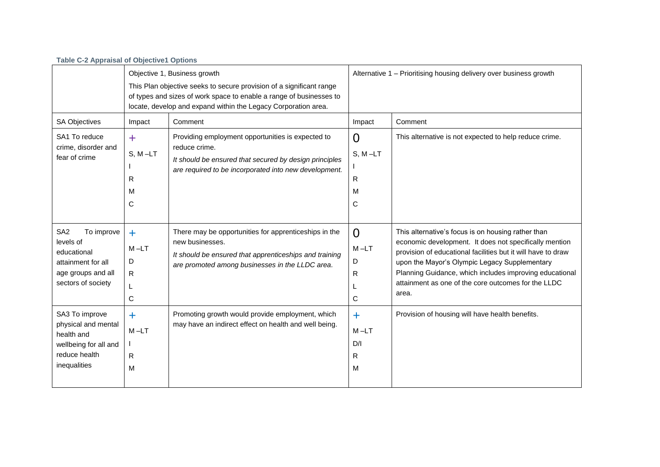| <b>Table C-2 Appraisal of Objective1 Options</b>                                                                            |                                                                                                                                                                                                                                               |                                                                                                                                                                                       |                                                                    |                                                                                                                                                                                                                                                                                                                                                          |  |
|-----------------------------------------------------------------------------------------------------------------------------|-----------------------------------------------------------------------------------------------------------------------------------------------------------------------------------------------------------------------------------------------|---------------------------------------------------------------------------------------------------------------------------------------------------------------------------------------|--------------------------------------------------------------------|----------------------------------------------------------------------------------------------------------------------------------------------------------------------------------------------------------------------------------------------------------------------------------------------------------------------------------------------------------|--|
|                                                                                                                             | Objective 1, Business growth<br>This Plan objective seeks to secure provision of a significant range<br>of types and sizes of work space to enable a range of businesses to<br>locate, develop and expand within the Legacy Corporation area. |                                                                                                                                                                                       | Alternative 1 - Prioritising housing delivery over business growth |                                                                                                                                                                                                                                                                                                                                                          |  |
| <b>SA Objectives</b>                                                                                                        | Impact                                                                                                                                                                                                                                        | Comment                                                                                                                                                                               | Impact                                                             | Comment                                                                                                                                                                                                                                                                                                                                                  |  |
| SA1 To reduce<br>crime, disorder and<br>fear of crime                                                                       | ÷<br>$S, M-LT$<br>R<br>M<br>С                                                                                                                                                                                                                 | Providing employment opportunities is expected to<br>reduce crime.<br>It should be ensured that secured by design principles<br>are required to be incorporated into new development. | 0<br>$S, M-LT$<br>R<br>м<br>С                                      | This alternative is not expected to help reduce crime.                                                                                                                                                                                                                                                                                                   |  |
| SA <sub>2</sub><br>To improve<br>levels of<br>educational<br>attainment for all<br>age groups and all<br>sectors of society | $\ddot{}$<br>$M-LT$<br>D<br>R.<br>C                                                                                                                                                                                                           | There may be opportunities for apprenticeships in the<br>new businesses.<br>It should be ensured that apprenticeships and training<br>are promoted among businesses in the LLDC area. | $\Omega$<br>$M - LT$<br>D<br>R<br>С                                | This alternative's focus is on housing rather than<br>economic development. It does not specifically mention<br>provision of educational facilities but it will have to draw<br>upon the Mayor's Olympic Legacy Supplementary<br>Planning Guidance, which includes improving educational<br>attainment as one of the core outcomes for the LLDC<br>area. |  |
| SA3 To improve<br>physical and mental<br>health and<br>wellbeing for all and<br>reduce health<br>inequalities               | ٠<br>$M-LT$<br>R<br>М                                                                                                                                                                                                                         | Promoting growth would provide employment, which<br>may have an indirect effect on health and well being.                                                                             | $\ddag$<br>$M-LT$<br>D/I<br>R<br>м                                 | Provision of housing will have health benefits.                                                                                                                                                                                                                                                                                                          |  |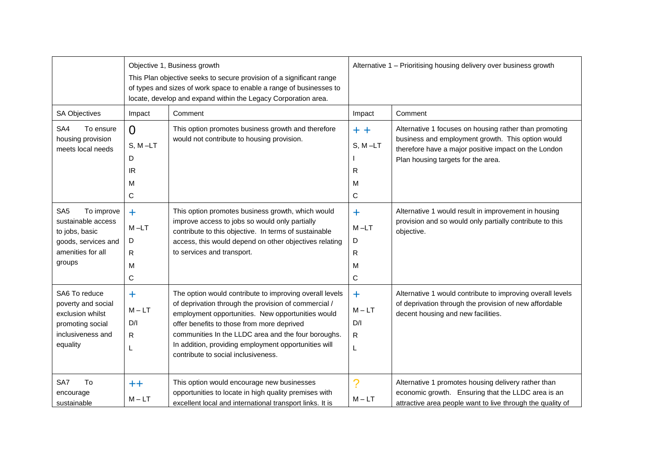|                                                                                                                             |                                            | Objective 1, Business growth<br>This Plan objective seeks to secure provision of a significant range<br>of types and sizes of work space to enable a range of businesses to<br>locate, develop and expand within the Legacy Corporation area.                                                                                                                            | Alternative 1 - Prioritising housing delivery over business growth |                                                                                                                                                                                                           |
|-----------------------------------------------------------------------------------------------------------------------------|--------------------------------------------|--------------------------------------------------------------------------------------------------------------------------------------------------------------------------------------------------------------------------------------------------------------------------------------------------------------------------------------------------------------------------|--------------------------------------------------------------------|-----------------------------------------------------------------------------------------------------------------------------------------------------------------------------------------------------------|
| <b>SA Objectives</b>                                                                                                        | Impact                                     | Comment                                                                                                                                                                                                                                                                                                                                                                  | Impact                                                             | Comment                                                                                                                                                                                                   |
| SA4<br>To ensure<br>housing provision<br>meets local needs                                                                  | $\Omega$<br>$S, M-LT$<br>D<br>IR<br>M<br>C | This option promotes business growth and therefore<br>would not contribute to housing provision.                                                                                                                                                                                                                                                                         | $+ +$<br>$S, M-LT$<br>R<br>M<br>C                                  | Alternative 1 focuses on housing rather than promoting<br>business and employment growth. This option would<br>therefore have a major positive impact on the London<br>Plan housing targets for the area. |
| SA <sub>5</sub><br>To improve<br>sustainable access<br>to jobs, basic<br>goods, services and<br>amenities for all<br>groups | $+$<br>$M-LT$<br>D<br>R<br>M<br>С          | This option promotes business growth, which would<br>improve access to jobs so would only partially<br>contribute to this objective. In terms of sustainable<br>access, this would depend on other objectives relating<br>to services and transport.                                                                                                                     | ÷.<br>$M - LT$<br>D<br>R<br>м<br>$\mathsf{C}$                      | Alternative 1 would result in improvement in housing<br>provision and so would only partially contribute to this<br>objective.                                                                            |
| SA6 To reduce<br>poverty and social<br>exclusion whilst<br>promoting social<br>inclusiveness and<br>equality                | $\ddag$<br>$M - LT$<br>D/I<br>R<br>L       | The option would contribute to improving overall levels<br>of deprivation through the provision of commercial /<br>employment opportunities. New opportunities would<br>offer benefits to those from more deprived<br>communities In the LLDC area and the four boroughs.<br>In addition, providing employment opportunities will<br>contribute to social inclusiveness. | $\ddot{}$<br>$M - LT$<br>D/I<br>R.<br>L                            | Alternative 1 would contribute to improving overall levels<br>of deprivation through the provision of new affordable<br>decent housing and new facilities.                                                |
| SA7<br>To<br>encourage<br>sustainable                                                                                       | $^{\mathrm{++}}$<br>$M - LT$               | This option would encourage new businesses<br>opportunities to locate in high quality premises with<br>excellent local and international transport links. It is                                                                                                                                                                                                          | $\mathcal{P}$<br>$M - LT$                                          | Alternative 1 promotes housing delivery rather than<br>economic growth. Ensuring that the LLDC area is an<br>attractive area people want to live through the quality of                                   |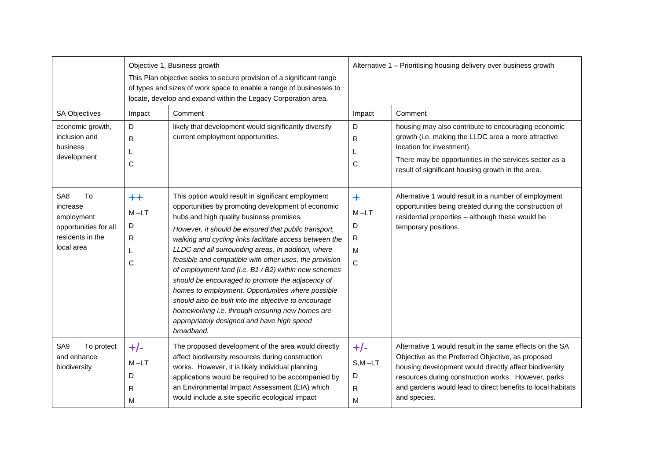|                                                                                                            |                                                  | Objective 1, Business growth<br>This Plan objective seeks to secure provision of a significant range<br>of types and sizes of work space to enable a range of businesses to<br>locate, develop and expand within the Legacy Corporation area.                                                                                                                                                                                                                                                                                                                                                                                                                                                                                   | Alternative 1 - Prioritising housing delivery over business growth |                                                                                                                                                                                                                                                                                                               |
|------------------------------------------------------------------------------------------------------------|--------------------------------------------------|---------------------------------------------------------------------------------------------------------------------------------------------------------------------------------------------------------------------------------------------------------------------------------------------------------------------------------------------------------------------------------------------------------------------------------------------------------------------------------------------------------------------------------------------------------------------------------------------------------------------------------------------------------------------------------------------------------------------------------|--------------------------------------------------------------------|---------------------------------------------------------------------------------------------------------------------------------------------------------------------------------------------------------------------------------------------------------------------------------------------------------------|
| SA Objectives<br>economic growth,<br>inclusion and<br>business<br>development                              | Impact<br>D<br>R<br>L<br>C                       | Comment<br>likely that development would significantly diversify<br>current employment opportunities.                                                                                                                                                                                                                                                                                                                                                                                                                                                                                                                                                                                                                           | Impact<br>D<br>R<br>C                                              | Comment<br>housing may also contribute to encouraging economic<br>growth (i.e. making the LLDC area a more attractive<br>location for investment).<br>There may be opportunities in the services sector as a<br>result of significant housing growth in the area.                                             |
| SA <sub>8</sub><br>To<br>increase<br>employment<br>opportunities for all<br>residents in the<br>local area | $^{\mathrm{++}}$<br>$M - LT$<br>D<br>R<br>L<br>C | This option would result in significant employment<br>opportunities by promoting development of economic<br>hubs and high quality business premises.<br>However, it should be ensured that public transport,<br>walking and cycling links facilitate access between the<br>LLDC and all surrounding areas. In addition, where<br>feasible and compatible with other uses, the provision<br>of employment land (i.e. B1 / B2) within new schemes<br>should be encouraged to promote the adjacency of<br>homes to employment. Opportunities where possible<br>should also be built into the objective to encourage<br>homeworking i.e. through ensuring new homes are<br>appropriately designed and have high speed<br>broadband. | $\ddagger$<br>$M - LT$<br>D<br>R<br>м<br>$\mathsf{C}$              | Alternative 1 would result in a number of employment<br>opportunities being created during the construction of<br>residential properties - although these would be<br>temporary positions.                                                                                                                    |
| SA9<br>To protect<br>and enhance<br>biodiversity                                                           | $+/-$<br>$M-LT$<br>D<br>R<br>M                   | The proposed development of the area would directly<br>affect biodiversity resources during construction<br>works. However, it is likely individual planning<br>applications would be required to be accompanied by<br>an Environmental Impact Assessment (EIA) which<br>would include a site specific ecological impact                                                                                                                                                                                                                                                                                                                                                                                                        | $+/-$<br>$S, M - LT$<br>D<br>R<br>м                                | Alternative 1 would result in the same effects on the SA<br>Objective as the Preferred Objective, as proposed<br>housing development would directly affect biodiversity<br>resources during construction works. However, parks<br>and gardens would lead to direct benefits to local habitats<br>and species. |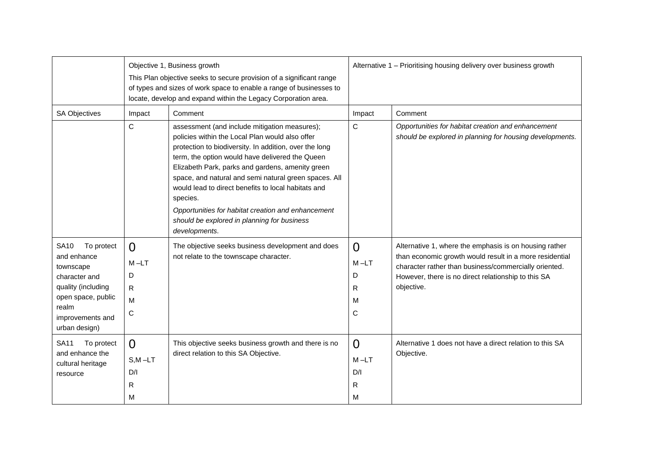|                                                                                                                                                                  |                                         | Objective 1, Business growth<br>This Plan objective seeks to secure provision of a significant range<br>of types and sizes of work space to enable a range of businesses to<br>locate, develop and expand within the Legacy Corporation area.                                                                                                                                                                                                                                                                       | Alternative 1 - Prioritising housing delivery over business growth |                                                                                                                                                                                                                                                 |
|------------------------------------------------------------------------------------------------------------------------------------------------------------------|-----------------------------------------|---------------------------------------------------------------------------------------------------------------------------------------------------------------------------------------------------------------------------------------------------------------------------------------------------------------------------------------------------------------------------------------------------------------------------------------------------------------------------------------------------------------------|--------------------------------------------------------------------|-------------------------------------------------------------------------------------------------------------------------------------------------------------------------------------------------------------------------------------------------|
| <b>SA Objectives</b>                                                                                                                                             | Impact                                  | Comment                                                                                                                                                                                                                                                                                                                                                                                                                                                                                                             | Impact                                                             | Comment                                                                                                                                                                                                                                         |
|                                                                                                                                                                  | $\mathsf{C}$                            | assessment (and include mitigation measures);<br>policies within the Local Plan would also offer<br>protection to biodiversity. In addition, over the long<br>term, the option would have delivered the Queen<br>Elizabeth Park, parks and gardens, amenity green<br>space, and natural and semi natural green spaces. All<br>would lead to direct benefits to local habitats and<br>species.<br>Opportunities for habitat creation and enhancement<br>should be explored in planning for business<br>developments. | $\mathsf{C}$                                                       | Opportunities for habitat creation and enhancement<br>should be explored in planning for housing developments.                                                                                                                                  |
| To protect<br><b>SA10</b><br>and enhance<br>townscape<br>character and<br>quality (including<br>open space, public<br>realm<br>improvements and<br>urban design) | $\Omega$<br>$M-LT$<br>D<br>R<br>M<br>C  | The objective seeks business development and does<br>not relate to the townscape character.                                                                                                                                                                                                                                                                                                                                                                                                                         | $\overline{0}$<br>M-LT<br>D<br>R<br>м<br>C                         | Alternative 1, where the emphasis is on housing rather<br>than economic growth would result in a more residential<br>character rather than business/commercially oriented.<br>However, there is no direct relationship to this SA<br>objective. |
| <b>SA11</b><br>To protect<br>and enhance the<br>cultural heritage<br>resource                                                                                    | $\Omega$<br>$S.M - LT$<br>D/I<br>R<br>M | This objective seeks business growth and there is no<br>direct relation to this SA Objective.                                                                                                                                                                                                                                                                                                                                                                                                                       | $\Omega$<br>$M-LT$<br>D/I<br>R<br>м                                | Alternative 1 does not have a direct relation to this SA<br>Objective.                                                                                                                                                                          |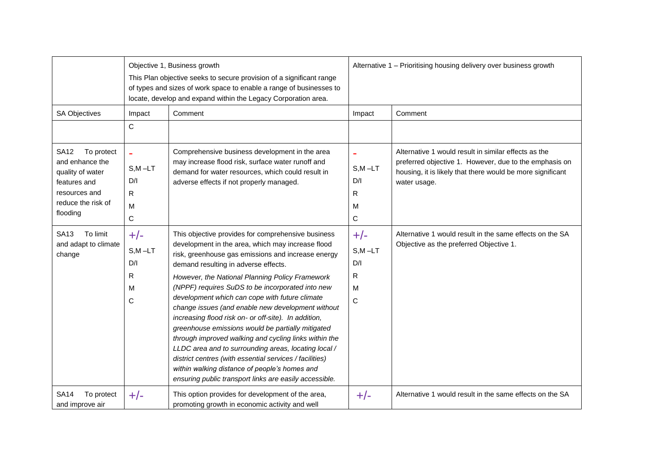|                                                                                                                                     |                                                            | Objective 1, Business growth<br>This Plan objective seeks to secure provision of a significant range<br>of types and sizes of work space to enable a range of businesses to<br>locate, develop and expand within the Legacy Corporation area.                                                                                                                                                                                                                                                                                                                                                                                                                                                                                                                                                                           | Alternative 1 - Prioritising housing delivery over business growth |                                                                                                                                                                                              |
|-------------------------------------------------------------------------------------------------------------------------------------|------------------------------------------------------------|-------------------------------------------------------------------------------------------------------------------------------------------------------------------------------------------------------------------------------------------------------------------------------------------------------------------------------------------------------------------------------------------------------------------------------------------------------------------------------------------------------------------------------------------------------------------------------------------------------------------------------------------------------------------------------------------------------------------------------------------------------------------------------------------------------------------------|--------------------------------------------------------------------|----------------------------------------------------------------------------------------------------------------------------------------------------------------------------------------------|
| <b>SA Objectives</b>                                                                                                                | Impact<br>C                                                | Comment                                                                                                                                                                                                                                                                                                                                                                                                                                                                                                                                                                                                                                                                                                                                                                                                                 | Impact                                                             | Comment                                                                                                                                                                                      |
| <b>SA12</b><br>To protect<br>and enhance the<br>quality of water<br>features and<br>resources and<br>reduce the risk of<br>flooding | $\blacksquare$<br>$S, M - LT$<br>D/I<br>R<br>M             | Comprehensive business development in the area<br>may increase flood risk, surface water runoff and<br>demand for water resources, which could result in<br>adverse effects if not properly managed.                                                                                                                                                                                                                                                                                                                                                                                                                                                                                                                                                                                                                    | $S, M - LT$<br>D/I<br>R<br>м                                       | Alternative 1 would result in similar effects as the<br>preferred objective 1. However, due to the emphasis on<br>housing, it is likely that there would be more significant<br>water usage. |
| To limit<br>SA <sub>13</sub><br>and adapt to climate<br>change                                                                      | $\mathsf{C}$<br>$+/-$<br>$S, M - LT$<br>D/I<br>R<br>M<br>C | This objective provides for comprehensive business<br>development in the area, which may increase flood<br>risk, greenhouse gas emissions and increase energy<br>demand resulting in adverse effects.<br>However, the National Planning Policy Framework<br>(NPPF) requires SuDS to be incorporated into new<br>development which can cope with future climate<br>change issues (and enable new development without<br>increasing flood risk on- or off-site). In addition,<br>greenhouse emissions would be partially mitigated<br>through improved walking and cycling links within the<br>LLDC area and to surrounding areas, locating local /<br>district centres (with essential services / facilities)<br>within walking distance of people's homes and<br>ensuring public transport links are easily accessible. | C<br>$+/-$<br>$S, M - LT$<br>D/I<br>R<br>м<br>C                    | Alternative 1 would result in the same effects on the SA<br>Objective as the preferred Objective 1.                                                                                          |
| To protect<br><b>SA14</b><br>and improve air                                                                                        | $+/-$                                                      | This option provides for development of the area,<br>promoting growth in economic activity and well                                                                                                                                                                                                                                                                                                                                                                                                                                                                                                                                                                                                                                                                                                                     | $+/-$                                                              | Alternative 1 would result in the same effects on the SA                                                                                                                                     |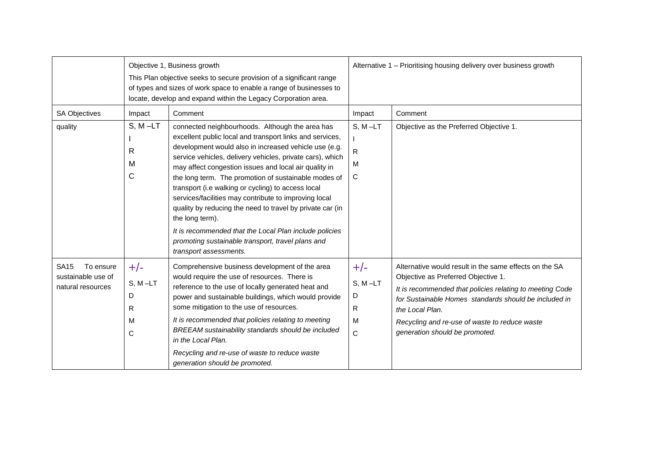|                                                                     |                                        | Objective 1, Business growth<br>This Plan objective seeks to secure provision of a significant range<br>of types and sizes of work space to enable a range of businesses to<br>locate, develop and expand within the Legacy Corporation area.                                                                                                                                                                                                                                                                                                                                                                                                                                              | Alternative 1 - Prioritising housing delivery over business growth |                                                                                                                                                                                                                                                                                                                          |  |
|---------------------------------------------------------------------|----------------------------------------|--------------------------------------------------------------------------------------------------------------------------------------------------------------------------------------------------------------------------------------------------------------------------------------------------------------------------------------------------------------------------------------------------------------------------------------------------------------------------------------------------------------------------------------------------------------------------------------------------------------------------------------------------------------------------------------------|--------------------------------------------------------------------|--------------------------------------------------------------------------------------------------------------------------------------------------------------------------------------------------------------------------------------------------------------------------------------------------------------------------|--|
| <b>SA Objectives</b>                                                | Impact                                 | Comment                                                                                                                                                                                                                                                                                                                                                                                                                                                                                                                                                                                                                                                                                    | Impact                                                             | Comment                                                                                                                                                                                                                                                                                                                  |  |
| quality                                                             | $S, M-LT$<br>R<br>M<br>C               | connected neighbourhoods. Although the area has<br>excellent public local and transport links and services,<br>development would also in increased vehicle use (e.g.<br>service vehicles, delivery vehicles, private cars), which<br>may affect congestion issues and local air quality in<br>the long term. The promotion of sustainable modes of<br>transport (i.e walking or cycling) to access local<br>services/facilities may contribute to improving local<br>quality by reducing the need to travel by private car (in<br>the long term).<br>It is recommended that the Local Plan include policies<br>promoting sustainable transport, travel plans and<br>transport assessments. | $S, M-LT$<br>R.<br>м<br>C                                          | Objective as the Preferred Objective 1.                                                                                                                                                                                                                                                                                  |  |
| To ensure<br><b>SA15</b><br>sustainable use of<br>natural resources | $+/-$<br>$S, M-LT$<br>D<br>R<br>M<br>C | Comprehensive business development of the area<br>would require the use of resources. There is<br>reference to the use of locally generated heat and<br>power and sustainable buildings, which would provide<br>some mitigation to the use of resources.<br>It is recommended that policies relating to meeting<br>BREEAM sustainability standards should be included<br>in the Local Plan.<br>Recycling and re-use of waste to reduce waste<br>generation should be promoted.                                                                                                                                                                                                             | $+/-$<br>$S, M-LT$<br>D<br>R<br>м<br>C                             | Alternative would result in the same effects on the SA<br>Objective as Preferred Objective 1.<br>It is recommended that policies relating to meeting Code<br>for Sustainable Homes standards should be included in<br>the Local Plan.<br>Recycling and re-use of waste to reduce waste<br>generation should be promoted. |  |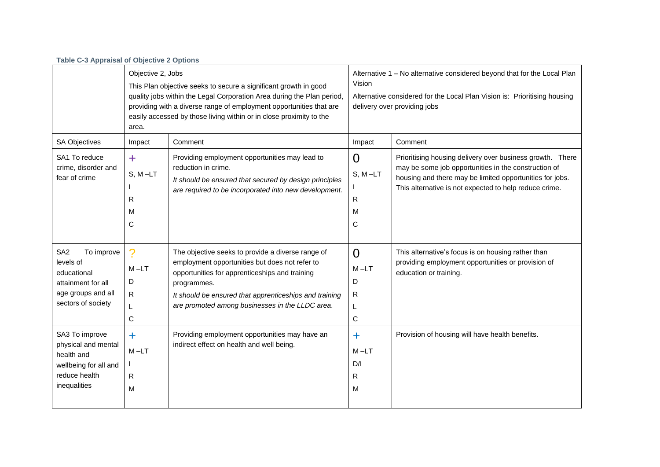| <b>Table C-3 Appraisal of Objective 2 Options</b>                                                                           |                                                                                                                                                                                                                                                                                                                        |                                                                                                                                                                                                                                                                                   |                                                                                                                                                                                                 |                                                                                                                                                                                                                                         |
|-----------------------------------------------------------------------------------------------------------------------------|------------------------------------------------------------------------------------------------------------------------------------------------------------------------------------------------------------------------------------------------------------------------------------------------------------------------|-----------------------------------------------------------------------------------------------------------------------------------------------------------------------------------------------------------------------------------------------------------------------------------|-------------------------------------------------------------------------------------------------------------------------------------------------------------------------------------------------|-----------------------------------------------------------------------------------------------------------------------------------------------------------------------------------------------------------------------------------------|
|                                                                                                                             | Objective 2, Jobs<br>This Plan objective seeks to secure a significant growth in good<br>quality jobs within the Legal Corporation Area during the Plan period,<br>providing with a diverse range of employment opportunities that are<br>easily accessed by those living within or in close proximity to the<br>area. |                                                                                                                                                                                                                                                                                   | Alternative 1 - No alternative considered beyond that for the Local Plan<br>Vision<br>Alternative considered for the Local Plan Vision is: Prioritising housing<br>delivery over providing jobs |                                                                                                                                                                                                                                         |
| SA Objectives                                                                                                               | Impact                                                                                                                                                                                                                                                                                                                 | Comment                                                                                                                                                                                                                                                                           | Impact                                                                                                                                                                                          | Comment                                                                                                                                                                                                                                 |
| SA1 To reduce<br>crime, disorder and<br>fear of crime                                                                       | $\ddag$<br>$S, M-LT$<br>R<br>M<br>С                                                                                                                                                                                                                                                                                    | Providing employment opportunities may lead to<br>reduction in crime.<br>It should be ensured that secured by design principles<br>are required to be incorporated into new development.                                                                                          | $\Omega$<br>$S, M-LT$<br>$\mathsf{R}$<br>M<br>С                                                                                                                                                 | Prioritising housing delivery over business growth. There<br>may be some job opportunities in the construction of<br>housing and there may be limited opportunities for jobs.<br>This alternative is not expected to help reduce crime. |
| SA <sub>2</sub><br>To improve<br>levels of<br>educational<br>attainment for all<br>age groups and all<br>sectors of society | ?<br>$M - LT$<br>D<br>R<br>L<br>C                                                                                                                                                                                                                                                                                      | The objective seeks to provide a diverse range of<br>employment opportunities but does not refer to<br>opportunities for apprenticeships and training<br>programmes.<br>It should be ensured that apprenticeships and training<br>are promoted among businesses in the LLDC area. | $\Omega$<br>$M - LT$<br>D<br>R<br>L<br>$\mathbf C$                                                                                                                                              | This alternative's focus is on housing rather than<br>providing employment opportunities or provision of<br>education or training.                                                                                                      |
| SA3 To improve<br>physical and mental<br>health and<br>wellbeing for all and<br>reduce health<br>inequalities               | $\ddot{\phantom{1}}$<br>$M-LT$<br>R<br>M                                                                                                                                                                                                                                                                               | Providing employment opportunities may have an<br>indirect effect on health and well being.                                                                                                                                                                                       | ٠<br>$M - LT$<br>D/I<br>R<br>M                                                                                                                                                                  | Provision of housing will have health benefits.                                                                                                                                                                                         |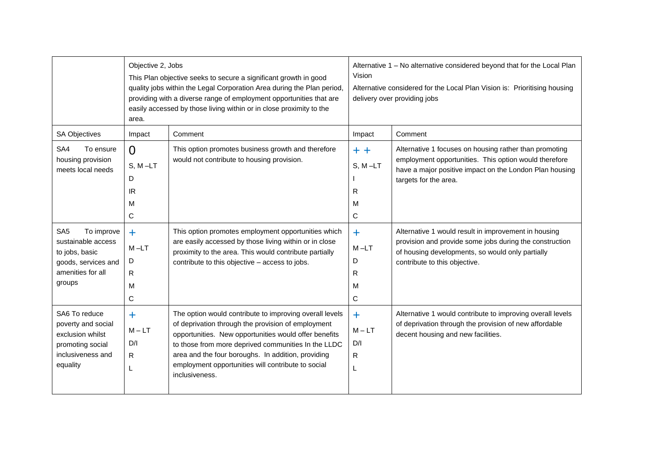|                                                                                                                   | Objective 2, Jobs<br>This Plan objective seeks to secure a significant growth in good<br>quality jobs within the Legal Corporation Area during the Plan period,<br>providing with a diverse range of employment opportunities that are<br>easily accessed by those living within or in close proximity to the<br>area. |                                                                                                                                                                                                                                                                                                                                                             | Alternative 1 - No alternative considered beyond that for the Local Plan<br>Vision<br>Alternative considered for the Local Plan Vision is: Prioritising housing<br>delivery over providing jobs |                                                                                                                                                                                                                                                                                                                        |
|-------------------------------------------------------------------------------------------------------------------|------------------------------------------------------------------------------------------------------------------------------------------------------------------------------------------------------------------------------------------------------------------------------------------------------------------------|-------------------------------------------------------------------------------------------------------------------------------------------------------------------------------------------------------------------------------------------------------------------------------------------------------------------------------------------------------------|-------------------------------------------------------------------------------------------------------------------------------------------------------------------------------------------------|------------------------------------------------------------------------------------------------------------------------------------------------------------------------------------------------------------------------------------------------------------------------------------------------------------------------|
| SA Objectives                                                                                                     | Impact                                                                                                                                                                                                                                                                                                                 | Comment                                                                                                                                                                                                                                                                                                                                                     | Impact                                                                                                                                                                                          | Comment                                                                                                                                                                                                                                                                                                                |
| SA4<br>To ensure<br>housing provision<br>meets local needs<br>SA <sub>5</sub><br>To improve<br>sustainable access | $\Omega$<br>$S, M-LT$<br>D<br>IR.<br>M<br>C<br>$+$                                                                                                                                                                                                                                                                     | This option promotes business growth and therefore<br>would not contribute to housing provision.<br>This option promotes employment opportunities which                                                                                                                                                                                                     | $+ +$<br>$S, M-LT$<br>R<br>M<br>C<br>$\ddagger$                                                                                                                                                 | Alternative 1 focuses on housing rather than promoting<br>employment opportunities. This option would therefore<br>have a major positive impact on the London Plan housing<br>targets for the area.<br>Alternative 1 would result in improvement in housing<br>provision and provide some jobs during the construction |
| to jobs, basic<br>goods, services and<br>amenities for all<br>groups                                              | $M - LT$<br>D<br>$\mathsf{R}$<br>M<br>C                                                                                                                                                                                                                                                                                | are easily accessed by those living within or in close<br>proximity to the area. This would contribute partially<br>contribute to this objective - access to jobs.                                                                                                                                                                                          | $M-LT$<br>D<br>R<br>м<br>C                                                                                                                                                                      | of housing developments, so would only partially<br>contribute to this objective.                                                                                                                                                                                                                                      |
| SA6 To reduce<br>poverty and social<br>exclusion whilst<br>promoting social<br>inclusiveness and<br>equality      | $\ddagger$<br>$M - LT$<br>D/I<br>R<br>L                                                                                                                                                                                                                                                                                | The option would contribute to improving overall levels<br>of deprivation through the provision of employment<br>opportunities. New opportunities would offer benefits<br>to those from more deprived communities In the LLDC<br>area and the four boroughs. In addition, providing<br>employment opportunities will contribute to social<br>inclusiveness. | $\ddagger$<br>$M - LT$<br>D/I<br>R<br>L                                                                                                                                                         | Alternative 1 would contribute to improving overall levels<br>of deprivation through the provision of new affordable<br>decent housing and new facilities.                                                                                                                                                             |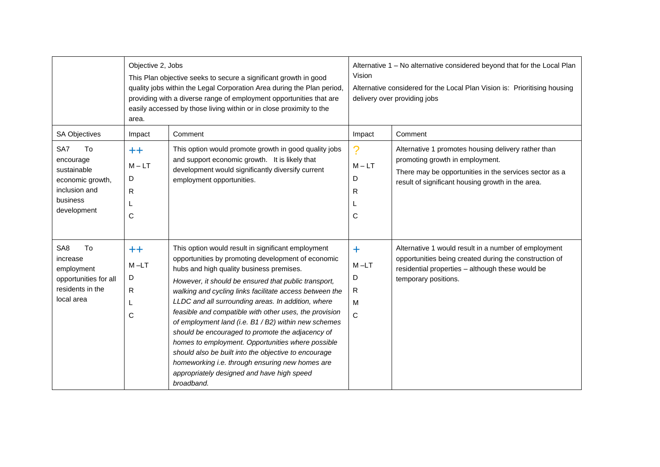|                                                                                                            | Objective 2, Jobs<br>area.           | This Plan objective seeks to secure a significant growth in good<br>quality jobs within the Legal Corporation Area during the Plan period,<br>providing with a diverse range of employment opportunities that are<br>easily accessed by those living within or in close proximity to the                                                                                                                                                                                                                                                                                                                                                                                                                                        | Vision                                              | Alternative 1 - No alternative considered beyond that for the Local Plan<br>Alternative considered for the Local Plan Vision is: Prioritising housing<br>delivery over providing jobs      |
|------------------------------------------------------------------------------------------------------------|--------------------------------------|---------------------------------------------------------------------------------------------------------------------------------------------------------------------------------------------------------------------------------------------------------------------------------------------------------------------------------------------------------------------------------------------------------------------------------------------------------------------------------------------------------------------------------------------------------------------------------------------------------------------------------------------------------------------------------------------------------------------------------|-----------------------------------------------------|--------------------------------------------------------------------------------------------------------------------------------------------------------------------------------------------|
| <b>SA Objectives</b><br>SA7<br>To                                                                          | Impact<br>$++$                       | Comment<br>This option would promote growth in good quality jobs                                                                                                                                                                                                                                                                                                                                                                                                                                                                                                                                                                                                                                                                | Impact<br>2                                         | Comment<br>Alternative 1 promotes housing delivery rather than                                                                                                                             |
| encourage<br>sustainable<br>economic growth,<br>inclusion and<br>business<br>development                   | $M - LT$<br>D<br>R<br>L<br>C         | and support economic growth. It is likely that<br>development would significantly diversify current<br>employment opportunities.                                                                                                                                                                                                                                                                                                                                                                                                                                                                                                                                                                                                | $M - LT$<br>D<br>R<br>C                             | promoting growth in employment.<br>There may be opportunities in the services sector as a<br>result of significant housing growth in the area.                                             |
| To<br>SA <sub>8</sub><br>increase<br>employment<br>opportunities for all<br>residents in the<br>local area | $++$<br>$M - LT$<br>D<br>R<br>L<br>C | This option would result in significant employment<br>opportunities by promoting development of economic<br>hubs and high quality business premises.<br>However, it should be ensured that public transport,<br>walking and cycling links facilitate access between the<br>LLDC and all surrounding areas. In addition, where<br>feasible and compatible with other uses, the provision<br>of employment land (i.e. B1 / B2) within new schemes<br>should be encouraged to promote the adjacency of<br>homes to employment. Opportunities where possible<br>should also be built into the objective to encourage<br>homeworking i.e. through ensuring new homes are<br>appropriately designed and have high speed<br>broadband. | $\ddagger$<br>$M-LT$<br>D<br>R<br>M<br>$\mathsf{C}$ | Alternative 1 would result in a number of employment<br>opportunities being created during the construction of<br>residential properties - although these would be<br>temporary positions. |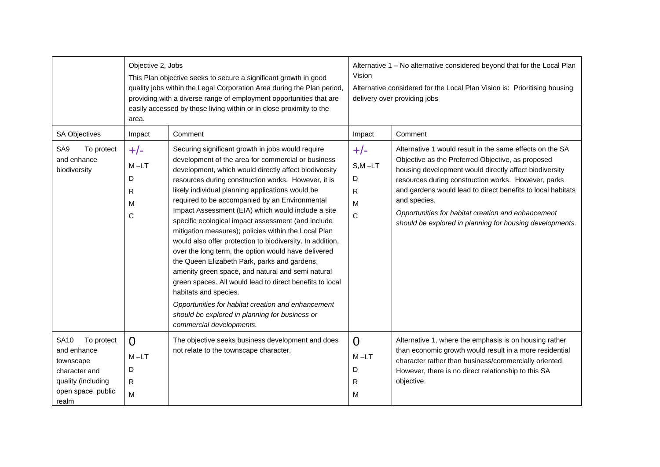|                                                                                                                             | Objective 2, Jobs<br>This Plan objective seeks to secure a significant growth in good<br>quality jobs within the Legal Corporation Area during the Plan period,<br>providing with a diverse range of employment opportunities that are<br>easily accessed by those living within or in close proximity to the<br>area. |                                                                                                                                                                                                                                                                                                                                                                                                                                                                                                                                                                                                                                                                                                                                                                                                                                                                                                                                                     | Alternative 1 - No alternative considered beyond that for the Local Plan<br>Vision<br>Alternative considered for the Local Plan Vision is: Prioritising housing<br>delivery over providing jobs |                                                                                                                                                                                                                                                                                                                                                                                                                                 |  |
|-----------------------------------------------------------------------------------------------------------------------------|------------------------------------------------------------------------------------------------------------------------------------------------------------------------------------------------------------------------------------------------------------------------------------------------------------------------|-----------------------------------------------------------------------------------------------------------------------------------------------------------------------------------------------------------------------------------------------------------------------------------------------------------------------------------------------------------------------------------------------------------------------------------------------------------------------------------------------------------------------------------------------------------------------------------------------------------------------------------------------------------------------------------------------------------------------------------------------------------------------------------------------------------------------------------------------------------------------------------------------------------------------------------------------------|-------------------------------------------------------------------------------------------------------------------------------------------------------------------------------------------------|---------------------------------------------------------------------------------------------------------------------------------------------------------------------------------------------------------------------------------------------------------------------------------------------------------------------------------------------------------------------------------------------------------------------------------|--|
| <b>SA Objectives</b>                                                                                                        | Impact                                                                                                                                                                                                                                                                                                                 | Comment                                                                                                                                                                                                                                                                                                                                                                                                                                                                                                                                                                                                                                                                                                                                                                                                                                                                                                                                             | Impact                                                                                                                                                                                          | Comment                                                                                                                                                                                                                                                                                                                                                                                                                         |  |
| SA <sub>9</sub><br>To protect<br>and enhance<br>biodiversity                                                                | $+/-$<br>$M - LT$<br>D<br>R<br>M<br>C                                                                                                                                                                                                                                                                                  | Securing significant growth in jobs would require<br>development of the area for commercial or business<br>development, which would directly affect biodiversity<br>resources during construction works. However, it is<br>likely individual planning applications would be<br>required to be accompanied by an Environmental<br>Impact Assessment (EIA) which would include a site<br>specific ecological impact assessment (and include<br>mitigation measures); policies within the Local Plan<br>would also offer protection to biodiversity. In addition,<br>over the long term, the option would have delivered<br>the Queen Elizabeth Park, parks and gardens,<br>amenity green space, and natural and semi natural<br>green spaces. All would lead to direct benefits to local<br>habitats and species.<br>Opportunities for habitat creation and enhancement<br>should be explored in planning for business or<br>commercial developments. | $+/-$<br>$S, M - LT$<br>D<br>R<br>M<br>C                                                                                                                                                        | Alternative 1 would result in the same effects on the SA<br>Objective as the Preferred Objective, as proposed<br>housing development would directly affect biodiversity<br>resources during construction works. However, parks<br>and gardens would lead to direct benefits to local habitats<br>and species.<br>Opportunities for habitat creation and enhancement<br>should be explored in planning for housing developments. |  |
| To protect<br><b>SA10</b><br>and enhance<br>townscape<br>character and<br>quality (including<br>open space, public<br>realm | $\Omega$<br>$M-LT$<br>D<br>$\mathsf{R}$<br>M                                                                                                                                                                                                                                                                           | The objective seeks business development and does<br>not relate to the townscape character.                                                                                                                                                                                                                                                                                                                                                                                                                                                                                                                                                                                                                                                                                                                                                                                                                                                         | $\Omega$<br>M-LT<br>D<br>R<br>м                                                                                                                                                                 | Alternative 1, where the emphasis is on housing rather<br>than economic growth would result in a more residential<br>character rather than business/commercially oriented.<br>However, there is no direct relationship to this SA<br>objective.                                                                                                                                                                                 |  |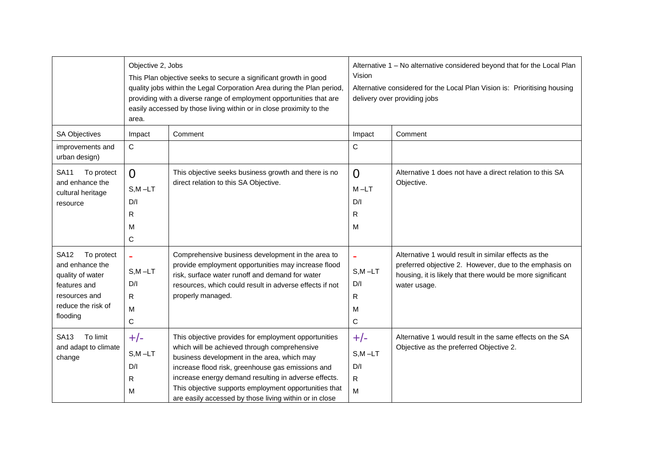|                                      | Objective 2, Jobs<br>area. | This Plan objective seeks to secure a significant growth in good<br>quality jobs within the Legal Corporation Area during the Plan period,<br>providing with a diverse range of employment opportunities that are<br>easily accessed by those living within or in close proximity to the | Alternative 1 - No alternative considered beyond that for the Local Plan<br>Vision<br>Alternative considered for the Local Plan Vision is: Prioritising housing<br>delivery over providing jobs |                                                                                                                      |
|--------------------------------------|----------------------------|------------------------------------------------------------------------------------------------------------------------------------------------------------------------------------------------------------------------------------------------------------------------------------------|-------------------------------------------------------------------------------------------------------------------------------------------------------------------------------------------------|----------------------------------------------------------------------------------------------------------------------|
| <b>SA Objectives</b>                 | Impact                     | Comment                                                                                                                                                                                                                                                                                  | Impact                                                                                                                                                                                          | Comment                                                                                                              |
| improvements and<br>urban design)    | $\mathsf{C}$               |                                                                                                                                                                                                                                                                                          | $\mathsf{C}$                                                                                                                                                                                    |                                                                                                                      |
| <b>SA11</b><br>To protect            | $\Omega$                   | This objective seeks business growth and there is no                                                                                                                                                                                                                                     | $\Omega$                                                                                                                                                                                        | Alternative 1 does not have a direct relation to this SA                                                             |
| and enhance the<br>cultural heritage | $S, M - LT$                | direct relation to this SA Objective.                                                                                                                                                                                                                                                    | $M-LT$                                                                                                                                                                                          | Objective.                                                                                                           |
| resource                             | D/I                        |                                                                                                                                                                                                                                                                                          | D/I                                                                                                                                                                                             |                                                                                                                      |
|                                      | R                          |                                                                                                                                                                                                                                                                                          | R                                                                                                                                                                                               |                                                                                                                      |
|                                      | M                          |                                                                                                                                                                                                                                                                                          | м                                                                                                                                                                                               |                                                                                                                      |
|                                      | C                          |                                                                                                                                                                                                                                                                                          |                                                                                                                                                                                                 |                                                                                                                      |
| To protect<br><b>SA12</b>            | $\blacksquare$             | Comprehensive business development in the area to                                                                                                                                                                                                                                        |                                                                                                                                                                                                 | Alternative 1 would result in similar effects as the                                                                 |
| and enhance the<br>quality of water  | $S, M - LT$                | provide employment opportunities may increase flood<br>risk, surface water runoff and demand for water                                                                                                                                                                                   | $S, M - LT$                                                                                                                                                                                     | preferred objective 2. However, due to the emphasis on<br>housing, it is likely that there would be more significant |
| features and                         | D/I                        | resources, which could result in adverse effects if not                                                                                                                                                                                                                                  | D/I                                                                                                                                                                                             | water usage.                                                                                                         |
| resources and<br>reduce the risk of  | $\mathsf{R}$               | properly managed.                                                                                                                                                                                                                                                                        | R                                                                                                                                                                                               |                                                                                                                      |
| flooding                             | M                          |                                                                                                                                                                                                                                                                                          | м                                                                                                                                                                                               |                                                                                                                      |
|                                      | $\mathsf{C}$               |                                                                                                                                                                                                                                                                                          | C                                                                                                                                                                                               |                                                                                                                      |
| To limit<br>SA <sub>13</sub>         | $+/-$                      | This objective provides for employment opportunities                                                                                                                                                                                                                                     | $+/-$                                                                                                                                                                                           | Alternative 1 would result in the same effects on the SA                                                             |
| and adapt to climate<br>change       | $S, M - LT$                | which will be achieved through comprehensive<br>business development in the area, which may                                                                                                                                                                                              | $S, M - LT$                                                                                                                                                                                     | Objective as the preferred Objective 2.                                                                              |
|                                      | D/I                        | increase flood risk, greenhouse gas emissions and                                                                                                                                                                                                                                        | D/I                                                                                                                                                                                             |                                                                                                                      |
|                                      | R                          | increase energy demand resulting in adverse effects.                                                                                                                                                                                                                                     | R                                                                                                                                                                                               |                                                                                                                      |
|                                      | M                          | This objective supports employment opportunities that<br>are easily accessed by those living within or in close                                                                                                                                                                          | M                                                                                                                                                                                               |                                                                                                                      |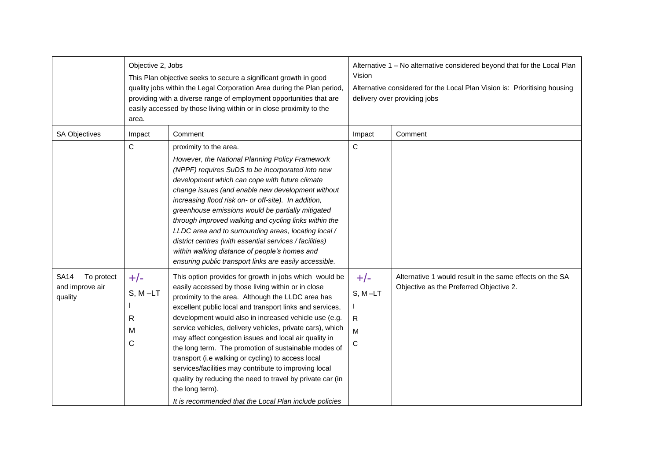|                                                         | Objective 2, Jobs<br>This Plan objective seeks to secure a significant growth in good<br>quality jobs within the Legal Corporation Area during the Plan period,<br>providing with a diverse range of employment opportunities that are<br>easily accessed by those living within or in close proximity to the<br>area. |                                                                                                                                                                                                                                                                                                                                                                                                                                                                                                                                                                                                                                                                                                                               | Alternative 1 - No alternative considered beyond that for the Local Plan<br>Vision<br>Alternative considered for the Local Plan Vision is: Prioritising housing<br>delivery over providing jobs |                                                                                                     |
|---------------------------------------------------------|------------------------------------------------------------------------------------------------------------------------------------------------------------------------------------------------------------------------------------------------------------------------------------------------------------------------|-------------------------------------------------------------------------------------------------------------------------------------------------------------------------------------------------------------------------------------------------------------------------------------------------------------------------------------------------------------------------------------------------------------------------------------------------------------------------------------------------------------------------------------------------------------------------------------------------------------------------------------------------------------------------------------------------------------------------------|-------------------------------------------------------------------------------------------------------------------------------------------------------------------------------------------------|-----------------------------------------------------------------------------------------------------|
| <b>SA Objectives</b>                                    | Impact                                                                                                                                                                                                                                                                                                                 | Comment                                                                                                                                                                                                                                                                                                                                                                                                                                                                                                                                                                                                                                                                                                                       | Impact                                                                                                                                                                                          | Comment                                                                                             |
|                                                         | C                                                                                                                                                                                                                                                                                                                      | proximity to the area.<br>However, the National Planning Policy Framework<br>(NPPF) requires SuDS to be incorporated into new<br>development which can cope with future climate<br>change issues (and enable new development without<br>increasing flood risk on- or off-site). In addition,<br>greenhouse emissions would be partially mitigated<br>through improved walking and cycling links within the<br>LLDC area and to surrounding areas, locating local /<br>district centres (with essential services / facilities)<br>within walking distance of people's homes and<br>ensuring public transport links are easily accessible.                                                                                      | $\mathsf{C}$                                                                                                                                                                                    |                                                                                                     |
| <b>SA14</b><br>To protect<br>and improve air<br>quality | $+/-$<br>$S, M-LT$<br>R<br>M<br>$\mathsf{C}$                                                                                                                                                                                                                                                                           | This option provides for growth in jobs which would be<br>easily accessed by those living within or in close<br>proximity to the area. Although the LLDC area has<br>excellent public local and transport links and services,<br>development would also in increased vehicle use (e.g.<br>service vehicles, delivery vehicles, private cars), which<br>may affect congestion issues and local air quality in<br>the long term. The promotion of sustainable modes of<br>transport (i.e walking or cycling) to access local<br>services/facilities may contribute to improving local<br>quality by reducing the need to travel by private car (in<br>the long term).<br>It is recommended that the Local Plan include policies | $+/-$<br>$S, M-LT$<br>$\mathsf{R}$<br>M<br>C                                                                                                                                                    | Alternative 1 would result in the same effects on the SA<br>Objective as the Preferred Objective 2. |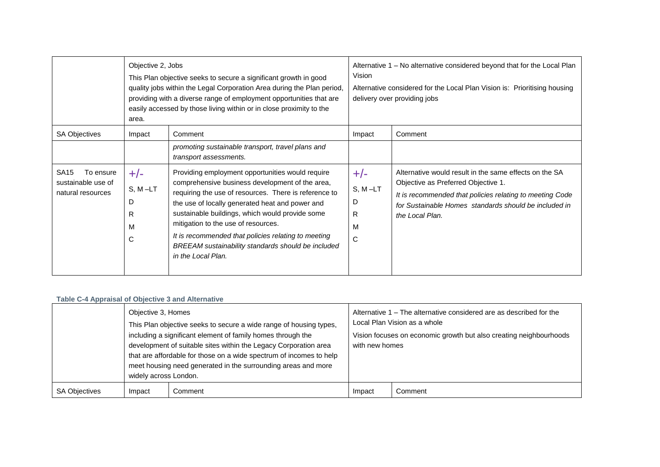|                                                                     | Objective 2, Jobs<br>This Plan objective seeks to secure a significant growth in good<br>quality jobs within the Legal Corporation Area during the Plan period,<br>providing with a diverse range of employment opportunities that are<br>easily accessed by those living within or in close proximity to the<br>area. |                                                                                                                                                                                                                                                                                                                                                                                                                                              | Alternative 1 – No alternative considered beyond that for the Local Plan<br>Vision<br>Alternative considered for the Local Plan Vision is: Prioritising housing<br>delivery over providing jobs |                                                                                                                                                                                                                                       |
|---------------------------------------------------------------------|------------------------------------------------------------------------------------------------------------------------------------------------------------------------------------------------------------------------------------------------------------------------------------------------------------------------|----------------------------------------------------------------------------------------------------------------------------------------------------------------------------------------------------------------------------------------------------------------------------------------------------------------------------------------------------------------------------------------------------------------------------------------------|-------------------------------------------------------------------------------------------------------------------------------------------------------------------------------------------------|---------------------------------------------------------------------------------------------------------------------------------------------------------------------------------------------------------------------------------------|
| <b>SA Objectives</b>                                                | Impact                                                                                                                                                                                                                                                                                                                 | Comment<br>promoting sustainable transport, travel plans and<br>transport assessments.                                                                                                                                                                                                                                                                                                                                                       | Impact                                                                                                                                                                                          | Comment                                                                                                                                                                                                                               |
| <b>SA15</b><br>To ensure<br>sustainable use of<br>natural resources | $+/-$<br>$S, M-LT$<br>D<br>R<br>M<br>С                                                                                                                                                                                                                                                                                 | Providing employment opportunities would require<br>comprehensive business development of the area,<br>requiring the use of resources. There is reference to<br>the use of locally generated heat and power and<br>sustainable buildings, which would provide some<br>mitigation to the use of resources.<br>It is recommended that policies relating to meeting<br>BREEAM sustainability standards should be included<br>in the Local Plan. | $+/-$<br>$S, M-LT$<br>D<br>R<br>M<br>C                                                                                                                                                          | Alternative would result in the same effects on the SA<br>Objective as Preferred Objective 1.<br>It is recommended that policies relating to meeting Code<br>for Sustainable Homes standards should be included in<br>the Local Plan. |

## **Table C-4 Appraisal of Objective 3 and Alternative**

|                      | Objective 3, Homes<br>widely across London. | This Plan objective seeks to secure a wide range of housing types,<br>including a significant element of family homes through the<br>development of suitable sites within the Legacy Corporation area<br>that are affordable for those on a wide spectrum of incomes to help<br>meet housing need generated in the surrounding areas and more | with new homes | Alternative 1 – The alternative considered are as described for the<br>Local Plan Vision as a whole<br>Vision focuses on economic growth but also creating neighbourhoods |
|----------------------|---------------------------------------------|-----------------------------------------------------------------------------------------------------------------------------------------------------------------------------------------------------------------------------------------------------------------------------------------------------------------------------------------------|----------------|---------------------------------------------------------------------------------------------------------------------------------------------------------------------------|
| <b>SA Objectives</b> | Impact                                      | Comment                                                                                                                                                                                                                                                                                                                                       | Impact         | Comment                                                                                                                                                                   |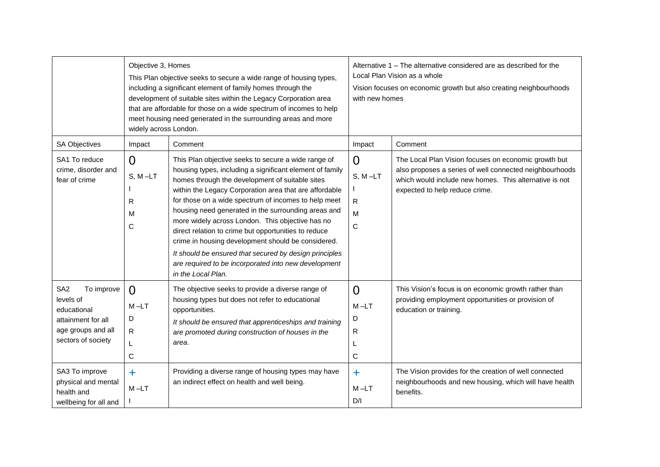|                                                                                                                                                                                    | Objective 3, Homes<br>This Plan objective seeks to secure a wide range of housing types,<br>including a significant element of family homes through the<br>development of suitable sites within the Legacy Corporation area<br>that are affordable for those on a wide spectrum of incomes to help<br>meet housing need generated in the surrounding areas and more<br>widely across London. |                                                                                                                                                                                                                                                                                                                                                                                                                                                                                                                                                                                                                                                       | Alternative 1 – The alternative considered are as described for the<br>Local Plan Vision as a whole<br>Vision focuses on economic growth but also creating neighbourhoods<br>with new homes |                                                                                                                                                                                                                                                                        |
|------------------------------------------------------------------------------------------------------------------------------------------------------------------------------------|----------------------------------------------------------------------------------------------------------------------------------------------------------------------------------------------------------------------------------------------------------------------------------------------------------------------------------------------------------------------------------------------|-------------------------------------------------------------------------------------------------------------------------------------------------------------------------------------------------------------------------------------------------------------------------------------------------------------------------------------------------------------------------------------------------------------------------------------------------------------------------------------------------------------------------------------------------------------------------------------------------------------------------------------------------------|---------------------------------------------------------------------------------------------------------------------------------------------------------------------------------------------|------------------------------------------------------------------------------------------------------------------------------------------------------------------------------------------------------------------------------------------------------------------------|
| <b>SA Objectives</b>                                                                                                                                                               | Impact                                                                                                                                                                                                                                                                                                                                                                                       | Comment                                                                                                                                                                                                                                                                                                                                                                                                                                                                                                                                                                                                                                               | Impact                                                                                                                                                                                      | Comment                                                                                                                                                                                                                                                                |
| SA1 To reduce<br>crime, disorder and<br>fear of crime                                                                                                                              | $\Omega$<br>$S, M-LT$<br>R<br>м<br>C                                                                                                                                                                                                                                                                                                                                                         | This Plan objective seeks to secure a wide range of<br>housing types, including a significant element of family<br>homes through the development of suitable sites<br>within the Legacy Corporation area that are affordable<br>for those on a wide spectrum of incomes to help meet<br>housing need generated in the surrounding areas and<br>more widely across London. This objective has no<br>direct relation to crime but opportunities to reduce<br>crime in housing development should be considered.<br>It should be ensured that secured by design principles<br>are required to be incorporated into new development<br>in the Local Plan. | $\Omega$<br>$S, M-LT$<br>R<br>M<br>C                                                                                                                                                        | The Local Plan Vision focuses on economic growth but<br>also proposes a series of well connected neighbourhoods<br>which would include new homes. This alternative is not<br>expected to help reduce crime.                                                            |
| SA <sub>2</sub><br>To improve<br>levels of<br>educational<br>attainment for all<br>age groups and all<br>sectors of society<br>SA3 To improve<br>physical and mental<br>health and | $\Omega$<br>$M - LT$<br>D<br>R<br>L<br>C<br>$\ddagger$<br>$M - LT$                                                                                                                                                                                                                                                                                                                           | The objective seeks to provide a diverse range of<br>housing types but does not refer to educational<br>opportunities.<br>It should be ensured that apprenticeships and training<br>are promoted during construction of houses in the<br>area.<br>Providing a diverse range of housing types may have<br>an indirect effect on health and well being.                                                                                                                                                                                                                                                                                                 | $\Omega$<br>$M - LT$<br>D<br>R<br>L<br>C<br>$\ddot{}$<br>$M-LT$                                                                                                                             | This Vision's focus is on economic growth rather than<br>providing employment opportunities or provision of<br>education or training.<br>The Vision provides for the creation of well connected<br>neighbourhoods and new housing, which will have health<br>benefits. |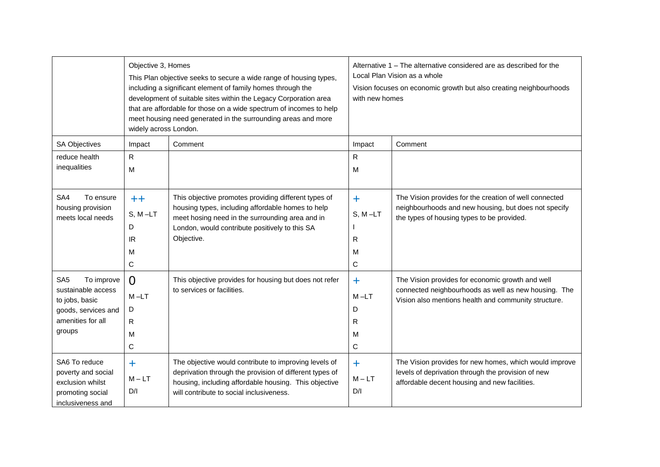|                                                                                                                             | Objective 3, Homes<br>widely across London. | This Plan objective seeks to secure a wide range of housing types,<br>including a significant element of family homes through the<br>development of suitable sites within the Legacy Corporation area<br>that are affordable for those on a wide spectrum of incomes to help<br>meet housing need generated in the surrounding areas and more | Alternative 1 – The alternative considered are as described for the<br>Local Plan Vision as a whole<br>Vision focuses on economic growth but also creating neighbourhoods<br>with new homes |                                                                                                                                                                  |
|-----------------------------------------------------------------------------------------------------------------------------|---------------------------------------------|-----------------------------------------------------------------------------------------------------------------------------------------------------------------------------------------------------------------------------------------------------------------------------------------------------------------------------------------------|---------------------------------------------------------------------------------------------------------------------------------------------------------------------------------------------|------------------------------------------------------------------------------------------------------------------------------------------------------------------|
| <b>SA Objectives</b>                                                                                                        | Impact                                      | Comment                                                                                                                                                                                                                                                                                                                                       | Impact                                                                                                                                                                                      | Comment                                                                                                                                                          |
| reduce health                                                                                                               | R                                           |                                                                                                                                                                                                                                                                                                                                               | R                                                                                                                                                                                           |                                                                                                                                                                  |
| inequalities                                                                                                                | M                                           |                                                                                                                                                                                                                                                                                                                                               | м                                                                                                                                                                                           |                                                                                                                                                                  |
| SA4<br>To ensure<br>housing provision<br>meets local needs                                                                  | $++$<br>$S, M-LT$<br>D<br>IR<br>M<br>С      | This objective promotes providing different types of<br>housing types, including affordable homes to help<br>meet hosing need in the surrounding area and in<br>London, would contribute positively to this SA<br>Objective.                                                                                                                  | $\ddot{}$<br>$S, M-LT$<br>R<br>м<br>$\mathsf C$                                                                                                                                             | The Vision provides for the creation of well connected<br>neighbourhoods and new housing, but does not specify<br>the types of housing types to be provided.     |
| SA <sub>5</sub><br>To improve<br>sustainable access<br>to jobs, basic<br>goods, services and<br>amenities for all<br>groups | $\Omega$<br>$M - LT$<br>D<br>R<br>M<br>C    | This objective provides for housing but does not refer<br>to services or facilities.                                                                                                                                                                                                                                                          | ÷.<br>$M-LT$<br>D<br>R<br>м<br>C                                                                                                                                                            | The Vision provides for economic growth and well<br>connected neighbourhoods as well as new housing. The<br>Vision also mentions health and community structure. |
| SA6 To reduce<br>poverty and social<br>exclusion whilst<br>promoting social<br>inclusiveness and                            | ٠<br>$M - LT$<br>D/I                        | The objective would contribute to improving levels of<br>deprivation through the provision of different types of<br>housing, including affordable housing. This objective<br>will contribute to social inclusiveness.                                                                                                                         | $\ddag$<br>$M - LT$<br>D/I                                                                                                                                                                  | The Vision provides for new homes, which would improve<br>levels of deprivation through the provision of new<br>affordable decent housing and new facilities.    |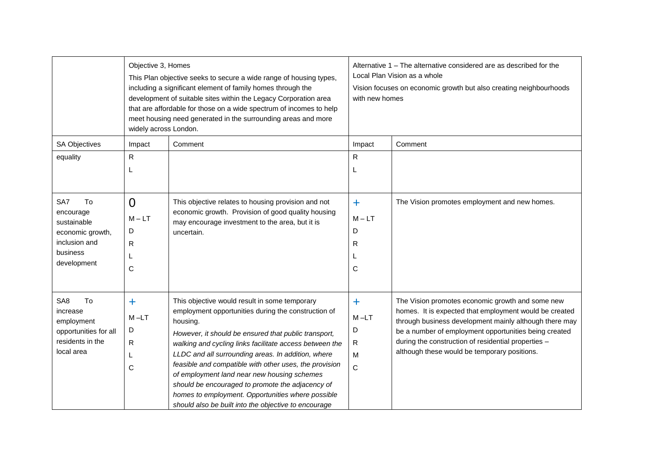|                                   | Objective 3, Homes<br>This Plan objective seeks to secure a wide range of housing types,<br>including a significant element of family homes through the<br>development of suitable sites within the Legacy Corporation area<br>that are affordable for those on a wide spectrum of incomes to help<br>meet housing need generated in the surrounding areas and more<br>widely across London. |                                                                                                                 | Alternative 1 – The alternative considered are as described for the<br>Local Plan Vision as a whole<br>Vision focuses on economic growth but also creating neighbourhoods<br>with new homes |                                                                                                                  |
|-----------------------------------|----------------------------------------------------------------------------------------------------------------------------------------------------------------------------------------------------------------------------------------------------------------------------------------------------------------------------------------------------------------------------------------------|-----------------------------------------------------------------------------------------------------------------|---------------------------------------------------------------------------------------------------------------------------------------------------------------------------------------------|------------------------------------------------------------------------------------------------------------------|
| <b>SA Objectives</b>              | Impact                                                                                                                                                                                                                                                                                                                                                                                       | Comment                                                                                                         | Impact                                                                                                                                                                                      | Comment                                                                                                          |
| equality                          | R                                                                                                                                                                                                                                                                                                                                                                                            |                                                                                                                 | R                                                                                                                                                                                           |                                                                                                                  |
|                                   | L                                                                                                                                                                                                                                                                                                                                                                                            |                                                                                                                 | L                                                                                                                                                                                           |                                                                                                                  |
|                                   |                                                                                                                                                                                                                                                                                                                                                                                              |                                                                                                                 |                                                                                                                                                                                             |                                                                                                                  |
| SA7<br>To                         | $\overline{0}$                                                                                                                                                                                                                                                                                                                                                                               | This objective relates to housing provision and not                                                             | $\ddagger$                                                                                                                                                                                  | The Vision promotes employment and new homes.                                                                    |
| encourage                         | $M - LT$                                                                                                                                                                                                                                                                                                                                                                                     | economic growth. Provision of good quality housing                                                              | $M - LT$                                                                                                                                                                                    |                                                                                                                  |
| sustainable                       |                                                                                                                                                                                                                                                                                                                                                                                              | may encourage investment to the area, but it is                                                                 | D                                                                                                                                                                                           |                                                                                                                  |
| economic growth,<br>inclusion and | D                                                                                                                                                                                                                                                                                                                                                                                            | uncertain.                                                                                                      |                                                                                                                                                                                             |                                                                                                                  |
| business                          | R                                                                                                                                                                                                                                                                                                                                                                                            |                                                                                                                 | R                                                                                                                                                                                           |                                                                                                                  |
| development                       | L                                                                                                                                                                                                                                                                                                                                                                                            |                                                                                                                 |                                                                                                                                                                                             |                                                                                                                  |
|                                   | C                                                                                                                                                                                                                                                                                                                                                                                            |                                                                                                                 | $\mathsf{C}$                                                                                                                                                                                |                                                                                                                  |
|                                   |                                                                                                                                                                                                                                                                                                                                                                                              |                                                                                                                 |                                                                                                                                                                                             |                                                                                                                  |
| SA8<br>To                         | $\ddag$                                                                                                                                                                                                                                                                                                                                                                                      | This objective would result in some temporary                                                                   | $\ddot{}$                                                                                                                                                                                   | The Vision promotes economic growth and some new                                                                 |
| increase<br>employment            | $M-LT$                                                                                                                                                                                                                                                                                                                                                                                       | employment opportunities during the construction of<br>housing.                                                 | $M - LT$                                                                                                                                                                                    | homes. It is expected that employment would be created<br>through business development mainly although there may |
| opportunities for all             | D                                                                                                                                                                                                                                                                                                                                                                                            |                                                                                                                 | D                                                                                                                                                                                           | be a number of employment opportunities being created                                                            |
| residents in the                  | R                                                                                                                                                                                                                                                                                                                                                                                            | However, it should be ensured that public transport,<br>walking and cycling links facilitate access between the | $\mathsf{R}$                                                                                                                                                                                | during the construction of residential properties -                                                              |
| local area                        | L                                                                                                                                                                                                                                                                                                                                                                                            | LLDC and all surrounding areas. In addition, where                                                              | M                                                                                                                                                                                           | although these would be temporary positions.                                                                     |
|                                   | C                                                                                                                                                                                                                                                                                                                                                                                            | feasible and compatible with other uses, the provision                                                          | $\mathsf{C}$                                                                                                                                                                                |                                                                                                                  |
|                                   |                                                                                                                                                                                                                                                                                                                                                                                              | of employment land near new housing schemes                                                                     |                                                                                                                                                                                             |                                                                                                                  |
|                                   |                                                                                                                                                                                                                                                                                                                                                                                              | should be encouraged to promote the adjacency of                                                                |                                                                                                                                                                                             |                                                                                                                  |
|                                   |                                                                                                                                                                                                                                                                                                                                                                                              | homes to employment. Opportunities where possible                                                               |                                                                                                                                                                                             |                                                                                                                  |
|                                   |                                                                                                                                                                                                                                                                                                                                                                                              | should also be built into the objective to encourage                                                            |                                                                                                                                                                                             |                                                                                                                  |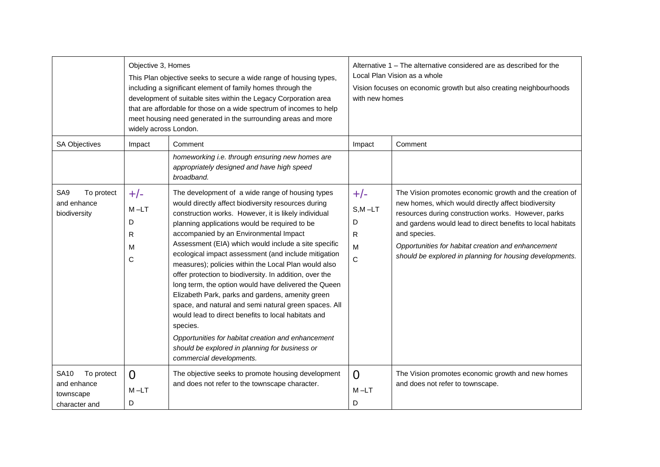|                                                                        | Objective 3, Homes<br>widely across London. | This Plan objective seeks to secure a wide range of housing types,<br>including a significant element of family homes through the<br>development of suitable sites within the Legacy Corporation area<br>that are affordable for those on a wide spectrum of incomes to help<br>meet housing need generated in the surrounding areas and more                                                                                                                                                                                                                                                                                                                                                                                                                                                                                                                             | Alternative 1 – The alternative considered are as described for the<br>Local Plan Vision as a whole<br>Vision focuses on economic growth but also creating neighbourhoods<br>with new homes |                                                                                                                                                                                                                                                                                                                                                                        |
|------------------------------------------------------------------------|---------------------------------------------|---------------------------------------------------------------------------------------------------------------------------------------------------------------------------------------------------------------------------------------------------------------------------------------------------------------------------------------------------------------------------------------------------------------------------------------------------------------------------------------------------------------------------------------------------------------------------------------------------------------------------------------------------------------------------------------------------------------------------------------------------------------------------------------------------------------------------------------------------------------------------|---------------------------------------------------------------------------------------------------------------------------------------------------------------------------------------------|------------------------------------------------------------------------------------------------------------------------------------------------------------------------------------------------------------------------------------------------------------------------------------------------------------------------------------------------------------------------|
| <b>SA Objectives</b>                                                   | Impact                                      | Comment                                                                                                                                                                                                                                                                                                                                                                                                                                                                                                                                                                                                                                                                                                                                                                                                                                                                   | Impact                                                                                                                                                                                      | Comment                                                                                                                                                                                                                                                                                                                                                                |
|                                                                        |                                             | homeworking i.e. through ensuring new homes are<br>appropriately designed and have high speed<br>broadband.                                                                                                                                                                                                                                                                                                                                                                                                                                                                                                                                                                                                                                                                                                                                                               |                                                                                                                                                                                             |                                                                                                                                                                                                                                                                                                                                                                        |
| SA9<br>To protect<br>and enhance<br>biodiversity                       | $+/-$<br>$M-LT$<br>D<br>R<br>M<br>C         | The development of a wide range of housing types<br>would directly affect biodiversity resources during<br>construction works. However, it is likely individual<br>planning applications would be required to be<br>accompanied by an Environmental Impact<br>Assessment (EIA) which would include a site specific<br>ecological impact assessment (and include mitigation<br>measures); policies within the Local Plan would also<br>offer protection to biodiversity. In addition, over the<br>long term, the option would have delivered the Queen<br>Elizabeth Park, parks and gardens, amenity green<br>space, and natural and semi natural green spaces. All<br>would lead to direct benefits to local habitats and<br>species.<br>Opportunities for habitat creation and enhancement<br>should be explored in planning for business or<br>commercial developments. | $+/-$<br>$S, M - LT$<br>D<br>R.<br>M<br>C                                                                                                                                                   | The Vision promotes economic growth and the creation of<br>new homes, which would directly affect biodiversity<br>resources during construction works. However, parks<br>and gardens would lead to direct benefits to local habitats<br>and species.<br>Opportunities for habitat creation and enhancement<br>should be explored in planning for housing developments. |
| <b>SA10</b><br>To protect<br>and enhance<br>townscape<br>character and | $\Omega$<br>$M - LT$<br>D                   | The objective seeks to promote housing development<br>and does not refer to the townscape character.                                                                                                                                                                                                                                                                                                                                                                                                                                                                                                                                                                                                                                                                                                                                                                      | $\Omega$<br>$M - LT$<br>D                                                                                                                                                                   | The Vision promotes economic growth and new homes<br>and does not refer to townscape.                                                                                                                                                                                                                                                                                  |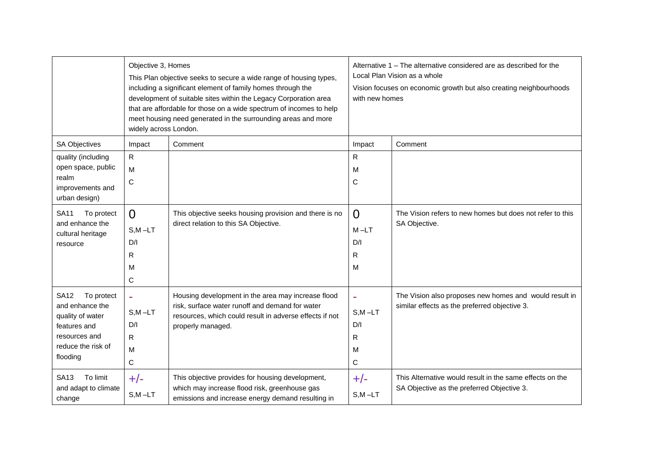|                                            | Objective 3, Homes<br>This Plan objective seeks to secure a wide range of housing types,<br>including a significant element of family homes through the<br>development of suitable sites within the Legacy Corporation area<br>that are affordable for those on a wide spectrum of incomes to help<br>meet housing need generated in the surrounding areas and more<br>widely across London. |                                                                                                            | Alternative 1 – The alternative considered are as described for the<br>Local Plan Vision as a whole<br>Vision focuses on economic growth but also creating neighbourhoods<br>with new homes |                                                           |
|--------------------------------------------|----------------------------------------------------------------------------------------------------------------------------------------------------------------------------------------------------------------------------------------------------------------------------------------------------------------------------------------------------------------------------------------------|------------------------------------------------------------------------------------------------------------|---------------------------------------------------------------------------------------------------------------------------------------------------------------------------------------------|-----------------------------------------------------------|
| SA Objectives                              | Impact                                                                                                                                                                                                                                                                                                                                                                                       | Comment                                                                                                    | Impact                                                                                                                                                                                      | Comment                                                   |
| quality (including                         | $\mathsf{R}$                                                                                                                                                                                                                                                                                                                                                                                 |                                                                                                            | R                                                                                                                                                                                           |                                                           |
| open space, public                         | M                                                                                                                                                                                                                                                                                                                                                                                            |                                                                                                            | м                                                                                                                                                                                           |                                                           |
| realm<br>improvements and<br>urban design) | $\mathsf{C}$                                                                                                                                                                                                                                                                                                                                                                                 |                                                                                                            | С                                                                                                                                                                                           |                                                           |
| <b>SA11</b><br>To protect                  | $\Omega$                                                                                                                                                                                                                                                                                                                                                                                     | This objective seeks housing provision and there is no                                                     | 0                                                                                                                                                                                           | The Vision refers to new homes but does not refer to this |
| and enhance the                            | $S, M - LT$                                                                                                                                                                                                                                                                                                                                                                                  | direct relation to this SA Objective.                                                                      | $M-LT$                                                                                                                                                                                      | SA Objective.                                             |
| cultural heritage<br>resource              | D/I                                                                                                                                                                                                                                                                                                                                                                                          |                                                                                                            | D/I                                                                                                                                                                                         |                                                           |
|                                            | R                                                                                                                                                                                                                                                                                                                                                                                            |                                                                                                            | R                                                                                                                                                                                           |                                                           |
|                                            | м                                                                                                                                                                                                                                                                                                                                                                                            |                                                                                                            | м                                                                                                                                                                                           |                                                           |
|                                            | C                                                                                                                                                                                                                                                                                                                                                                                            |                                                                                                            |                                                                                                                                                                                             |                                                           |
| <b>SA12</b><br>To protect                  | ä,                                                                                                                                                                                                                                                                                                                                                                                           | Housing development in the area may increase flood                                                         |                                                                                                                                                                                             | The Vision also proposes new homes and would result in    |
| and enhance the<br>quality of water        | $S,M-LT$                                                                                                                                                                                                                                                                                                                                                                                     | risk, surface water runoff and demand for water<br>resources, which could result in adverse effects if not | $S, M - LT$                                                                                                                                                                                 | similar effects as the preferred objective 3.             |
| features and                               | D/I                                                                                                                                                                                                                                                                                                                                                                                          | properly managed.                                                                                          | D/I                                                                                                                                                                                         |                                                           |
| resources and                              | R                                                                                                                                                                                                                                                                                                                                                                                            |                                                                                                            | R                                                                                                                                                                                           |                                                           |
| reduce the risk of                         | M                                                                                                                                                                                                                                                                                                                                                                                            |                                                                                                            | м                                                                                                                                                                                           |                                                           |
| flooding                                   | $\mathsf{C}$                                                                                                                                                                                                                                                                                                                                                                                 |                                                                                                            | C                                                                                                                                                                                           |                                                           |
| <b>SA13</b><br>To limit                    | $+/-$                                                                                                                                                                                                                                                                                                                                                                                        | This objective provides for housing development,                                                           | $+/-$                                                                                                                                                                                       | This Alternative would result in the same effects on the  |
| and adapt to climate<br>change             | $S, M - LT$                                                                                                                                                                                                                                                                                                                                                                                  | which may increase flood risk, greenhouse gas<br>emissions and increase energy demand resulting in         | $S, M - LT$                                                                                                                                                                                 | SA Objective as the preferred Objective 3.                |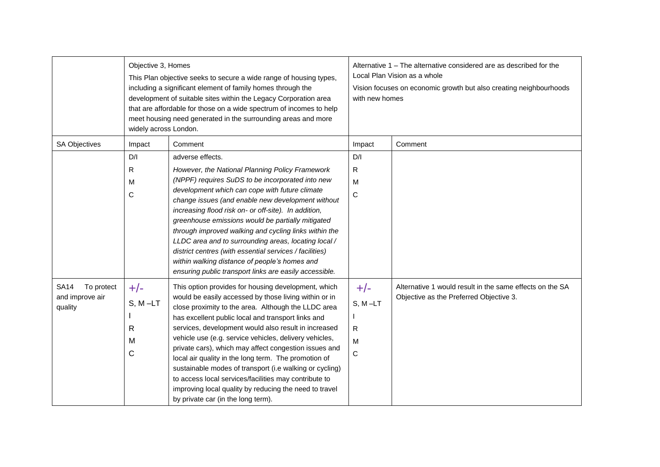|                                                         | Objective 3, Homes<br>This Plan objective seeks to secure a wide range of housing types,<br>including a significant element of family homes through the<br>development of suitable sites within the Legacy Corporation area<br>that are affordable for those on a wide spectrum of incomes to help<br>meet housing need generated in the surrounding areas and more<br>widely across London. |                                                                                                                                                                                                                                                                                                                                                                                                                                                                                                                                                                                                                                                                                  | Alternative 1 – The alternative considered are as described for the<br>Local Plan Vision as a whole<br>Vision focuses on economic growth but also creating neighbourhoods<br>with new homes |                                                                                                     |
|---------------------------------------------------------|----------------------------------------------------------------------------------------------------------------------------------------------------------------------------------------------------------------------------------------------------------------------------------------------------------------------------------------------------------------------------------------------|----------------------------------------------------------------------------------------------------------------------------------------------------------------------------------------------------------------------------------------------------------------------------------------------------------------------------------------------------------------------------------------------------------------------------------------------------------------------------------------------------------------------------------------------------------------------------------------------------------------------------------------------------------------------------------|---------------------------------------------------------------------------------------------------------------------------------------------------------------------------------------------|-----------------------------------------------------------------------------------------------------|
| <b>SA Objectives</b>                                    | Impact                                                                                                                                                                                                                                                                                                                                                                                       | Comment                                                                                                                                                                                                                                                                                                                                                                                                                                                                                                                                                                                                                                                                          | Impact                                                                                                                                                                                      | Comment                                                                                             |
|                                                         | D/I<br>$\mathsf{R}$                                                                                                                                                                                                                                                                                                                                                                          | adverse effects.                                                                                                                                                                                                                                                                                                                                                                                                                                                                                                                                                                                                                                                                 | D/I                                                                                                                                                                                         |                                                                                                     |
|                                                         | M<br>C                                                                                                                                                                                                                                                                                                                                                                                       | However, the National Planning Policy Framework<br>(NPPF) requires SuDS to be incorporated into new<br>development which can cope with future climate<br>change issues (and enable new development without<br>increasing flood risk on- or off-site). In addition,<br>greenhouse emissions would be partially mitigated<br>through improved walking and cycling links within the<br>LLDC area and to surrounding areas, locating local /<br>district centres (with essential services / facilities)<br>within walking distance of people's homes and<br>ensuring public transport links are easily accessible.                                                                   | R<br>M<br>C                                                                                                                                                                                 |                                                                                                     |
| <b>SA14</b><br>To protect<br>and improve air<br>quality | $+/-$<br>$S, M - LT$<br>R<br>M<br>С                                                                                                                                                                                                                                                                                                                                                          | This option provides for housing development, which<br>would be easily accessed by those living within or in<br>close proximity to the area. Although the LLDC area<br>has excellent public local and transport links and<br>services, development would also result in increased<br>vehicle use (e.g. service vehicles, delivery vehicles,<br>private cars), which may affect congestion issues and<br>local air quality in the long term. The promotion of<br>sustainable modes of transport (i.e walking or cycling)<br>to access local services/facilities may contribute to<br>improving local quality by reducing the need to travel<br>by private car (in the long term). | $+/-$<br>$S, M-LT$<br>$\mathsf{R}$<br>M<br>С                                                                                                                                                | Alternative 1 would result in the same effects on the SA<br>Objective as the Preferred Objective 3. |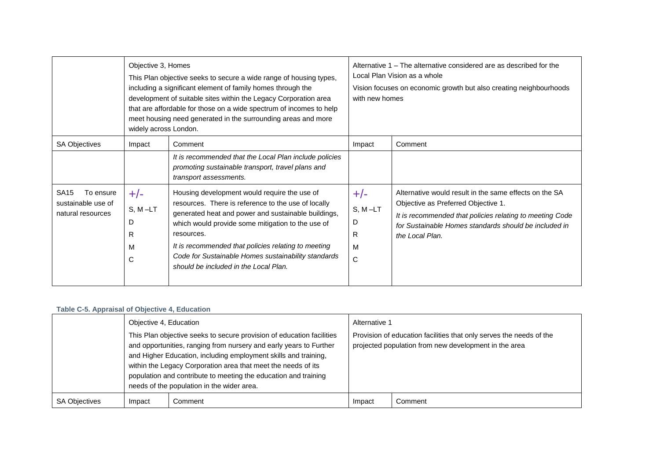|                                                                     | Objective 3, Homes<br>This Plan objective seeks to secure a wide range of housing types,<br>including a significant element of family homes through the<br>development of suitable sites within the Legacy Corporation area<br>that are affordable for those on a wide spectrum of incomes to help<br>meet housing need generated in the surrounding areas and more<br>widely across London. |                                                                                                                                                                                                                                                                                                                                                                                      | Alternative 1 – The alternative considered are as described for the<br>Local Plan Vision as a whole<br>Vision focuses on economic growth but also creating neighbourhoods<br>with new homes |                                                                                                                                                                                                                                       |
|---------------------------------------------------------------------|----------------------------------------------------------------------------------------------------------------------------------------------------------------------------------------------------------------------------------------------------------------------------------------------------------------------------------------------------------------------------------------------|--------------------------------------------------------------------------------------------------------------------------------------------------------------------------------------------------------------------------------------------------------------------------------------------------------------------------------------------------------------------------------------|---------------------------------------------------------------------------------------------------------------------------------------------------------------------------------------------|---------------------------------------------------------------------------------------------------------------------------------------------------------------------------------------------------------------------------------------|
| <b>SA Objectives</b>                                                | Impact                                                                                                                                                                                                                                                                                                                                                                                       | Comment                                                                                                                                                                                                                                                                                                                                                                              | Impact                                                                                                                                                                                      | Comment                                                                                                                                                                                                                               |
|                                                                     |                                                                                                                                                                                                                                                                                                                                                                                              | It is recommended that the Local Plan include policies<br>promoting sustainable transport, travel plans and<br>transport assessments.                                                                                                                                                                                                                                                |                                                                                                                                                                                             |                                                                                                                                                                                                                                       |
| <b>SA15</b><br>To ensure<br>sustainable use of<br>natural resources | $+/-$<br>$S, M-LT$<br>D<br>R<br>M<br>C                                                                                                                                                                                                                                                                                                                                                       | Housing development would require the use of<br>resources. There is reference to the use of locally<br>generated heat and power and sustainable buildings,<br>which would provide some mitigation to the use of<br>resources.<br>It is recommended that policies relating to meeting<br>Code for Sustainable Homes sustainability standards<br>should be included in the Local Plan. | $+/-$<br>$S, M-LT$<br>D<br>R<br>M<br>C                                                                                                                                                      | Alternative would result in the same effects on the SA<br>Objective as Preferred Objective 1.<br>It is recommended that policies relating to meeting Code<br>for Sustainable Homes standards should be included in<br>the Local Plan. |

## **Table C-5. Appraisal of Objective 4, Education**

|                      | Objective 4, Education |                                                                                                                                                                                                                                                                                                                                                                                                  | Alternative 1 |                                                                                                                              |  |
|----------------------|------------------------|--------------------------------------------------------------------------------------------------------------------------------------------------------------------------------------------------------------------------------------------------------------------------------------------------------------------------------------------------------------------------------------------------|---------------|------------------------------------------------------------------------------------------------------------------------------|--|
|                      |                        | This Plan objective seeks to secure provision of education facilities<br>and opportunities, ranging from nursery and early years to Further<br>and Higher Education, including employment skills and training,<br>within the Legacy Corporation area that meet the needs of its<br>population and contribute to meeting the education and training<br>needs of the population in the wider area. |               | Provision of education facilities that only serves the needs of the<br>projected population from new development in the area |  |
| <b>SA Objectives</b> | Impact                 | Comment                                                                                                                                                                                                                                                                                                                                                                                          | Impact        | Comment                                                                                                                      |  |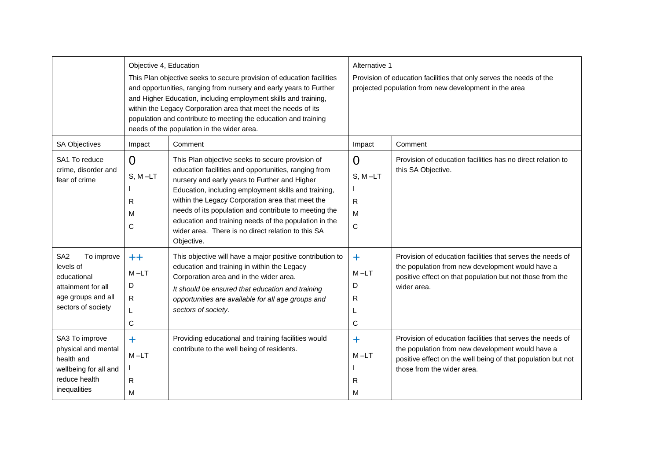|                                                                                                                             | Objective 4, Education<br>This Plan objective seeks to secure provision of education facilities<br>and opportunities, ranging from nursery and early years to Further<br>and Higher Education, including employment skills and training,<br>within the Legacy Corporation area that meet the needs of its<br>population and contribute to meeting the education and training<br>needs of the population in the wider area. |                                                                                                                                                                                                                                                                                                                                                                                                                                                             | Alternative 1<br>Provision of education facilities that only serves the needs of the<br>projected population from new development in the area |                                                                                                                                                                                                              |
|-----------------------------------------------------------------------------------------------------------------------------|----------------------------------------------------------------------------------------------------------------------------------------------------------------------------------------------------------------------------------------------------------------------------------------------------------------------------------------------------------------------------------------------------------------------------|-------------------------------------------------------------------------------------------------------------------------------------------------------------------------------------------------------------------------------------------------------------------------------------------------------------------------------------------------------------------------------------------------------------------------------------------------------------|-----------------------------------------------------------------------------------------------------------------------------------------------|--------------------------------------------------------------------------------------------------------------------------------------------------------------------------------------------------------------|
| <b>SA Objectives</b>                                                                                                        | Impact                                                                                                                                                                                                                                                                                                                                                                                                                     | Comment                                                                                                                                                                                                                                                                                                                                                                                                                                                     | Impact                                                                                                                                        | Comment                                                                                                                                                                                                      |
| SA1 To reduce<br>crime, disorder and<br>fear of crime                                                                       | $\Omega$<br>$S, M-LT$<br>R<br>м<br>C                                                                                                                                                                                                                                                                                                                                                                                       | This Plan objective seeks to secure provision of<br>education facilities and opportunities, ranging from<br>nursery and early years to Further and Higher<br>Education, including employment skills and training,<br>within the Legacy Corporation area that meet the<br>needs of its population and contribute to meeting the<br>education and training needs of the population in the<br>wider area. There is no direct relation to this SA<br>Objective. | $\Omega$<br>$S, M-LT$<br>R<br>M<br>C                                                                                                          | Provision of education facilities has no direct relation to<br>this SA Objective.                                                                                                                            |
| SA <sub>2</sub><br>To improve<br>levels of<br>educational<br>attainment for all<br>age groups and all<br>sectors of society | $++$<br>$M - LT$<br>D<br>R<br>L<br>C                                                                                                                                                                                                                                                                                                                                                                                       | This objective will have a major positive contribution to<br>education and training in within the Legacy<br>Corporation area and in the wider area.<br>It should be ensured that education and training<br>opportunities are available for all age groups and<br>sectors of society.                                                                                                                                                                        | $+$<br>$M-LT$<br>D<br>R<br>$\mathsf{C}$                                                                                                       | Provision of education facilities that serves the needs of<br>the population from new development would have a<br>positive effect on that population but not those from the<br>wider area.                   |
| SA3 To improve<br>physical and mental<br>health and<br>wellbeing for all and<br>reduce health<br>inequalities               | $\ddagger$<br>$M - LT$<br>${\sf R}$<br>M                                                                                                                                                                                                                                                                                                                                                                                   | Providing educational and training facilities would<br>contribute to the well being of residents.                                                                                                                                                                                                                                                                                                                                                           | $\ddot{}$<br>$M-LT$<br>R<br>м                                                                                                                 | Provision of education facilities that serves the needs of<br>the population from new development would have a<br>positive effect on the well being of that population but not<br>those from the wider area. |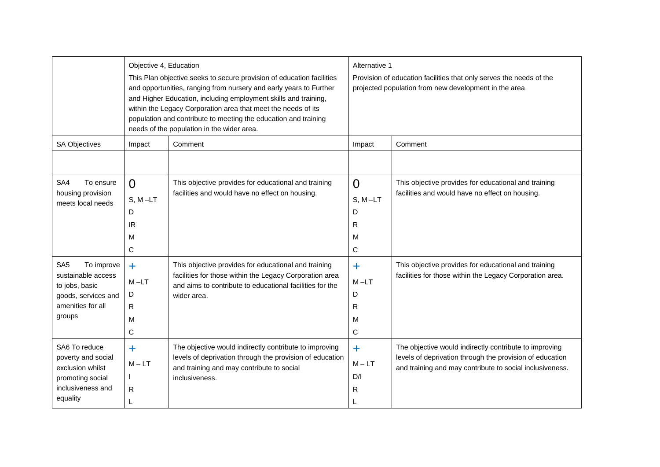|                                                                                                                             | Objective 4, Education                     | This Plan objective seeks to secure provision of education facilities<br>and opportunities, ranging from nursery and early years to Further<br>and Higher Education, including employment skills and training,<br>within the Legacy Corporation area that meet the needs of its<br>population and contribute to meeting the education and training<br>needs of the population in the wider area. | Alternative 1<br>Provision of education facilities that only serves the needs of the<br>projected population from new development in the area |                                                                                                                                                                                |
|-----------------------------------------------------------------------------------------------------------------------------|--------------------------------------------|--------------------------------------------------------------------------------------------------------------------------------------------------------------------------------------------------------------------------------------------------------------------------------------------------------------------------------------------------------------------------------------------------|-----------------------------------------------------------------------------------------------------------------------------------------------|--------------------------------------------------------------------------------------------------------------------------------------------------------------------------------|
| <b>SA Objectives</b>                                                                                                        | Impact                                     | Comment                                                                                                                                                                                                                                                                                                                                                                                          | Impact                                                                                                                                        | Comment                                                                                                                                                                        |
| SA4<br>To ensure<br>housing provision<br>meets local needs                                                                  | $\Omega$<br>$S, M-LT$<br>D<br>IR<br>M<br>C | This objective provides for educational and training<br>facilities and would have no effect on housing.                                                                                                                                                                                                                                                                                          | $\Omega$<br>$S, M-LT$<br>D<br>R<br>м<br>C                                                                                                     | This objective provides for educational and training<br>facilities and would have no effect on housing.                                                                        |
| To improve<br>SA <sub>5</sub><br>sustainable access<br>to jobs, basic<br>goods, services and<br>amenities for all<br>groups | $+$<br>$M - LT$<br>D<br>R.<br>M<br>C       | This objective provides for educational and training<br>facilities for those within the Legacy Corporation area<br>and aims to contribute to educational facilities for the<br>wider area.                                                                                                                                                                                                       | $\ddagger$<br>$M-LT$<br>D<br>R<br>м<br>C                                                                                                      | This objective provides for educational and training<br>facilities for those within the Legacy Corporation area.                                                               |
| SA6 To reduce<br>poverty and social<br>exclusion whilst<br>promoting social<br>inclusiveness and<br>equality                | $\ddagger$<br>$M - LT$<br>R<br>L           | The objective would indirectly contribute to improving<br>levels of deprivation through the provision of education<br>and training and may contribute to social<br>inclusiveness.                                                                                                                                                                                                                | $+$<br>$M - LT$<br>D/I<br>R                                                                                                                   | The objective would indirectly contribute to improving<br>levels of deprivation through the provision of education<br>and training and may contribute to social inclusiveness. |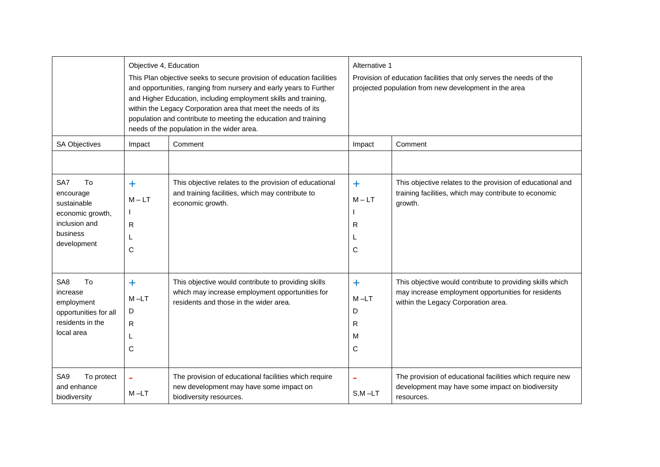|                                                                                                                        | Objective 4, Education                          | This Plan objective seeks to secure provision of education facilities<br>and opportunities, ranging from nursery and early years to Further<br>and Higher Education, including employment skills and training,<br>within the Legacy Corporation area that meet the needs of its<br>population and contribute to meeting the education and training<br>needs of the population in the wider area. | Alternative 1<br>Provision of education facilities that only serves the needs of the<br>projected population from new development in the area |                                                                                                                                                         |
|------------------------------------------------------------------------------------------------------------------------|-------------------------------------------------|--------------------------------------------------------------------------------------------------------------------------------------------------------------------------------------------------------------------------------------------------------------------------------------------------------------------------------------------------------------------------------------------------|-----------------------------------------------------------------------------------------------------------------------------------------------|---------------------------------------------------------------------------------------------------------------------------------------------------------|
| <b>SA Objectives</b>                                                                                                   | Impact                                          | Comment                                                                                                                                                                                                                                                                                                                                                                                          | Impact                                                                                                                                        | Comment                                                                                                                                                 |
| To<br>SA7                                                                                                              |                                                 | This objective relates to the provision of educational                                                                                                                                                                                                                                                                                                                                           |                                                                                                                                               | This objective relates to the provision of educational and                                                                                              |
| encourage<br>sustainable<br>economic growth,<br>inclusion and<br>business<br>development                               | $\ddot{\phantom{1}}$<br>$M - LT$<br>R<br>L<br>C | and training facilities, which may contribute to<br>economic growth.                                                                                                                                                                                                                                                                                                                             | $\ddot{}$<br>$M - LT$<br>$\mathsf{R}$<br>C                                                                                                    | training facilities, which may contribute to economic<br>growth.                                                                                        |
| T <sub>o</sub><br>SA <sub>8</sub><br>increase<br>employment<br>opportunities for all<br>residents in the<br>local area | $\ddag$<br>$M - LT$<br>D<br>R<br>L<br>C         | This objective would contribute to providing skills<br>which may increase employment opportunities for<br>residents and those in the wider area.                                                                                                                                                                                                                                                 | $\ddagger$<br>$M - LT$<br>D<br>R<br>м<br>C                                                                                                    | This objective would contribute to providing skills which<br>may increase employment opportunities for residents<br>within the Legacy Corporation area. |
| SA9<br>To protect<br>and enhance<br>biodiversity                                                                       | ÷<br>$M-LT$                                     | The provision of educational facilities which require<br>new development may have some impact on<br>biodiversity resources.                                                                                                                                                                                                                                                                      | $S.M - LT$                                                                                                                                    | The provision of educational facilities which require new<br>development may have some impact on biodiversity<br>resources.                             |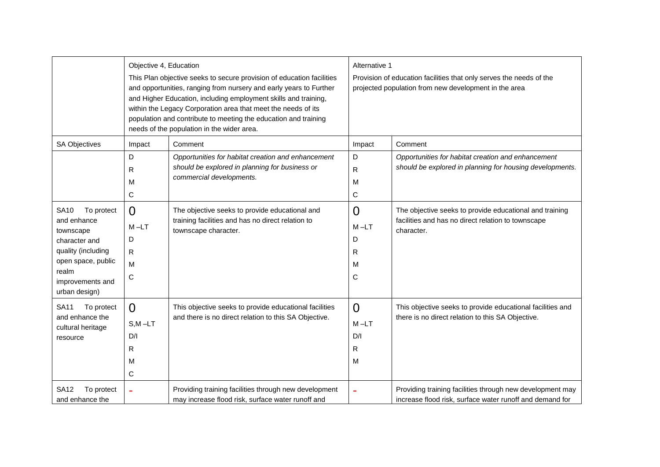|                                                                                                                                                                  | Objective 4, Education<br>This Plan objective seeks to secure provision of education facilities<br>and opportunities, ranging from nursery and early years to Further<br>and Higher Education, including employment skills and training,<br>within the Legacy Corporation area that meet the needs of its<br>population and contribute to meeting the education and training<br>needs of the population in the wider area. |                                                                                                                                  | Alternative 1<br>Provision of education facilities that only serves the needs of the<br>projected population from new development in the area |                                                                                                                             |
|------------------------------------------------------------------------------------------------------------------------------------------------------------------|----------------------------------------------------------------------------------------------------------------------------------------------------------------------------------------------------------------------------------------------------------------------------------------------------------------------------------------------------------------------------------------------------------------------------|----------------------------------------------------------------------------------------------------------------------------------|-----------------------------------------------------------------------------------------------------------------------------------------------|-----------------------------------------------------------------------------------------------------------------------------|
| <b>SA Objectives</b>                                                                                                                                             | Impact                                                                                                                                                                                                                                                                                                                                                                                                                     | Comment                                                                                                                          | Impact                                                                                                                                        | Comment                                                                                                                     |
|                                                                                                                                                                  | D<br>R<br>м<br>С                                                                                                                                                                                                                                                                                                                                                                                                           | Opportunities for habitat creation and enhancement<br>should be explored in planning for business or<br>commercial developments. | D<br>$\mathsf{R}$<br>M<br>C                                                                                                                   | Opportunities for habitat creation and enhancement<br>should be explored in planning for housing developments.              |
| <b>SA10</b><br>To protect<br>and enhance<br>townscape<br>character and<br>quality (including<br>open space, public<br>realm<br>improvements and<br>urban design) | $\Omega$<br>$M - LT$<br>D<br>$\mathsf{R}$<br>M<br>С                                                                                                                                                                                                                                                                                                                                                                        | The objective seeks to provide educational and<br>training facilities and has no direct relation to<br>townscape character.      | $\overline{0}$<br>$M - LT$<br>D<br>R<br>М<br>C                                                                                                | The objective seeks to provide educational and training<br>facilities and has no direct relation to townscape<br>character. |
| To protect<br><b>SA11</b><br>and enhance the<br>cultural heritage<br>resource                                                                                    | $\Omega$<br>$S, M - LT$<br>D/I<br>R<br>M<br>С                                                                                                                                                                                                                                                                                                                                                                              | This objective seeks to provide educational facilities<br>and there is no direct relation to this SA Objective.                  | $\overline{0}$<br>$M-LT$<br>D/I<br>R<br>M                                                                                                     | This objective seeks to provide educational facilities and<br>there is no direct relation to this SA Objective.             |
| <b>SA12</b><br>To protect<br>and enhance the                                                                                                                     |                                                                                                                                                                                                                                                                                                                                                                                                                            | Providing training facilities through new development<br>may increase flood risk, surface water runoff and                       |                                                                                                                                               | Providing training facilities through new development may<br>increase flood risk, surface water runoff and demand for       |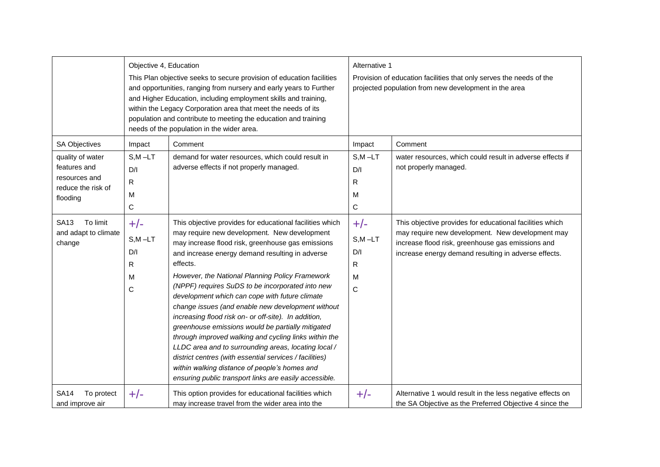|                                                                                                      | Objective 4, Education<br>This Plan objective seeks to secure provision of education facilities<br>and opportunities, ranging from nursery and early years to Further<br>and Higher Education, including employment skills and training,<br>within the Legacy Corporation area that meet the needs of its<br>population and contribute to meeting the education and training<br>needs of the population in the wider area. |                                                                                                                                                                                                                                                                                                                                                                                                                                                                                                                                                                                                                                                                                                                                                                                                                                                | Alternative 1<br>Provision of education facilities that only serves the needs of the<br>projected population from new development in the area |                                                                                                                                                                                                                           |
|------------------------------------------------------------------------------------------------------|----------------------------------------------------------------------------------------------------------------------------------------------------------------------------------------------------------------------------------------------------------------------------------------------------------------------------------------------------------------------------------------------------------------------------|------------------------------------------------------------------------------------------------------------------------------------------------------------------------------------------------------------------------------------------------------------------------------------------------------------------------------------------------------------------------------------------------------------------------------------------------------------------------------------------------------------------------------------------------------------------------------------------------------------------------------------------------------------------------------------------------------------------------------------------------------------------------------------------------------------------------------------------------|-----------------------------------------------------------------------------------------------------------------------------------------------|---------------------------------------------------------------------------------------------------------------------------------------------------------------------------------------------------------------------------|
| SA Objectives<br>quality of water<br>features and<br>resources and<br>reduce the risk of<br>flooding | Impact<br>$S.M - LT$<br>D/I<br>R<br>М<br>$\mathbf C$                                                                                                                                                                                                                                                                                                                                                                       | Comment<br>demand for water resources, which could result in<br>adverse effects if not properly managed.                                                                                                                                                                                                                                                                                                                                                                                                                                                                                                                                                                                                                                                                                                                                       | Impact<br>$S.M - LT$<br>D/I<br>R<br>М<br>C                                                                                                    | Comment<br>water resources, which could result in adverse effects if<br>not properly managed.                                                                                                                             |
| To limit<br>SA13<br>and adapt to climate<br>change                                                   | $+/-$<br>$S, M - LT$<br>D/I<br>$\mathsf{R}$<br>м<br>$\mathsf{C}$                                                                                                                                                                                                                                                                                                                                                           | This objective provides for educational facilities which<br>may require new development. New development<br>may increase flood risk, greenhouse gas emissions<br>and increase energy demand resulting in adverse<br>effects.<br>However, the National Planning Policy Framework<br>(NPPF) requires SuDS to be incorporated into new<br>development which can cope with future climate<br>change issues (and enable new development without<br>increasing flood risk on- or off-site). In addition,<br>greenhouse emissions would be partially mitigated<br>through improved walking and cycling links within the<br>LLDC area and to surrounding areas, locating local /<br>district centres (with essential services / facilities)<br>within walking distance of people's homes and<br>ensuring public transport links are easily accessible. | $+/-$<br>$S,M-LT$<br>D/I<br>R<br>м<br>$\mathsf C$                                                                                             | This objective provides for educational facilities which<br>may require new development. New development may<br>increase flood risk, greenhouse gas emissions and<br>increase energy demand resulting in adverse effects. |
| To protect<br><b>SA14</b><br>and improve air                                                         | $+/-$                                                                                                                                                                                                                                                                                                                                                                                                                      | This option provides for educational facilities which<br>may increase travel from the wider area into the                                                                                                                                                                                                                                                                                                                                                                                                                                                                                                                                                                                                                                                                                                                                      | $+/-$                                                                                                                                         | Alternative 1 would result in the less negative effects on<br>the SA Objective as the Preferred Objective 4 since the                                                                                                     |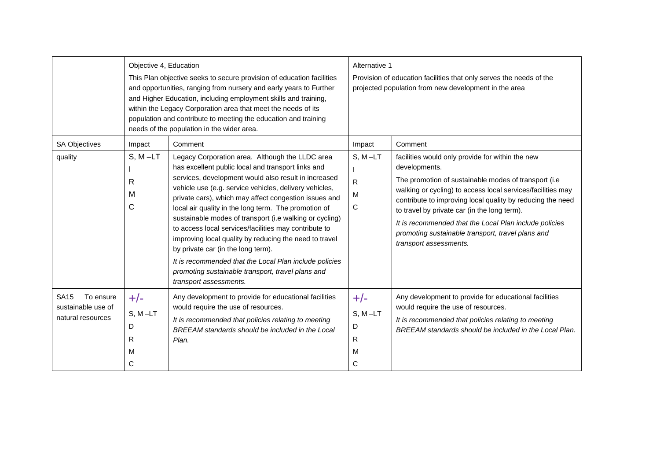|                                                                     | Objective 4, Education<br>This Plan objective seeks to secure provision of education facilities<br>and opportunities, ranging from nursery and early years to Further<br>and Higher Education, including employment skills and training,<br>within the Legacy Corporation area that meet the needs of its<br>population and contribute to meeting the education and training<br>needs of the population in the wider area. |                                                                                                                                                                                                                                                                                                                                                                                                                                                                                                                                                                                                                                                                                                                  | Alternative 1<br>Provision of education facilities that only serves the needs of the<br>projected population from new development in the area |                                                                                                                                                                                                                                                                                                                                                                                                                                                            |
|---------------------------------------------------------------------|----------------------------------------------------------------------------------------------------------------------------------------------------------------------------------------------------------------------------------------------------------------------------------------------------------------------------------------------------------------------------------------------------------------------------|------------------------------------------------------------------------------------------------------------------------------------------------------------------------------------------------------------------------------------------------------------------------------------------------------------------------------------------------------------------------------------------------------------------------------------------------------------------------------------------------------------------------------------------------------------------------------------------------------------------------------------------------------------------------------------------------------------------|-----------------------------------------------------------------------------------------------------------------------------------------------|------------------------------------------------------------------------------------------------------------------------------------------------------------------------------------------------------------------------------------------------------------------------------------------------------------------------------------------------------------------------------------------------------------------------------------------------------------|
| <b>SA Objectives</b><br>quality                                     | Impact<br>$S, M - LT$<br>R<br>M<br>C                                                                                                                                                                                                                                                                                                                                                                                       | Comment<br>Legacy Corporation area. Although the LLDC area<br>has excellent public local and transport links and<br>services, development would also result in increased<br>vehicle use (e.g. service vehicles, delivery vehicles,<br>private cars), which may affect congestion issues and<br>local air quality in the long term. The promotion of<br>sustainable modes of transport (i.e walking or cycling)<br>to access local services/facilities may contribute to<br>improving local quality by reducing the need to travel<br>by private car (in the long term).<br>It is recommended that the Local Plan include policies<br>promoting sustainable transport, travel plans and<br>transport assessments. | Impact<br>$S, M-LT$<br>R<br>M<br>C                                                                                                            | Comment<br>facilities would only provide for within the new<br>developments.<br>The promotion of sustainable modes of transport (i.e<br>walking or cycling) to access local services/facilities may<br>contribute to improving local quality by reducing the need<br>to travel by private car (in the long term).<br>It is recommended that the Local Plan include policies<br>promoting sustainable transport, travel plans and<br>transport assessments. |
| <b>SA15</b><br>To ensure<br>sustainable use of<br>natural resources | $+/-$<br>$S, M-LT$<br>D<br>R<br>M<br>C                                                                                                                                                                                                                                                                                                                                                                                     | Any development to provide for educational facilities<br>would require the use of resources.<br>It is recommended that policies relating to meeting<br>BREEAM standards should be included in the Local<br>Plan.                                                                                                                                                                                                                                                                                                                                                                                                                                                                                                 | $+/-$<br>$S, M-LT$<br>D<br>R<br>M<br>C                                                                                                        | Any development to provide for educational facilities<br>would require the use of resources.<br>It is recommended that policies relating to meeting<br>BREEAM standards should be included in the Local Plan.                                                                                                                                                                                                                                              |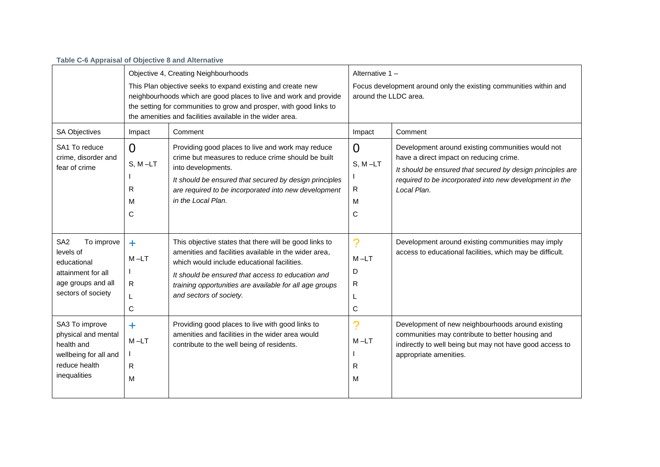| Table C-6 Appraisal of Objective 8 and Alternative                                                                          |                                                                                                                                                                                                                                                                                                              |                                                                                                                                                                                                                                                                                                           |                                                                                                              |                                                                                                                                                                                                                                      |
|-----------------------------------------------------------------------------------------------------------------------------|--------------------------------------------------------------------------------------------------------------------------------------------------------------------------------------------------------------------------------------------------------------------------------------------------------------|-----------------------------------------------------------------------------------------------------------------------------------------------------------------------------------------------------------------------------------------------------------------------------------------------------------|--------------------------------------------------------------------------------------------------------------|--------------------------------------------------------------------------------------------------------------------------------------------------------------------------------------------------------------------------------------|
|                                                                                                                             | Objective 4, Creating Neighbourhoods<br>This Plan objective seeks to expand existing and create new<br>neighbourhoods which are good places to live and work and provide<br>the setting for communities to grow and prosper, with good links to<br>the amenities and facilities available in the wider area. |                                                                                                                                                                                                                                                                                                           | Alternative 1-<br>Focus development around only the existing communities within and<br>around the LLDC area. |                                                                                                                                                                                                                                      |
| <b>SA Objectives</b>                                                                                                        | Impact                                                                                                                                                                                                                                                                                                       | Comment                                                                                                                                                                                                                                                                                                   | Impact                                                                                                       | Comment                                                                                                                                                                                                                              |
| SA1 To reduce<br>crime, disorder and<br>fear of crime                                                                       | 0<br>$S, M-LT$<br>R<br>М<br>С                                                                                                                                                                                                                                                                                | Providing good places to live and work may reduce<br>crime but measures to reduce crime should be built<br>into developments.<br>It should be ensured that secured by design principles<br>are required to be incorporated into new development<br>in the Local Plan.                                     | $\Omega$<br>$S, M-LT$<br>R<br>M<br>C                                                                         | Development around existing communities would not<br>have a direct impact on reducing crime.<br>It should be ensured that secured by design principles are<br>required to be incorporated into new development in the<br>Local Plan. |
| SA <sub>2</sub><br>To improve<br>levels of<br>educational<br>attainment for all<br>age groups and all<br>sectors of society | $\ddot{\phantom{1}}$<br>$M - LT$<br>R<br>С                                                                                                                                                                                                                                                                   | This objective states that there will be good links to<br>amenities and facilities available in the wider area.<br>which would include educational facilities.<br>It should be ensured that access to education and<br>training opportunities are available for all age groups<br>and sectors of society. | ?<br>$M-LT$<br>D<br>R<br>L<br>C                                                                              | Development around existing communities may imply<br>access to educational facilities, which may be difficult.                                                                                                                       |
| SA3 To improve<br>physical and mental<br>health and                                                                         | ٠<br>$M-LT$                                                                                                                                                                                                                                                                                                  | Providing good places to live with good links to<br>amenities and facilities in the wider area would<br>contribute to the well being of residents.                                                                                                                                                        | $M - LT$                                                                                                     | Development of new neighbourhoods around existing<br>communities may contribute to better housing and<br>indirectly to well being but may not have good access to                                                                    |

I R M appropriate amenities.

wellbeing for all and

I R M

reduce health inequalities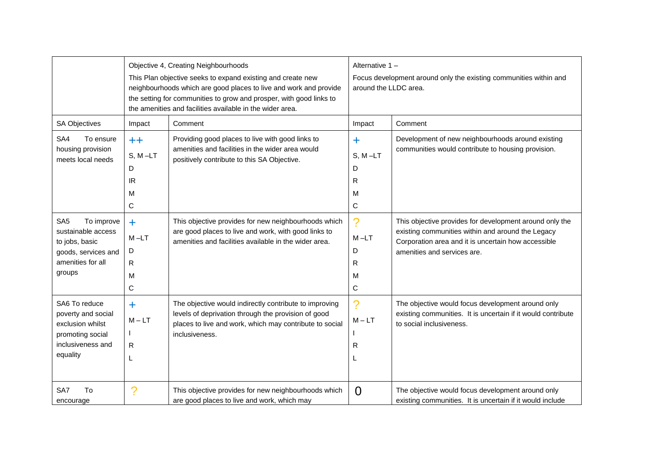|                                                                                                                             |                                                    | Objective 4, Creating Neighbourhoods<br>This Plan objective seeks to expand existing and create new<br>neighbourhoods which are good places to live and work and provide<br>the setting for communities to grow and prosper, with good links to<br>the amenities and facilities available in the wider area. | Alternative 1-<br>Focus development around only the existing communities within and<br>around the LLDC area. |                                                                                                                                                                                                    |
|-----------------------------------------------------------------------------------------------------------------------------|----------------------------------------------------|--------------------------------------------------------------------------------------------------------------------------------------------------------------------------------------------------------------------------------------------------------------------------------------------------------------|--------------------------------------------------------------------------------------------------------------|----------------------------------------------------------------------------------------------------------------------------------------------------------------------------------------------------|
| <b>SA Objectives</b>                                                                                                        | Impact                                             | Comment                                                                                                                                                                                                                                                                                                      | Impact                                                                                                       | Comment                                                                                                                                                                                            |
| SA4<br>To ensure<br>housing provision<br>meets local needs                                                                  | $^{\mathrm{++}}$<br>$S, M-LT$<br>D<br>IR<br>M<br>C | Providing good places to live with good links to<br>amenities and facilities in the wider area would<br>positively contribute to this SA Objective.                                                                                                                                                          | ╇<br>$S, M-LT$<br>D<br>R<br>м<br>$\mathbf C$                                                                 | Development of new neighbourhoods around existing<br>communities would contribute to housing provision.                                                                                            |
| SA <sub>5</sub><br>To improve<br>sustainable access<br>to jobs, basic<br>goods, services and<br>amenities for all<br>groups | $\ddag$<br>$M-LT$<br>D<br>R<br>M<br>C              | This objective provides for new neighbourhoods which<br>are good places to live and work, with good links to<br>amenities and facilities available in the wider area.                                                                                                                                        | ?<br>$M-LT$<br>D<br>R<br>M<br>C                                                                              | This objective provides for development around only the<br>existing communities within and around the Legacy<br>Corporation area and it is uncertain how accessible<br>amenities and services are. |
| SA6 To reduce<br>poverty and social<br>exclusion whilst<br>promoting social<br>inclusiveness and<br>equality                | ÷<br>$M - LT$<br>R<br>L                            | The objective would indirectly contribute to improving<br>levels of deprivation through the provision of good<br>places to live and work, which may contribute to social<br>inclusiveness.                                                                                                                   | $\mathcal{P}$<br>$M - LT$<br>R                                                                               | The objective would focus development around only<br>existing communities. It is uncertain if it would contribute<br>to social inclusiveness.                                                      |
| To<br>SA7<br>encourage                                                                                                      | ?                                                  | This objective provides for new neighbourhoods which<br>are good places to live and work, which may                                                                                                                                                                                                          | $\Omega$                                                                                                     | The objective would focus development around only<br>existing communities. It is uncertain if it would include                                                                                     |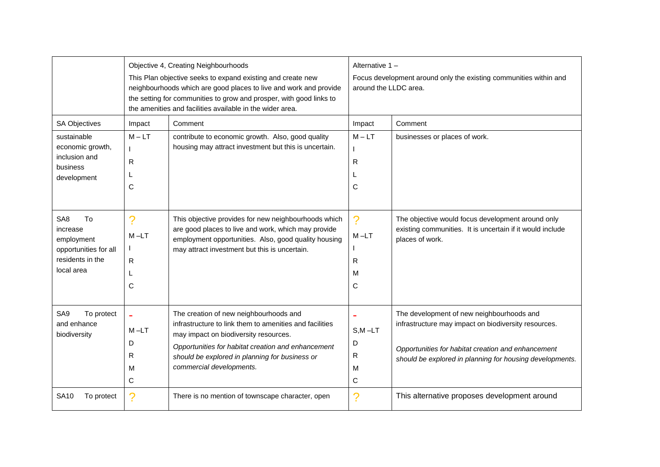|                                                                                                            |                                    | Objective 4, Creating Neighbourhoods<br>This Plan objective seeks to expand existing and create new<br>neighbourhoods which are good places to live and work and provide<br>the setting for communities to grow and prosper, with good links to<br>the amenities and facilities available in the wider area. | Alternative 1-<br>Focus development around only the existing communities within and<br>around the LLDC area. |                                                                                                                                                                                                                     |
|------------------------------------------------------------------------------------------------------------|------------------------------------|--------------------------------------------------------------------------------------------------------------------------------------------------------------------------------------------------------------------------------------------------------------------------------------------------------------|--------------------------------------------------------------------------------------------------------------|---------------------------------------------------------------------------------------------------------------------------------------------------------------------------------------------------------------------|
| <b>SA Objectives</b><br>sustainable<br>economic growth,<br>inclusion and<br>business<br>development        | Impact<br>$M - LT$<br>R<br>L<br>С  | Comment<br>contribute to economic growth. Also, good quality<br>housing may attract investment but this is uncertain.                                                                                                                                                                                        | Impact<br>$M - LT$<br>R<br>C                                                                                 | Comment<br>businesses or places of work.                                                                                                                                                                            |
| SA <sub>8</sub><br>To<br>increase<br>employment<br>opportunities for all<br>residents in the<br>local area | ?<br>$M-LT$<br>R.<br>L<br>C        | This objective provides for new neighbourhoods which<br>are good places to live and work, which may provide<br>employment opportunities. Also, good quality housing<br>may attract investment but this is uncertain.                                                                                         | ?<br>$M-LT$<br>R<br>м<br>$\mathsf{C}$                                                                        | The objective would focus development around only<br>existing communities. It is uncertain if it would include<br>places of work.                                                                                   |
| SA <sub>9</sub><br>To protect<br>and enhance<br>biodiversity                                               | ä,<br>$M - LT$<br>D<br>R<br>M<br>C | The creation of new neighbourhoods and<br>infrastructure to link them to amenities and facilities<br>may impact on biodiversity resources.<br>Opportunities for habitat creation and enhancement<br>should be explored in planning for business or<br>commercial developments.                               | $\blacksquare$<br>$S, M - LT$<br>D<br>R<br>м<br>C                                                            | The development of new neighbourhoods and<br>infrastructure may impact on biodiversity resources.<br>Opportunities for habitat creation and enhancement<br>should be explored in planning for housing developments. |
| <b>SA10</b><br>To protect                                                                                  | ?                                  | There is no mention of townscape character, open                                                                                                                                                                                                                                                             | ?                                                                                                            | This alternative proposes development around                                                                                                                                                                        |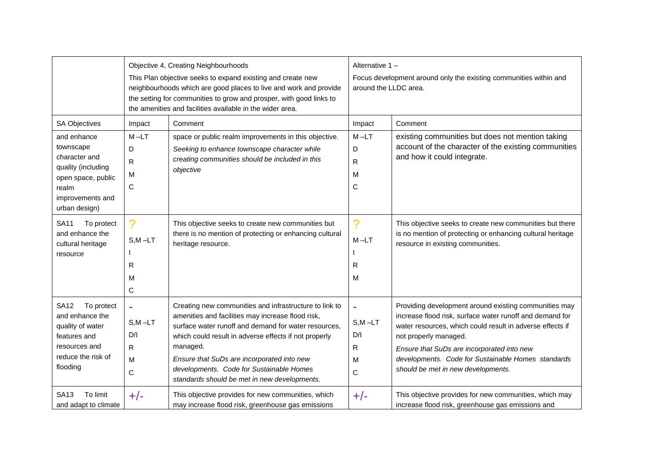|                                                                                                                                     |                                                          | Objective 4, Creating Neighbourhoods<br>This Plan objective seeks to expand existing and create new<br>neighbourhoods which are good places to live and work and provide<br>the setting for communities to grow and prosper, with good links to<br>the amenities and facilities available in the wider area.                                                                       | Alternative 1-<br>Focus development around only the existing communities within and<br>around the LLDC area. |                                                                                                                                                                                                                                                                                                                                                   |
|-------------------------------------------------------------------------------------------------------------------------------------|----------------------------------------------------------|------------------------------------------------------------------------------------------------------------------------------------------------------------------------------------------------------------------------------------------------------------------------------------------------------------------------------------------------------------------------------------|--------------------------------------------------------------------------------------------------------------|---------------------------------------------------------------------------------------------------------------------------------------------------------------------------------------------------------------------------------------------------------------------------------------------------------------------------------------------------|
| <b>SA Objectives</b>                                                                                                                | Impact                                                   | Comment                                                                                                                                                                                                                                                                                                                                                                            | Impact                                                                                                       | Comment                                                                                                                                                                                                                                                                                                                                           |
| and enhance<br>townscape<br>character and<br>quality (including<br>open space, public<br>realm<br>improvements and<br>urban design) | $M-LT$<br>D<br>${\sf R}$<br>M<br>C                       | space or public realm improvements in this objective.<br>Seeking to enhance townscape character while<br>creating communities should be included in this<br>objective                                                                                                                                                                                                              | $M - LT$<br>D<br>R<br>M<br>C                                                                                 | existing communities but does not mention taking<br>account of the character of the existing communities<br>and how it could integrate.                                                                                                                                                                                                           |
| To protect<br><b>SA11</b><br>and enhance the<br>cultural heritage<br>resource                                                       | $\boldsymbol{\gamma}$<br>$S, M - LT$<br>R<br>M<br>C      | This objective seeks to create new communities but<br>there is no mention of protecting or enhancing cultural<br>heritage resource.                                                                                                                                                                                                                                                | ?<br>$M - LT$<br>R<br>M                                                                                      | This objective seeks to create new communities but there<br>is no mention of protecting or enhancing cultural heritage<br>resource in existing communities.                                                                                                                                                                                       |
| To protect<br><b>SA12</b><br>and enhance the<br>quality of water<br>features and<br>resources and<br>reduce the risk of<br>flooding | $\bar{\phantom{a}}$<br>$S, M - LT$<br>D/I<br>R<br>M<br>С | Creating new communities and infrastructure to link to<br>amenities and facilities may increase flood risk,<br>surface water runoff and demand for water resources,<br>which could result in adverse effects if not properly<br>managed.<br>Ensure that SuDs are incorporated into new<br>developments. Code for Sustainable Homes<br>standards should be met in new developments. | $S, M - LT$<br>D/I<br>R<br>M<br>C                                                                            | Providing development around existing communities may<br>increase flood risk, surface water runoff and demand for<br>water resources, which could result in adverse effects if<br>not properly managed.<br>Ensure that SuDs are incorporated into new<br>developments. Code for Sustainable Homes standards<br>should be met in new developments. |
| To limit<br><b>SA13</b><br>and adapt to climate                                                                                     | $+/-$                                                    | This objective provides for new communities, which<br>may increase flood risk, greenhouse gas emissions                                                                                                                                                                                                                                                                            | $+/-$                                                                                                        | This objective provides for new communities, which may<br>increase flood risk, greenhouse gas emissions and                                                                                                                                                                                                                                       |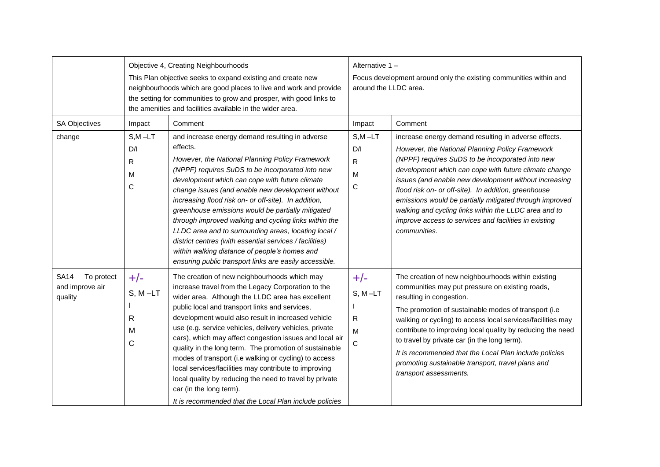|                                                         |                                             | Objective 4, Creating Neighbourhoods<br>This Plan objective seeks to expand existing and create new<br>neighbourhoods which are good places to live and work and provide<br>the setting for communities to grow and prosper, with good links to<br>the amenities and facilities available in the wider area.                                                                                                                                                                                                                                                                                                                                                                                                    | Alternative 1-<br>Focus development around only the existing communities within and<br>around the LLDC area. |                                                                                                                                                                                                                                                                                                                                                                                                                                                                                                                                               |
|---------------------------------------------------------|---------------------------------------------|-----------------------------------------------------------------------------------------------------------------------------------------------------------------------------------------------------------------------------------------------------------------------------------------------------------------------------------------------------------------------------------------------------------------------------------------------------------------------------------------------------------------------------------------------------------------------------------------------------------------------------------------------------------------------------------------------------------------|--------------------------------------------------------------------------------------------------------------|-----------------------------------------------------------------------------------------------------------------------------------------------------------------------------------------------------------------------------------------------------------------------------------------------------------------------------------------------------------------------------------------------------------------------------------------------------------------------------------------------------------------------------------------------|
| <b>SA Objectives</b><br>change                          | Impact<br>$S, M - LT$<br>D/I<br>R<br>M<br>C | Comment<br>and increase energy demand resulting in adverse<br>effects.<br>However, the National Planning Policy Framework<br>(NPPF) requires SuDS to be incorporated into new<br>development which can cope with future climate<br>change issues (and enable new development without<br>increasing flood risk on- or off-site). In addition,<br>greenhouse emissions would be partially mitigated<br>through improved walking and cycling links within the<br>LLDC area and to surrounding areas, locating local /<br>district centres (with essential services / facilities)<br>within walking distance of people's homes and<br>ensuring public transport links are easily accessible.                        | Impact<br>$S,M-LT$<br>D/I<br>R<br>M<br>C                                                                     | Comment<br>increase energy demand resulting in adverse effects.<br>However, the National Planning Policy Framework<br>(NPPF) requires SuDS to be incorporated into new<br>development which can cope with future climate change<br>issues (and enable new development without increasing<br>flood risk on- or off-site). In addition, greenhouse<br>emissions would be partially mitigated through improved<br>walking and cycling links within the LLDC area and to<br>improve access to services and facilities in existing<br>communities. |
| <b>SA14</b><br>To protect<br>and improve air<br>quality | $+/-$<br>$S, M-LT$<br>R<br>M<br>C           | The creation of new neighbourhoods which may<br>increase travel from the Legacy Corporation to the<br>wider area. Although the LLDC area has excellent<br>public local and transport links and services,<br>development would also result in increased vehicle<br>use (e.g. service vehicles, delivery vehicles, private<br>cars), which may affect congestion issues and local air<br>quality in the long term. The promotion of sustainable<br>modes of transport (i.e walking or cycling) to access<br>local services/facilities may contribute to improving<br>local quality by reducing the need to travel by private<br>car (in the long term).<br>It is recommended that the Local Plan include policies | $+/-$<br>$S, M-LT$<br>R<br>M<br>C                                                                            | The creation of new neighbourhoods within existing<br>communities may put pressure on existing roads,<br>resulting in congestion.<br>The promotion of sustainable modes of transport (i.e<br>walking or cycling) to access local services/facilities may<br>contribute to improving local quality by reducing the need<br>to travel by private car (in the long term).<br>It is recommended that the Local Plan include policies<br>promoting sustainable transport, travel plans and<br>transport assessments.                               |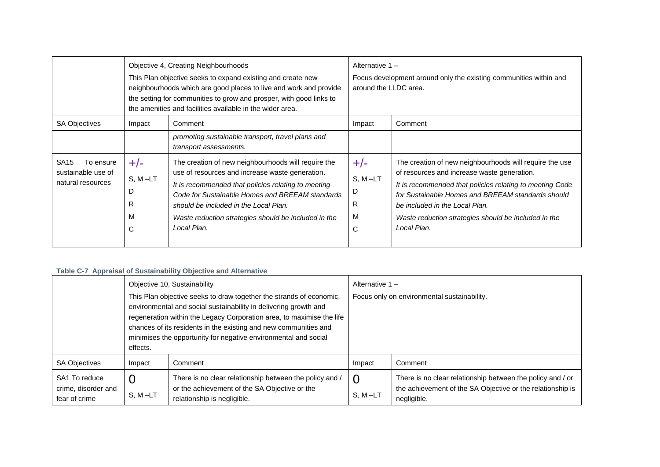|                                                                          | Objective 4, Creating Neighbourhoods<br>This Plan objective seeks to expand existing and create new<br>neighbourhoods which are good places to live and work and provide<br>the setting for communities to grow and prosper, with good links to<br>the amenities and facilities available in the wider area. |                                                                                                                                                                                                                                                                                                                                  | Alternative 1 -<br>around the LLDC area. | Focus development around only the existing communities within and                                                                                                                                                                                                                                                                |
|--------------------------------------------------------------------------|--------------------------------------------------------------------------------------------------------------------------------------------------------------------------------------------------------------------------------------------------------------------------------------------------------------|----------------------------------------------------------------------------------------------------------------------------------------------------------------------------------------------------------------------------------------------------------------------------------------------------------------------------------|------------------------------------------|----------------------------------------------------------------------------------------------------------------------------------------------------------------------------------------------------------------------------------------------------------------------------------------------------------------------------------|
| <b>SA Objectives</b>                                                     | Impact                                                                                                                                                                                                                                                                                                       | Comment<br>promoting sustainable transport, travel plans and<br>transport assessments.                                                                                                                                                                                                                                           | Impact                                   | Comment                                                                                                                                                                                                                                                                                                                          |
| SA <sub>15</sub><br>To ensure<br>sustainable use of<br>natural resources | $+/-$<br>$S, M-LT$<br>D<br>R<br>М<br>C                                                                                                                                                                                                                                                                       | The creation of new neighbourhoods will require the<br>use of resources and increase waste generation.<br>It is recommended that policies relating to meeting<br>Code for Sustainable Homes and BREEAM standards<br>should be included in the Local Plan.<br>Waste reduction strategies should be included in the<br>Local Plan. | $+/-$<br>$S, M-LT$<br>D<br>R<br>м<br>C   | The creation of new neighbourhoods will require the use<br>of resources and increase waste generation.<br>It is recommended that policies relating to meeting Code<br>for Sustainable Homes and BREEAM standards should<br>be included in the Local Plan.<br>Waste reduction strategies should be included in the<br>Local Plan. |

## **Table C-7 Appraisal of Sustainability Objective and Alternative**

|                                                       | Objective 10, Sustainability                                                                                                                                                                                                                                                                                                                                        |                                                                                                                                         |                                             | Alternative $1 -$                                                                                                                       |  |
|-------------------------------------------------------|---------------------------------------------------------------------------------------------------------------------------------------------------------------------------------------------------------------------------------------------------------------------------------------------------------------------------------------------------------------------|-----------------------------------------------------------------------------------------------------------------------------------------|---------------------------------------------|-----------------------------------------------------------------------------------------------------------------------------------------|--|
|                                                       | This Plan objective seeks to draw together the strands of economic,<br>environmental and social sustainability in delivering growth and<br>regeneration within the Legacy Corporation area, to maximise the life<br>chances of its residents in the existing and new communities and<br>minimises the opportunity for negative environmental and social<br>effects. |                                                                                                                                         | Focus only on environmental sustainability. |                                                                                                                                         |  |
| <b>SA Objectives</b>                                  | Impact                                                                                                                                                                                                                                                                                                                                                              | Comment                                                                                                                                 | Impact                                      | Comment                                                                                                                                 |  |
| SA1 To reduce<br>crime, disorder and<br>fear of crime | $S. M - LT$                                                                                                                                                                                                                                                                                                                                                         | There is no clear relationship between the policy and /<br>or the achievement of the SA Objective or the<br>relationship is negligible. | 0<br>$S, M - LT$                            | There is no clear relationship between the policy and / or<br>the achievement of the SA Objective or the relationship is<br>negligible. |  |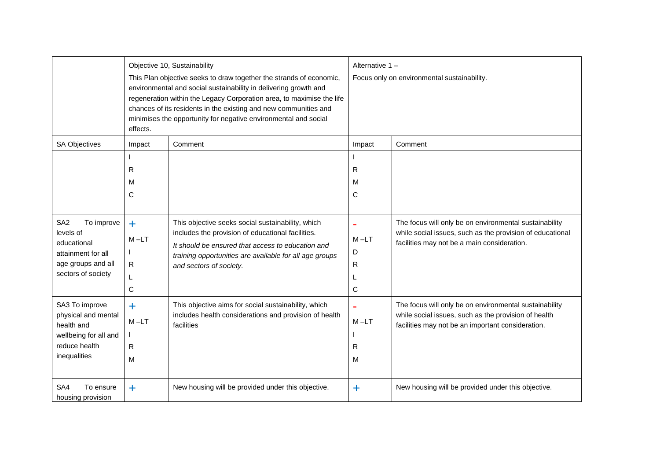|                                                                                                                             | effects.                          | Objective 10, Sustainability<br>This Plan objective seeks to draw together the strands of economic,<br>environmental and social sustainability in delivering growth and<br>regeneration within the Legacy Corporation area, to maximise the life<br>chances of its residents in the existing and new communities and<br>minimises the opportunity for negative environmental and social | Alternative 1 -<br>Focus only on environmental sustainability. |                                                                                                                                                                     |
|-----------------------------------------------------------------------------------------------------------------------------|-----------------------------------|-----------------------------------------------------------------------------------------------------------------------------------------------------------------------------------------------------------------------------------------------------------------------------------------------------------------------------------------------------------------------------------------|----------------------------------------------------------------|---------------------------------------------------------------------------------------------------------------------------------------------------------------------|
| <b>SA Objectives</b>                                                                                                        | Impact<br>R<br>M<br>C             | Comment                                                                                                                                                                                                                                                                                                                                                                                 | Impact<br>R<br>м<br>$\mathsf{C}$                               | Comment                                                                                                                                                             |
| SA <sub>2</sub><br>To improve<br>levels of<br>educational<br>attainment for all<br>age groups and all<br>sectors of society | $\ddag$<br>$M - LT$<br>R<br>С     | This objective seeks social sustainability, which<br>includes the provision of educational facilities.<br>It should be ensured that access to education and<br>training opportunities are available for all age groups<br>and sectors of society.                                                                                                                                       | $\blacksquare$<br>$M-LT$<br>D<br>R<br>C                        | The focus will only be on environmental sustainability<br>while social issues, such as the provision of educational<br>facilities may not be a main consideration.  |
| SA3 To improve<br>physical and mental<br>health and<br>wellbeing for all and<br>reduce health<br>inequalities               | $\ddagger$<br>$M - LT$<br>R.<br>M | This objective aims for social sustainability, which<br>includes health considerations and provision of health<br>facilities                                                                                                                                                                                                                                                            | $\blacksquare$<br>$M-LT$<br>R<br>M                             | The focus will only be on environmental sustainability<br>while social issues, such as the provision of health<br>facilities may not be an important consideration. |
| SA4<br>To ensure<br>housing provision                                                                                       | $\ddag$                           | New housing will be provided under this objective.                                                                                                                                                                                                                                                                                                                                      | ÷                                                              | New housing will be provided under this objective.                                                                                                                  |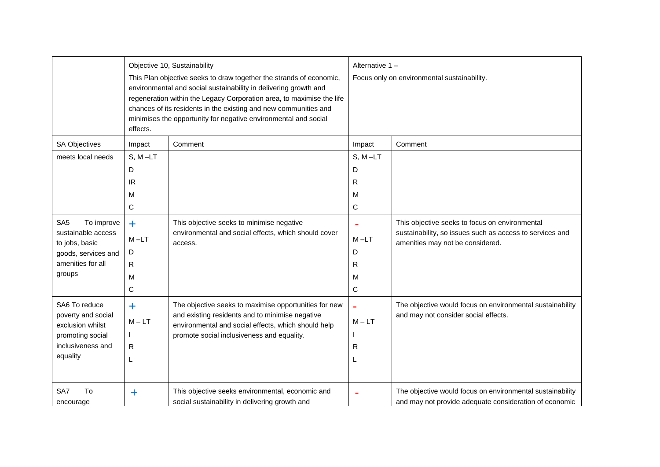|                                          |            | Objective 10, Sustainability<br>This Plan objective seeks to draw together the strands of economic,<br>environmental and social sustainability in delivering growth and<br>regeneration within the Legacy Corporation area, to maximise the life<br>chances of its residents in the existing and new communities and<br>minimises the opportunity for negative environmental and social | Alternative 1-<br>Focus only on environmental sustainability. |                                                                                                                     |
|------------------------------------------|------------|-----------------------------------------------------------------------------------------------------------------------------------------------------------------------------------------------------------------------------------------------------------------------------------------------------------------------------------------------------------------------------------------|---------------------------------------------------------------|---------------------------------------------------------------------------------------------------------------------|
|                                          | effects.   |                                                                                                                                                                                                                                                                                                                                                                                         |                                                               |                                                                                                                     |
| <b>SA Objectives</b>                     | Impact     | Comment                                                                                                                                                                                                                                                                                                                                                                                 | Impact                                                        | Comment                                                                                                             |
| meets local needs                        | $S, M-LT$  |                                                                                                                                                                                                                                                                                                                                                                                         | $S, M-LT$                                                     |                                                                                                                     |
|                                          | D          |                                                                                                                                                                                                                                                                                                                                                                                         | D                                                             |                                                                                                                     |
|                                          | IR.        |                                                                                                                                                                                                                                                                                                                                                                                         | R                                                             |                                                                                                                     |
|                                          | M          |                                                                                                                                                                                                                                                                                                                                                                                         | м                                                             |                                                                                                                     |
|                                          | С          |                                                                                                                                                                                                                                                                                                                                                                                         | $\mathbf C$                                                   |                                                                                                                     |
| SA <sub>5</sub><br>To improve            | $+$        | This objective seeks to minimise negative                                                                                                                                                                                                                                                                                                                                               |                                                               | This objective seeks to focus on environmental                                                                      |
| sustainable access                       | $M - LT$   | environmental and social effects, which should cover<br>access.                                                                                                                                                                                                                                                                                                                         | $M-LT$                                                        | sustainability, so issues such as access to services and                                                            |
| to jobs, basic                           |            |                                                                                                                                                                                                                                                                                                                                                                                         |                                                               | amenities may not be considered.                                                                                    |
| goods, services and<br>amenities for all | D          |                                                                                                                                                                                                                                                                                                                                                                                         | D                                                             |                                                                                                                     |
| groups                                   | R          |                                                                                                                                                                                                                                                                                                                                                                                         | R                                                             |                                                                                                                     |
|                                          | M          |                                                                                                                                                                                                                                                                                                                                                                                         | м                                                             |                                                                                                                     |
|                                          | C          |                                                                                                                                                                                                                                                                                                                                                                                         | $\mathbf C$                                                   |                                                                                                                     |
| SA6 To reduce                            | $\ddagger$ | The objective seeks to maximise opportunities for new                                                                                                                                                                                                                                                                                                                                   |                                                               | The objective would focus on environmental sustainability                                                           |
| poverty and social                       | $M - LT$   | and existing residents and to minimise negative                                                                                                                                                                                                                                                                                                                                         | $M - LT$                                                      | and may not consider social effects.                                                                                |
| exclusion whilst<br>promoting social     |            | environmental and social effects, which should help<br>promote social inclusiveness and equality.                                                                                                                                                                                                                                                                                       |                                                               |                                                                                                                     |
| inclusiveness and                        | R          |                                                                                                                                                                                                                                                                                                                                                                                         | R                                                             |                                                                                                                     |
| equality                                 | L          |                                                                                                                                                                                                                                                                                                                                                                                         |                                                               |                                                                                                                     |
|                                          |            |                                                                                                                                                                                                                                                                                                                                                                                         |                                                               |                                                                                                                     |
| SA7<br>To<br>encourage                   | $\ddot{}$  | This objective seeks environmental, economic and<br>social sustainability in delivering growth and                                                                                                                                                                                                                                                                                      |                                                               | The objective would focus on environmental sustainability<br>and may not provide adequate consideration of economic |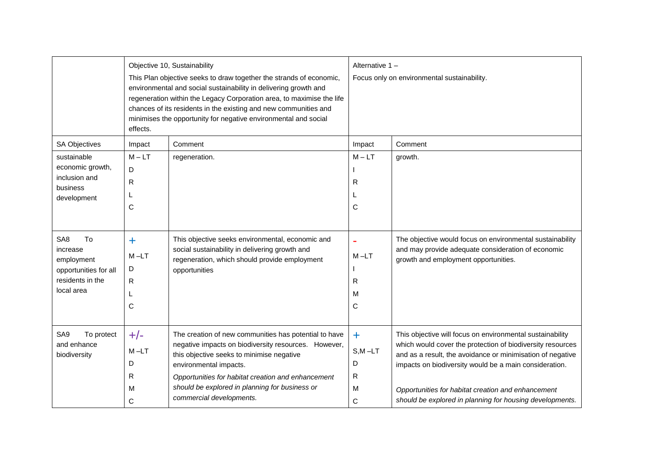|                                                                                                            | effects.                              | Objective 10, Sustainability<br>This Plan objective seeks to draw together the strands of economic,<br>environmental and social sustainability in delivering growth and<br>regeneration within the Legacy Corporation area, to maximise the life<br>chances of its residents in the existing and new communities and<br>minimises the opportunity for negative environmental and social | Alternative 1-<br>Focus only on environmental sustainability. |                                                                                                                                                                                                                                                                                                                                                                   |  |
|------------------------------------------------------------------------------------------------------------|---------------------------------------|-----------------------------------------------------------------------------------------------------------------------------------------------------------------------------------------------------------------------------------------------------------------------------------------------------------------------------------------------------------------------------------------|---------------------------------------------------------------|-------------------------------------------------------------------------------------------------------------------------------------------------------------------------------------------------------------------------------------------------------------------------------------------------------------------------------------------------------------------|--|
| SA Objectives                                                                                              | Impact                                | Comment                                                                                                                                                                                                                                                                                                                                                                                 | Impact                                                        | Comment                                                                                                                                                                                                                                                                                                                                                           |  |
| sustainable<br>economic growth,                                                                            | $M - LT$                              | regeneration.                                                                                                                                                                                                                                                                                                                                                                           | $M - LT$                                                      | growth.                                                                                                                                                                                                                                                                                                                                                           |  |
| inclusion and                                                                                              | D<br>R                                |                                                                                                                                                                                                                                                                                                                                                                                         | R                                                             |                                                                                                                                                                                                                                                                                                                                                                   |  |
| business                                                                                                   |                                       |                                                                                                                                                                                                                                                                                                                                                                                         |                                                               |                                                                                                                                                                                                                                                                                                                                                                   |  |
| development                                                                                                | C                                     |                                                                                                                                                                                                                                                                                                                                                                                         | C                                                             |                                                                                                                                                                                                                                                                                                                                                                   |  |
|                                                                                                            |                                       |                                                                                                                                                                                                                                                                                                                                                                                         |                                                               |                                                                                                                                                                                                                                                                                                                                                                   |  |
| To<br>SA <sub>8</sub><br>increase<br>employment<br>opportunities for all<br>residents in the<br>local area | ÷.<br>$M-LT$<br>D<br>R<br>L<br>C      | This objective seeks environmental, economic and<br>social sustainability in delivering growth and<br>regeneration, which should provide employment<br>opportunities                                                                                                                                                                                                                    | $\blacksquare$<br>$M - LT$<br>R<br>м<br>C                     | The objective would focus on environmental sustainability<br>and may provide adequate consideration of economic<br>growth and employment opportunities.                                                                                                                                                                                                           |  |
| SA <sub>9</sub><br>To protect<br>and enhance<br>biodiversity                                               | $+/-$<br>$M - LT$<br>D<br>R<br>M<br>С | The creation of new communities has potential to have<br>negative impacts on biodiversity resources. However,<br>this objective seeks to minimise negative<br>environmental impacts.<br>Opportunities for habitat creation and enhancement<br>should be explored in planning for business or<br>commercial developments.                                                                | ÷.<br>$S,M$ -LT<br>D<br>$\mathsf{R}$<br>M<br>С                | This objective will focus on environmental sustainability<br>which would cover the protection of biodiversity resources<br>and as a result, the avoidance or minimisation of negative<br>impacts on biodiversity would be a main consideration.<br>Opportunities for habitat creation and enhancement<br>should be explored in planning for housing developments. |  |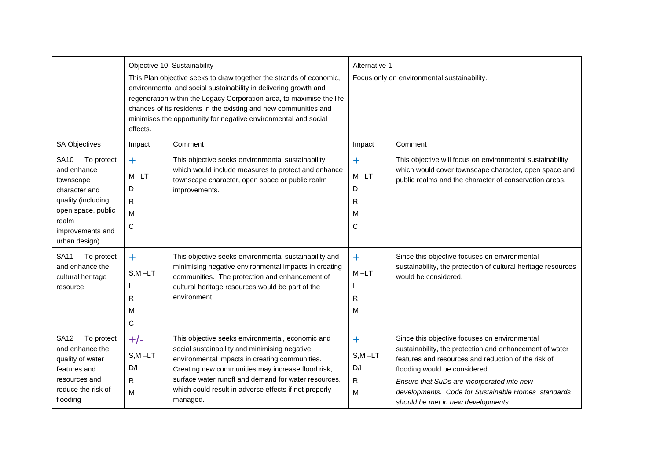|                                                                                                                                                                  | effects.                                           | Objective 10, Sustainability<br>This Plan objective seeks to draw together the strands of economic,<br>environmental and social sustainability in delivering growth and<br>regeneration within the Legacy Corporation area, to maximise the life<br>chances of its residents in the existing and new communities and<br>minimises the opportunity for negative environmental and social | Alternative 1-<br>Focus only on environmental sustainability. |                                                                                                                                                                                                                                                                                                                                            |  |
|------------------------------------------------------------------------------------------------------------------------------------------------------------------|----------------------------------------------------|-----------------------------------------------------------------------------------------------------------------------------------------------------------------------------------------------------------------------------------------------------------------------------------------------------------------------------------------------------------------------------------------|---------------------------------------------------------------|--------------------------------------------------------------------------------------------------------------------------------------------------------------------------------------------------------------------------------------------------------------------------------------------------------------------------------------------|--|
| <b>SA Objectives</b>                                                                                                                                             | Impact                                             | Comment                                                                                                                                                                                                                                                                                                                                                                                 | Impact                                                        | Comment                                                                                                                                                                                                                                                                                                                                    |  |
| To protect<br><b>SA10</b><br>and enhance<br>townscape<br>character and<br>quality (including<br>open space, public<br>realm<br>improvements and<br>urban design) | $\ddagger$<br>$M-LT$<br>D<br>R<br>M<br>$\mathsf C$ | This objective seeks environmental sustainability,<br>which would include measures to protect and enhance<br>townscape character, open space or public realm<br>improvements.                                                                                                                                                                                                           | $\ddagger$<br>$M-LT$<br>D<br>R<br>м<br>$\mathsf{C}$           | This objective will focus on environmental sustainability<br>which would cover townscape character, open space and<br>public realms and the character of conservation areas.                                                                                                                                                               |  |
| <b>SA11</b><br>To protect<br>and enhance the<br>cultural heritage<br>resource                                                                                    | $+$<br>$S.M - LT$<br>R<br>M<br>C                   | This objective seeks environmental sustainability and<br>minimising negative environmental impacts in creating<br>communities. The protection and enhancement of<br>cultural heritage resources would be part of the<br>environment.                                                                                                                                                    | $+$<br>$M - LT$<br>R<br>M                                     | Since this objective focuses on environmental<br>sustainability, the protection of cultural heritage resources<br>would be considered.                                                                                                                                                                                                     |  |
| <b>SA12</b><br>To protect<br>and enhance the<br>quality of water<br>features and<br>resources and<br>reduce the risk of<br>flooding                              | $+/-$<br>$S, M - LT$<br>D/I<br>$\mathsf{R}$<br>M   | This objective seeks environmental, economic and<br>social sustainability and minimising negative<br>environmental impacts in creating communities.<br>Creating new communities may increase flood risk,<br>surface water runoff and demand for water resources,<br>which could result in adverse effects if not properly<br>managed.                                                   | $\ddagger$<br>$S, M - LT$<br>D/I<br>$\mathsf{R}$<br>M         | Since this objective focuses on environmental<br>sustainability, the protection and enhancement of water<br>features and resources and reduction of the risk of<br>flooding would be considered.<br>Ensure that SuDs are incorporated into new<br>developments. Code for Sustainable Homes standards<br>should be met in new developments. |  |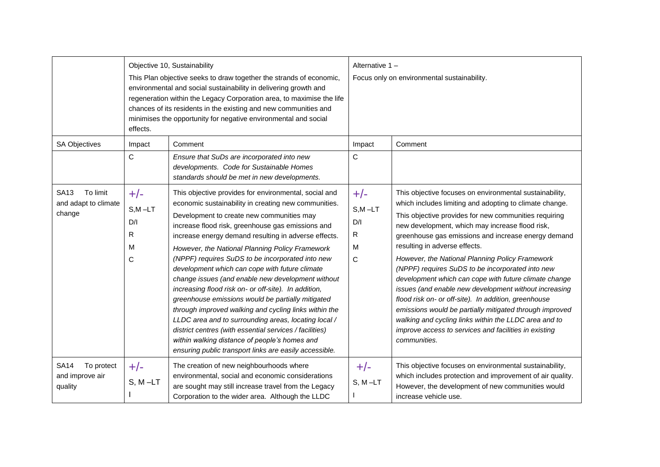|                                                           | effects.                                              | Objective 10, Sustainability<br>This Plan objective seeks to draw together the strands of economic,<br>environmental and social sustainability in delivering growth and<br>regeneration within the Legacy Corporation area, to maximise the life<br>chances of its residents in the existing and new communities and<br>minimises the opportunity for negative environmental and social                                                                                                                                                                                                                                                                                                                                                                                                                                                                                                   | Alternative 1 -<br>Focus only on environmental sustainability. |                                                                                                                                                                                                                                                                                                                                                                                                                                                                                                                                                                                                                                                                                                                                                                                                      |  |
|-----------------------------------------------------------|-------------------------------------------------------|-------------------------------------------------------------------------------------------------------------------------------------------------------------------------------------------------------------------------------------------------------------------------------------------------------------------------------------------------------------------------------------------------------------------------------------------------------------------------------------------------------------------------------------------------------------------------------------------------------------------------------------------------------------------------------------------------------------------------------------------------------------------------------------------------------------------------------------------------------------------------------------------|----------------------------------------------------------------|------------------------------------------------------------------------------------------------------------------------------------------------------------------------------------------------------------------------------------------------------------------------------------------------------------------------------------------------------------------------------------------------------------------------------------------------------------------------------------------------------------------------------------------------------------------------------------------------------------------------------------------------------------------------------------------------------------------------------------------------------------------------------------------------------|--|
| <b>SA Objectives</b>                                      | Impact<br>$\mathsf{C}$                                | Comment<br>Ensure that SuDs are incorporated into new<br>developments. Code for Sustainable Homes<br>standards should be met in new developments.                                                                                                                                                                                                                                                                                                                                                                                                                                                                                                                                                                                                                                                                                                                                         | Impact<br>$\mathsf{C}$                                         | Comment                                                                                                                                                                                                                                                                                                                                                                                                                                                                                                                                                                                                                                                                                                                                                                                              |  |
| To limit<br><b>SA13</b><br>and adapt to climate<br>change | $+/-$<br>$S, M - LT$<br>D/I<br>R<br>M<br>$\mathsf{C}$ | This objective provides for environmental, social and<br>economic sustainability in creating new communities.<br>Development to create new communities may<br>increase flood risk, greenhouse gas emissions and<br>increase energy demand resulting in adverse effects.<br>However, the National Planning Policy Framework<br>(NPPF) requires SuDS to be incorporated into new<br>development which can cope with future climate<br>change issues (and enable new development without<br>increasing flood risk on- or off-site). In addition,<br>greenhouse emissions would be partially mitigated<br>through improved walking and cycling links within the<br>LLDC area and to surrounding areas, locating local /<br>district centres (with essential services / facilities)<br>within walking distance of people's homes and<br>ensuring public transport links are easily accessible. | $+/-$<br>$S, M - LT$<br>D/I<br>$\mathsf{R}$<br>M<br>C          | This objective focuses on environmental sustainability,<br>which includes limiting and adopting to climate change.<br>This objective provides for new communities requiring<br>new development, which may increase flood risk,<br>greenhouse gas emissions and increase energy demand<br>resulting in adverse effects.<br>However, the National Planning Policy Framework<br>(NPPF) requires SuDS to be incorporated into new<br>development which can cope with future climate change<br>issues (and enable new development without increasing<br>flood risk on- or off-site). In addition, greenhouse<br>emissions would be partially mitigated through improved<br>walking and cycling links within the LLDC area and to<br>improve access to services and facilities in existing<br>communities. |  |
| <b>SA14</b><br>To protect<br>and improve air<br>quality   | $+/-$<br>$S, M - LT$                                  | The creation of new neighbourhoods where<br>environmental, social and economic considerations<br>are sought may still increase travel from the Legacy<br>Corporation to the wider area. Although the LLDC                                                                                                                                                                                                                                                                                                                                                                                                                                                                                                                                                                                                                                                                                 | $+/-$<br>$S, M-LT$                                             | This objective focuses on environmental sustainability,<br>which includes protection and improvement of air quality.<br>However, the development of new communities would<br>increase vehicle use.                                                                                                                                                                                                                                                                                                                                                                                                                                                                                                                                                                                                   |  |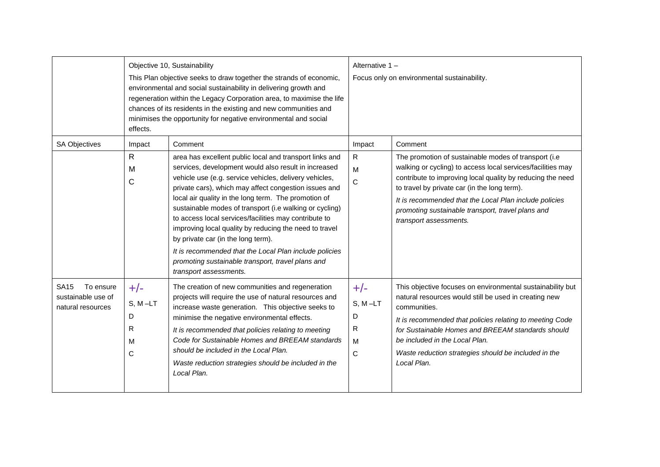|                                                                     | Objective 10, Sustainability                                                                                                                                                                                                                                                                                                                                        |                                                                                                                                                                                                                                                                                                                                                                                                                                                                                                                                                                                                                                                         | Alternative 1-                         |                                                                                                                                                                                                                                                                                                                                                                            |  |
|---------------------------------------------------------------------|---------------------------------------------------------------------------------------------------------------------------------------------------------------------------------------------------------------------------------------------------------------------------------------------------------------------------------------------------------------------|---------------------------------------------------------------------------------------------------------------------------------------------------------------------------------------------------------------------------------------------------------------------------------------------------------------------------------------------------------------------------------------------------------------------------------------------------------------------------------------------------------------------------------------------------------------------------------------------------------------------------------------------------------|----------------------------------------|----------------------------------------------------------------------------------------------------------------------------------------------------------------------------------------------------------------------------------------------------------------------------------------------------------------------------------------------------------------------------|--|
|                                                                     | This Plan objective seeks to draw together the strands of economic,<br>environmental and social sustainability in delivering growth and<br>regeneration within the Legacy Corporation area, to maximise the life<br>chances of its residents in the existing and new communities and<br>minimises the opportunity for negative environmental and social<br>effects. |                                                                                                                                                                                                                                                                                                                                                                                                                                                                                                                                                                                                                                                         |                                        | Focus only on environmental sustainability.                                                                                                                                                                                                                                                                                                                                |  |
| <b>SA Objectives</b>                                                | Impact                                                                                                                                                                                                                                                                                                                                                              | Comment                                                                                                                                                                                                                                                                                                                                                                                                                                                                                                                                                                                                                                                 | Impact                                 | Comment                                                                                                                                                                                                                                                                                                                                                                    |  |
|                                                                     | R<br>M<br>$\mathsf{C}$                                                                                                                                                                                                                                                                                                                                              | area has excellent public local and transport links and<br>services, development would also result in increased<br>vehicle use (e.g. service vehicles, delivery vehicles,<br>private cars), which may affect congestion issues and<br>local air quality in the long term. The promotion of<br>sustainable modes of transport (i.e walking or cycling)<br>to access local services/facilities may contribute to<br>improving local quality by reducing the need to travel<br>by private car (in the long term).<br>It is recommended that the Local Plan include policies<br>promoting sustainable transport, travel plans and<br>transport assessments. | R<br>M<br>$\mathsf{C}$                 | The promotion of sustainable modes of transport (i.e<br>walking or cycling) to access local services/facilities may<br>contribute to improving local quality by reducing the need<br>to travel by private car (in the long term).<br>It is recommended that the Local Plan include policies<br>promoting sustainable transport, travel plans and<br>transport assessments. |  |
| <b>SA15</b><br>To ensure<br>sustainable use of<br>natural resources | $+/-$<br>$S, M-LT$<br>D<br>R<br>M<br>C                                                                                                                                                                                                                                                                                                                              | The creation of new communities and regeneration<br>projects will require the use of natural resources and<br>increase waste generation. This objective seeks to<br>minimise the negative environmental effects.<br>It is recommended that policies relating to meeting<br>Code for Sustainable Homes and BREEAM standards<br>should be included in the Local Plan.<br>Waste reduction strategies should be included in the<br>Local Plan.                                                                                                                                                                                                              | $+/-$<br>$S, M-LT$<br>D<br>R<br>M<br>C | This objective focuses on environmental sustainability but<br>natural resources would still be used in creating new<br>communities.<br>It is recommended that policies relating to meeting Code<br>for Sustainable Homes and BREEAM standards should<br>be included in the Local Plan.<br>Waste reduction strategies should be included in the<br>Local Plan.              |  |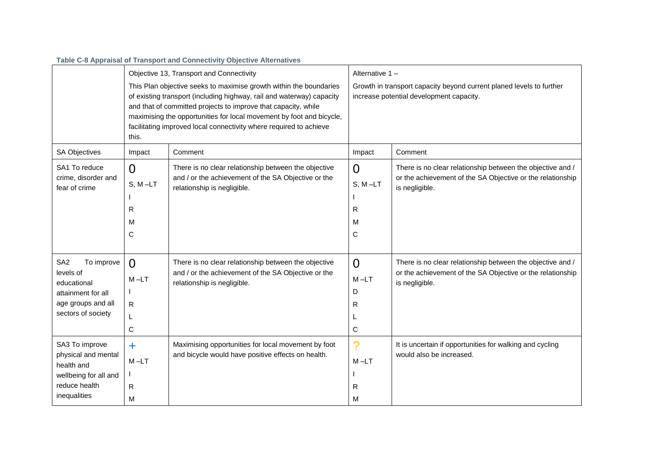|                                            | Table C-8 Appraisal of Transport and Connectivity Objective Alternatives |                                                                                                                                                                                                                                                                                                                                                             |                                                                                                                  |                                                                                                                          |  |  |  |
|--------------------------------------------|--------------------------------------------------------------------------|-------------------------------------------------------------------------------------------------------------------------------------------------------------------------------------------------------------------------------------------------------------------------------------------------------------------------------------------------------------|------------------------------------------------------------------------------------------------------------------|--------------------------------------------------------------------------------------------------------------------------|--|--|--|
|                                            |                                                                          | Objective 13, Transport and Connectivity                                                                                                                                                                                                                                                                                                                    | Alternative 1-                                                                                                   |                                                                                                                          |  |  |  |
|                                            | this.                                                                    | This Plan objective seeks to maximise growth within the boundaries<br>of existing transport (including highway, rail and waterway) capacity<br>and that of committed projects to improve that capacity, while<br>maximising the opportunities for local movement by foot and bicycle,<br>facilitating improved local connectivity where required to achieve | Growth in transport capacity beyond current planed levels to further<br>increase potential development capacity. |                                                                                                                          |  |  |  |
| <b>SA Objectives</b>                       | Impact                                                                   | Comment                                                                                                                                                                                                                                                                                                                                                     | Impact                                                                                                           | Comment                                                                                                                  |  |  |  |
| SA1 To reduce                              | $\overline{0}$                                                           | There is no clear relationship between the objective                                                                                                                                                                                                                                                                                                        | $\overline{0}$                                                                                                   | There is no clear relationship between the objective and /                                                               |  |  |  |
| crime, disorder and<br>fear of crime       | $S, M-LT$                                                                | and / or the achievement of the SA Objective or the<br>relationship is negligible.                                                                                                                                                                                                                                                                          | $S, M-LT$                                                                                                        | or the achievement of the SA Objective or the relationship<br>is negligible.                                             |  |  |  |
|                                            | R                                                                        |                                                                                                                                                                                                                                                                                                                                                             | R                                                                                                                |                                                                                                                          |  |  |  |
|                                            | M                                                                        |                                                                                                                                                                                                                                                                                                                                                             | M                                                                                                                |                                                                                                                          |  |  |  |
|                                            | C                                                                        |                                                                                                                                                                                                                                                                                                                                                             | C                                                                                                                |                                                                                                                          |  |  |  |
| SA <sub>2</sub><br>To improve<br>levels of | $\Omega$                                                                 | There is no clear relationship between the objective<br>and / or the achievement of the SA Objective or the                                                                                                                                                                                                                                                 | $\Omega$                                                                                                         | There is no clear relationship between the objective and /<br>or the achievement of the SA Objective or the relationship |  |  |  |
| educational                                | $M - LT$                                                                 | relationship is negligible.                                                                                                                                                                                                                                                                                                                                 | $M-LT$                                                                                                           | is negligible.                                                                                                           |  |  |  |
| attainment for all                         |                                                                          |                                                                                                                                                                                                                                                                                                                                                             | D                                                                                                                |                                                                                                                          |  |  |  |
| age groups and all<br>sectors of society   | R<br>L                                                                   |                                                                                                                                                                                                                                                                                                                                                             | R                                                                                                                |                                                                                                                          |  |  |  |
|                                            | C                                                                        |                                                                                                                                                                                                                                                                                                                                                             | $\mathsf C$                                                                                                      |                                                                                                                          |  |  |  |
| SA3 To improve                             | $+$                                                                      | Maximising opportunities for local movement by foot                                                                                                                                                                                                                                                                                                         | $\mathcal{P}$                                                                                                    | It is uncertain if opportunities for walking and cycling                                                                 |  |  |  |
| physical and mental<br>health and          | $M-LT$                                                                   | and bicycle would have positive effects on health.                                                                                                                                                                                                                                                                                                          | $M-LT$                                                                                                           | would also be increased.                                                                                                 |  |  |  |
| wellbeing for all and                      |                                                                          |                                                                                                                                                                                                                                                                                                                                                             |                                                                                                                  |                                                                                                                          |  |  |  |
| reduce health                              | R                                                                        |                                                                                                                                                                                                                                                                                                                                                             | R                                                                                                                |                                                                                                                          |  |  |  |
| inequalities                               | M                                                                        |                                                                                                                                                                                                                                                                                                                                                             | м                                                                                                                |                                                                                                                          |  |  |  |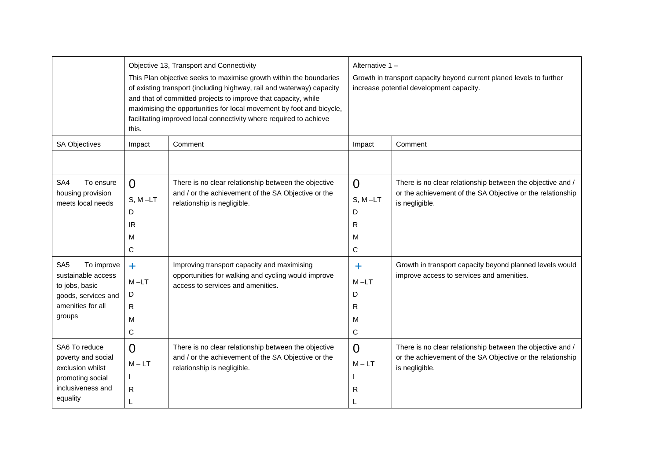|                                                                                                                             | this.                                              | Objective 13, Transport and Connectivity<br>This Plan objective seeks to maximise growth within the boundaries<br>of existing transport (including highway, rail and waterway) capacity<br>and that of committed projects to improve that capacity, while<br>maximising the opportunities for local movement by foot and bicycle,<br>facilitating improved local connectivity where required to achieve | Alternative 1-<br>Growth in transport capacity beyond current planed levels to further<br>increase potential development capacity. |                                                                                                                                            |  |
|-----------------------------------------------------------------------------------------------------------------------------|----------------------------------------------------|---------------------------------------------------------------------------------------------------------------------------------------------------------------------------------------------------------------------------------------------------------------------------------------------------------------------------------------------------------------------------------------------------------|------------------------------------------------------------------------------------------------------------------------------------|--------------------------------------------------------------------------------------------------------------------------------------------|--|
| <b>SA Objectives</b>                                                                                                        | Impact                                             | Comment                                                                                                                                                                                                                                                                                                                                                                                                 | Impact                                                                                                                             | Comment                                                                                                                                    |  |
| SA4<br>To ensure<br>housing provision<br>meets local needs                                                                  | $\Omega$<br>$S, M-LT$<br>D<br>IR.<br>M<br>C        | There is no clear relationship between the objective<br>and / or the achievement of the SA Objective or the<br>relationship is negligible.                                                                                                                                                                                                                                                              | $\Omega$<br>$S, M-LT$<br>D<br>R<br>м<br>C                                                                                          | There is no clear relationship between the objective and /<br>or the achievement of the SA Objective or the relationship<br>is negligible. |  |
| SA <sub>5</sub><br>To improve<br>sustainable access<br>to jobs, basic<br>goods, services and<br>amenities for all<br>groups | $\ddot{\phantom{1}}$<br>$M-LT$<br>D<br>R<br>M<br>С | Improving transport capacity and maximising<br>opportunities for walking and cycling would improve<br>access to services and amenities.                                                                                                                                                                                                                                                                 | ╇<br>$M-LT$<br>D<br>R<br>M<br>C                                                                                                    | Growth in transport capacity beyond planned levels would<br>improve access to services and amenities.                                      |  |
| SA6 To reduce<br>poverty and social<br>exclusion whilst<br>promoting social<br>inclusiveness and<br>equality                | $\Omega$<br>$M - LT$<br>R                          | There is no clear relationship between the objective<br>and / or the achievement of the SA Objective or the<br>relationship is negligible.                                                                                                                                                                                                                                                              | $\Omega$<br>$M - LT$<br>R                                                                                                          | There is no clear relationship between the objective and /<br>or the achievement of the SA Objective or the relationship<br>is negligible. |  |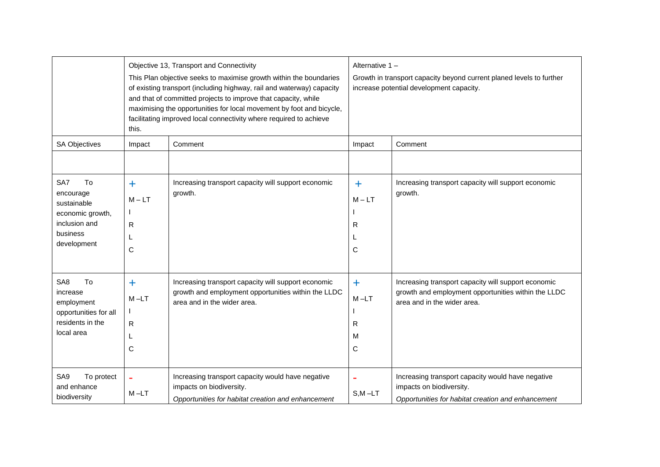|                                                                                                            | this.                                | Objective 13, Transport and Connectivity<br>This Plan objective seeks to maximise growth within the boundaries<br>of existing transport (including highway, rail and waterway) capacity<br>and that of committed projects to improve that capacity, while<br>maximising the opportunities for local movement by foot and bicycle,<br>facilitating improved local connectivity where required to achieve | Alternative 1-<br>Growth in transport capacity beyond current planed levels to further<br>increase potential development capacity. |                                                                                                                                           |  |
|------------------------------------------------------------------------------------------------------------|--------------------------------------|---------------------------------------------------------------------------------------------------------------------------------------------------------------------------------------------------------------------------------------------------------------------------------------------------------------------------------------------------------------------------------------------------------|------------------------------------------------------------------------------------------------------------------------------------|-------------------------------------------------------------------------------------------------------------------------------------------|--|
| <b>SA Objectives</b>                                                                                       | Impact                               | Comment                                                                                                                                                                                                                                                                                                                                                                                                 | Impact                                                                                                                             | Comment                                                                                                                                   |  |
| To<br>SA7<br>encourage<br>sustainable<br>economic growth,<br>inclusion and<br>business<br>development      | ÷.<br>$M - LT$<br>R<br>C             | Increasing transport capacity will support economic<br>growth.                                                                                                                                                                                                                                                                                                                                          | $\ddag$<br>$M - LT$<br>R<br>C                                                                                                      | Increasing transport capacity will support economic<br>growth.                                                                            |  |
| To<br>SA <sub>8</sub><br>increase<br>employment<br>opportunities for all<br>residents in the<br>local area | $\ddot{}$<br>$M - LT$<br>R<br>L<br>C | Increasing transport capacity will support economic<br>growth and employment opportunities within the LLDC<br>area and in the wider area.                                                                                                                                                                                                                                                               | $\ddot{}$<br>$M - LT$<br>R<br>м<br>C                                                                                               | Increasing transport capacity will support economic<br>growth and employment opportunities within the LLDC<br>area and in the wider area. |  |
| SA9<br>To protect<br>and enhance<br>biodiversity                                                           | ۰<br>$M - LT$                        | Increasing transport capacity would have negative<br>impacts on biodiversity.<br>Opportunities for habitat creation and enhancement                                                                                                                                                                                                                                                                     | $S, M - LT$                                                                                                                        | Increasing transport capacity would have negative<br>impacts on biodiversity.<br>Opportunities for habitat creation and enhancement       |  |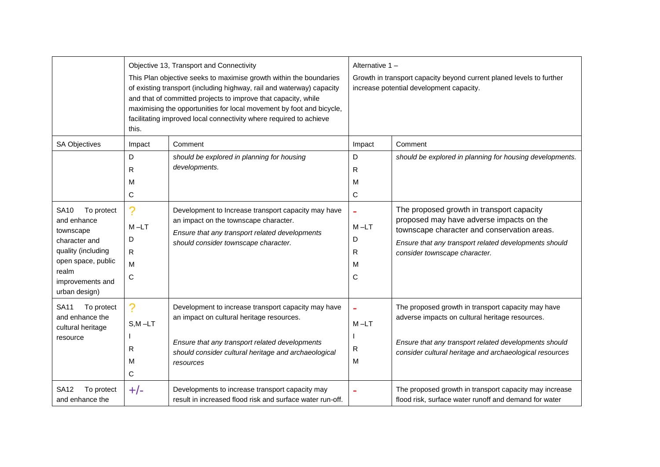|                                                                                                                                                                  | this.                              | Objective 13, Transport and Connectivity<br>This Plan objective seeks to maximise growth within the boundaries<br>of existing transport (including highway, rail and waterway) capacity<br>and that of committed projects to improve that capacity, while<br>maximising the opportunities for local movement by foot and bicycle,<br>facilitating improved local connectivity where required to achieve | Alternative 1 -<br>Growth in transport capacity beyond current planed levels to further<br>increase potential development capacity. |                                                                                                                                                                                                                                |  |
|------------------------------------------------------------------------------------------------------------------------------------------------------------------|------------------------------------|---------------------------------------------------------------------------------------------------------------------------------------------------------------------------------------------------------------------------------------------------------------------------------------------------------------------------------------------------------------------------------------------------------|-------------------------------------------------------------------------------------------------------------------------------------|--------------------------------------------------------------------------------------------------------------------------------------------------------------------------------------------------------------------------------|--|
| <b>SA Objectives</b>                                                                                                                                             | Impact<br>D                        | Comment<br>should be explored in planning for housing<br>developments.                                                                                                                                                                                                                                                                                                                                  | Impact<br>D                                                                                                                         | Comment<br>should be explored in planning for housing developments.                                                                                                                                                            |  |
|                                                                                                                                                                  | R<br>М<br>C                        |                                                                                                                                                                                                                                                                                                                                                                                                         | R<br>М<br>С                                                                                                                         |                                                                                                                                                                                                                                |  |
| <b>SA10</b><br>To protect<br>and enhance<br>townscape<br>character and<br>quality (including<br>open space, public<br>realm<br>improvements and<br>urban design) | ?<br>$M - LT$<br>D<br>R.<br>M<br>C | Development to Increase transport capacity may have<br>an impact on the townscape character.<br>Ensure that any transport related developments<br>should consider townscape character.                                                                                                                                                                                                                  | $M - LT$<br>D<br>R<br>м<br>C                                                                                                        | The proposed growth in transport capacity<br>proposed may have adverse impacts on the<br>townscape character and conservation areas.<br>Ensure that any transport related developments should<br>consider townscape character. |  |
| <b>SA11</b><br>To protect<br>and enhance the<br>cultural heritage<br>resource                                                                                    | ?<br>$S, M - LT$<br>R<br>м<br>C    | Development to increase transport capacity may have<br>an impact on cultural heritage resources.<br>Ensure that any transport related developments<br>should consider cultural heritage and archaeological<br>resources                                                                                                                                                                                 | $M - LT$<br>R<br>м                                                                                                                  | The proposed growth in transport capacity may have<br>adverse impacts on cultural heritage resources.<br>Ensure that any transport related developments should<br>consider cultural heritage and archaeological resources      |  |
| <b>SA12</b><br>To protect<br>and enhance the                                                                                                                     | $+/-$                              | Developments to increase transport capacity may<br>result in increased flood risk and surface water run-off.                                                                                                                                                                                                                                                                                            |                                                                                                                                     | The proposed growth in transport capacity may increase<br>flood risk, surface water runoff and demand for water                                                                                                                |  |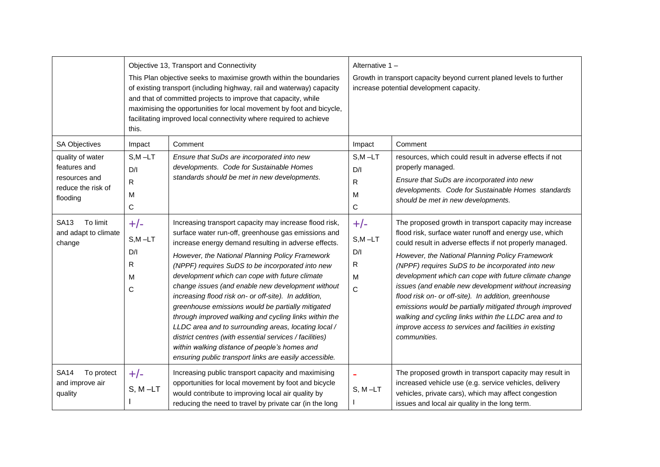|                                                                                                             | this.                                                          | Objective 13, Transport and Connectivity<br>This Plan objective seeks to maximise growth within the boundaries<br>of existing transport (including highway, rail and waterway) capacity<br>and that of committed projects to improve that capacity, while<br>maximising the opportunities for local movement by foot and bicycle,<br>facilitating improved local connectivity where required to achieve                                                                                                                                                                                                                                                                                                                                                                                 | Alternative 1-<br>Growth in transport capacity beyond current planed levels to further<br>increase potential development capacity. |                                                                                                                                                                                                                                                                                                                                                                                                                                                                                                                                                                                                                                                            |  |
|-------------------------------------------------------------------------------------------------------------|----------------------------------------------------------------|-----------------------------------------------------------------------------------------------------------------------------------------------------------------------------------------------------------------------------------------------------------------------------------------------------------------------------------------------------------------------------------------------------------------------------------------------------------------------------------------------------------------------------------------------------------------------------------------------------------------------------------------------------------------------------------------------------------------------------------------------------------------------------------------|------------------------------------------------------------------------------------------------------------------------------------|------------------------------------------------------------------------------------------------------------------------------------------------------------------------------------------------------------------------------------------------------------------------------------------------------------------------------------------------------------------------------------------------------------------------------------------------------------------------------------------------------------------------------------------------------------------------------------------------------------------------------------------------------------|--|
| <b>SA Objectives</b><br>quality of water<br>features and<br>resources and<br>reduce the risk of<br>flooding | Impact<br>$S, M - LT$<br>D/I<br>${\sf R}$<br>M<br>$\mathsf C$  | Comment<br>Ensure that SuDs are incorporated into new<br>developments. Code for Sustainable Homes<br>standards should be met in new developments.                                                                                                                                                                                                                                                                                                                                                                                                                                                                                                                                                                                                                                       | Impact<br>$S, M - LT$<br>D/I<br>R<br>М<br>С                                                                                        | Comment<br>resources, which could result in adverse effects if not<br>properly managed.<br>Ensure that SuDs are incorporated into new<br>developments. Code for Sustainable Homes standards<br>should be met in new developments.                                                                                                                                                                                                                                                                                                                                                                                                                          |  |
| To limit<br><b>SA13</b><br>and adapt to climate<br>change                                                   | $+/-$<br>$S,M$ -LT<br>D/I<br>$\mathsf{R}$<br>M<br>$\mathsf{C}$ | Increasing transport capacity may increase flood risk,<br>surface water run-off, greenhouse gas emissions and<br>increase energy demand resulting in adverse effects.<br>However, the National Planning Policy Framework<br>(NPPF) requires SuDS to be incorporated into new<br>development which can cope with future climate<br>change issues (and enable new development without<br>increasing flood risk on- or off-site). In addition,<br>greenhouse emissions would be partially mitigated<br>through improved walking and cycling links within the<br>LLDC area and to surrounding areas, locating local /<br>district centres (with essential services / facilities)<br>within walking distance of people's homes and<br>ensuring public transport links are easily accessible. | $+/-$<br>$S,M-LT$<br>D/I<br>R<br>м<br>$\mathsf{C}$                                                                                 | The proposed growth in transport capacity may increase<br>flood risk, surface water runoff and energy use, which<br>could result in adverse effects if not properly managed.<br>However, the National Planning Policy Framework<br>(NPPF) requires SuDS to be incorporated into new<br>development which can cope with future climate change<br>issues (and enable new development without increasing<br>flood risk on- or off-site). In addition, greenhouse<br>emissions would be partially mitigated through improved<br>walking and cycling links within the LLDC area and to<br>improve access to services and facilities in existing<br>communities. |  |
| <b>SA14</b><br>To protect<br>and improve air<br>quality                                                     | $+/-$<br>$S, M - LT$                                           | Increasing public transport capacity and maximising<br>opportunities for local movement by foot and bicycle<br>would contribute to improving local air quality by<br>reducing the need to travel by private car (in the long                                                                                                                                                                                                                                                                                                                                                                                                                                                                                                                                                            | $S, M-LT$                                                                                                                          | The proposed growth in transport capacity may result in<br>increased vehicle use (e.g. service vehicles, delivery<br>vehicles, private cars), which may affect congestion<br>issues and local air quality in the long term.                                                                                                                                                                                                                                                                                                                                                                                                                                |  |